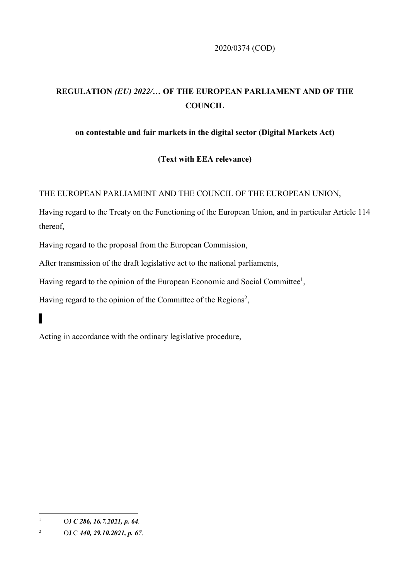2020/0374 (COD)

## **REGULATION** *(EU) 2022/…* **OF THE EUROPEAN PARLIAMENT AND OF THE COUNCIL**

## **on contestable and fair markets in the digital sector (Digital Markets Act)**

## **(Text with EEA relevance)**

THE EUROPEAN PARLIAMENT AND THE COUNCIL OF THE EUROPEAN UNION,

Having regard to the Treaty on the Functioning of the European Union, and in particular Article 114 thereof,

Having regard to the proposal from the European Commission,

After transmission of the draft legislative act to the national parliaments,

Having regard to the opinion of the European Economic and Social Committee<sup>1</sup>,

Having regard to the opinion of the Committee of the Regions<sup>2</sup>,

Acting in accordance with the ordinary legislative procedure,

▌

1

<sup>1</sup> OJ *C 286, 16.7.2021, p. 64*.

<sup>2</sup> OJ C *440, 29.10.2021, p. 67*.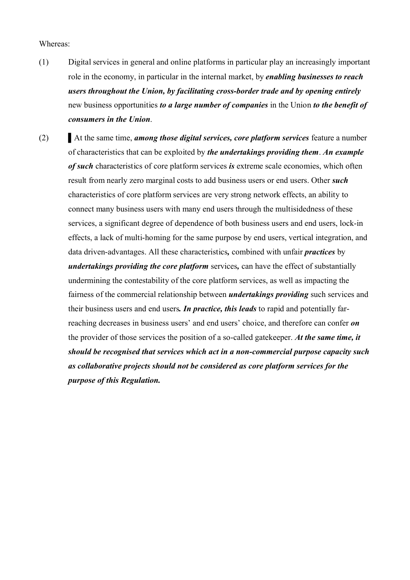## Whereas:

- (1) Digital services in general and online platforms in particular play an increasingly important role in the economy, in particular in the internal market, by *enabling businesses to reach users throughout the Union, by facilitating cross-border trade and by opening entirely* new business opportunities *to a large number of companies* in the Union *to the benefit of consumers in the Union*.
- (2) At the same time, *among those digital services, core platform services* feature a number of characteristics that can be exploited by *the undertakings providing them*. *An example of such* characteristics of core platform services *is* extreme scale economies, which often result from nearly zero marginal costs to add business users or end users. Other *such* characteristics of core platform services are very strong network effects, an ability to connect many business users with many end users through the multisidedness of these services, a significant degree of dependence of both business users and end users, lock-in effects, a lack of multi-homing for the same purpose by end users, vertical integration, and data driven-advantages. All these characteristics*,* combined with unfair *practices* by *undertakings providing the core platform* services*,* can have the effect of substantially undermining the contestability of the core platform services, as well as impacting the fairness of the commercial relationship between *undertakings providing* such services and their business users and end users*. In practice, this leads* to rapid and potentially farreaching decreases in business users' and end users' choice, and therefore can confer *on*  the provider of those services the position of a so-called gatekeeper. *At the same time, it should be recognised that services which act in a non-commercial purpose capacity such as collaborative projects should not be considered as core platform services for the purpose of this Regulation.*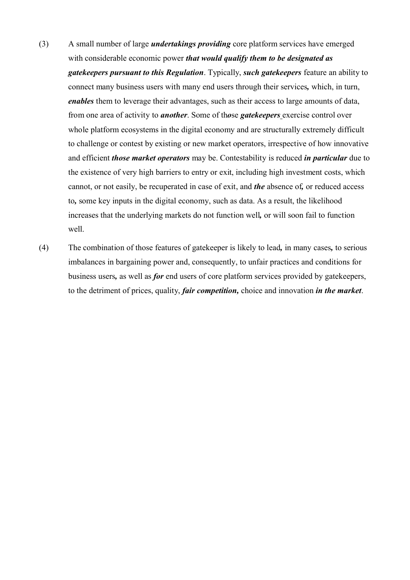- (3) A small number of large *undertakings providing* core platform services have emerged with considerable economic power *that would qualify them to be designated as gatekeepers pursuant to this Regulation*. Typically, *such gatekeepers* feature an ability to connect many business users with many end users through their services*,* which, in turn, *enables* them to leverage their advantages, such as their access to large amounts of data, from one area of activity to *another*. Some of th*o*se *gatekeepers* exercise control over whole platform ecosystems in the digital economy and are structurally extremely difficult to challenge or contest by existing or new market operators, irrespective of how innovative and efficient *those market operators* may be. Contestability is reduced *in particular* due to the existence of very high barriers to entry or exit, including high investment costs, which cannot, or not easily, be recuperated in case of exit, and *the* absence of*,* or reduced access to*,* some key inputs in the digital economy, such as data. As a result, the likelihood increases that the underlying markets do not function well*,* or will soon fail to function well.
- (4) The combination of those features of gatekeeper is likely to lead*,* in many cases*,* to serious imbalances in bargaining power and, consequently, to unfair practices and conditions for business users*,* as well as *for* end users of core platform services provided by gatekeepers, to the detriment of prices, quality, *fair competition,* choice and innovation *in the market*.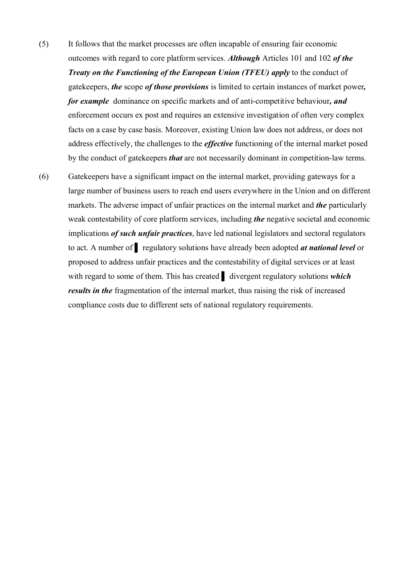- (5) It follows that the market processes are often incapable of ensuring fair economic outcomes with regard to core platform services. *Although* Articles 101 and 102 *of the Treaty on the Functioning of the European Union (TFEU) apply* to the conduct of gatekeepers, *the* scope *of those provisions* is limited to certain instances of market power*, for example* dominance on specific markets and of anti-competitive behaviour*, and* enforcement occurs ex post and requires an extensive investigation of often very complex facts on a case by case basis. Moreover, existing Union law does not address, or does not address effectively, the challenges to the *effective* functioning of the internal market posed by the conduct of gatekeepers *that* are not necessarily dominant in competition-law terms.
- (6) Gatekeepers have a significant impact on the internal market, providing gateways for a large number of business users to reach end users everywhere in the Union and on different markets. The adverse impact of unfair practices on the internal market and *the* particularly weak contestability of core platform services, including *the* negative societal and economic implications *of such unfair practices*, have led national legislators and sectoral regulators to act. A number of ▌ regulatory solutions have already been adopted *at national level* or proposed to address unfair practices and the contestability of digital services or at least with regard to some of them. This has created **i** divergent regulatory solutions *which results in the* fragmentation of the internal market, thus raising the risk of increased compliance costs due to different sets of national regulatory requirements.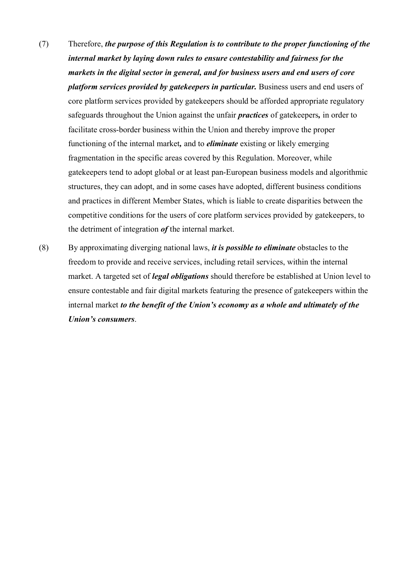- (7) Therefore, *the purpose of this Regulation is to contribute to the proper functioning of the internal market by laying down rules to ensure contestability and fairness for the markets in the digital sector in general, and for business users and end users of core platform services provided by gatekeepers in particular.* Business users and end users of core platform services provided by gatekeepers should be afforded appropriate regulatory safeguards throughout the Union against the unfair *practices* of gatekeepers*,* in order to facilitate cross-border business within the Union and thereby improve the proper functioning of the internal market*,* and to *eliminate* existing or likely emerging fragmentation in the specific areas covered by this Regulation. Moreover, while gatekeepers tend to adopt global or at least pan-European business models and algorithmic structures, they can adopt, and in some cases have adopted, different business conditions and practices in different Member States, which is liable to create disparities between the competitive conditions for the users of core platform services provided by gatekeepers, to the detriment of integration *of* the internal market.
- (8) By approximating diverging national laws, *it is possible to eliminate* obstacles to the freedom to provide and receive services, including retail services, within the internal market. A targeted set of *legal obligations* should therefore be established at Union level to ensure contestable and fair digital markets featuring the presence of gatekeepers within the internal market *to the benefit of the Union's economy as a whole and ultimately of the Union's consumers*.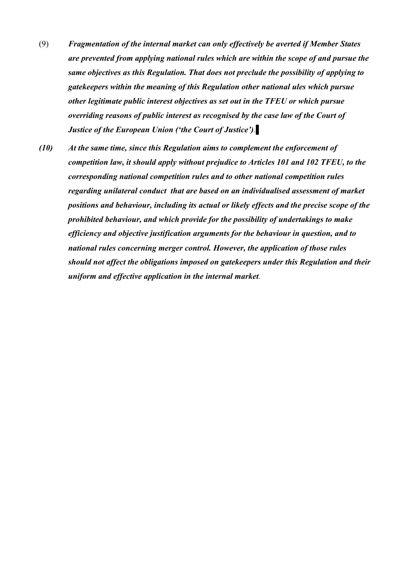- (9) *Fragmentation of the internal market can only effectively be averted if Member States are prevented from applying national rules which are within the scope of and pursue the same objectives as this Regulation. That does not preclude the possibility of applying to gatekeepers within the meaning of this Regulation other national ules which pursue other legitimate public interest objectives as set out in the TFEU or which pursue overriding reasons of public interest as recognised by the case law of the Court of Justice of the European Union ('the Court of Justice').*▌
- *(10) At the same time, since this Regulation aims to complement the enforcement of competition law, it should apply without prejudice to Articles 101 and 102 TFEU, to the corresponding national competition rules and to other national competition rules regarding unilateral conduct that are based on an individualised assessment of market positions and behaviour, including its actual or likely effects and the precise scope of the prohibited behaviour, and which provide for the possibility of undertakings to make efficiency and objective justification arguments for the behaviour in question, and to national rules concerning merger control. However, the application of those rules should not affect the obligations imposed on gatekeepers under this Regulation and their uniform and effective application in the internal market.*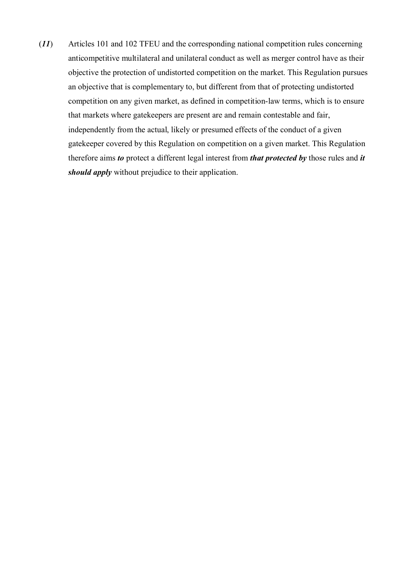(*11*) Articles 101 and 102 TFEU and the corresponding national competition rules concerning anticompetitive multilateral and unilateral conduct as well as merger control have as their objective the protection of undistorted competition on the market. This Regulation pursues an objective that is complementary to, but different from that of protecting undistorted competition on any given market, as defined in competition-law terms, which is to ensure that markets where gatekeepers are present are and remain contestable and fair, independently from the actual, likely or presumed effects of the conduct of a given gatekeeper covered by this Regulation on competition on a given market. This Regulation therefore aims *to* protect a different legal interest from *that protected by* those rules and *it should apply* without prejudice to their application.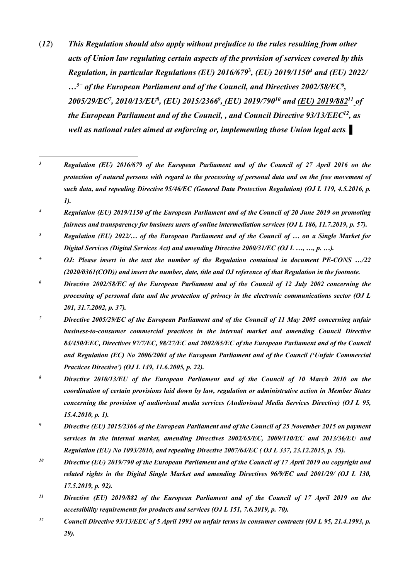(*12*) *This Regulation should also apply without prejudice to the rules resulting from other acts of Union law regulating certain aspects of the provision of services covered by this Regulation, in particular Regulations (EU) 2016/679***<sup>3</sup>** *, (EU) 2019/1150<sup>4</sup> and (EU) 2022/ …5+ of the European Parliament and of the Council, and Directives 2002/58/EC<sup>6</sup> , 2005/29/EC<sup>7</sup> , 2010/13/EU<sup>8</sup> , (EU) 2015/2366<sup>9</sup> , (EU) 2019/790<sup>10</sup> and (EU) 2019/882<sup>11</sup> of the European Parliament and of the Council, , and Council Directive 93/13/EEC<sup>12</sup>, as well as national rules aimed at enforcing or, implementing those Union legal acts.* ▌

 $\overline{3}$ *<sup>3</sup> Regulation (EU) 2016/679 of the European Parliament and of the Council of 27 April 2016 on the protection of natural persons with regard to the processing of personal data and on the free movement of such data, and repealing Directive 95/46/EC (General Data Protection Regulation) (OJ L 119, 4.5.2016, p. 1).*

*<sup>4</sup> Regulation (EU) 2019/1150 of the European Parliament and of the Council of 20 June 2019 on promoting fairness and transparency for business users of online intermediation services (OJ L 186, 11.7.2019, p. 57).*

- *<sup>5</sup> Regulation (EU) 2022/… of the European Parliament and of the Council of … on a Single Market for Digital Services (Digital Services Act) and amending Directive 2000/31/EC (OJ L …, …, p. …).*
- *<sup>+</sup> OJ: Please insert in the text the number of the Regulation contained in document PE-CONS …/22 (2020/0361(COD)) and insert the number, date, title and OJ reference of that Regulation in the footnote.*
- *<sup>6</sup> Directive 2002/58/EC of the European Parliament and of the Council of 12 July 2002 concerning the processing of personal data and the protection of privacy in the electronic communications sector (OJ L 201, 31.7.2002, p. 37).*
- *<sup>7</sup> Directive 2005/29/EC of the European Parliament and of the Council of 11 May 2005 concerning unfair business-to-consumer commercial practices in the internal market and amending Council Directive 84/450/EEC, Directives 97/7/EC, 98/27/EC and 2002/65/EC of the European Parliament and of the Council and Regulation (EC) No 2006/2004 of the European Parliament and of the Council ('Unfair Commercial Practices Directive') (OJ L 149, 11.6.2005, p. 22).*
- *<sup>8</sup> Directive 2010/13/EU of the European Parliament and of the Council of 10 March 2010 on the coordination of certain provisions laid down by law, regulation or administrative action in Member States concerning the provision of audiovisual media services (Audiovisual Media Services Directive) (OJ L 95, 15.4.2010, p. 1).*
- *<sup>9</sup> Directive (EU) 2015/2366 of the European Parliament and of the Council of 25 November 2015 on payment services in the internal market, amending Directives 2002/65/EC, 2009/110/EC and 2013/36/EU and Regulation (EU) No 1093/2010, and repealing Directive 2007/64/EC ( OJ L 337, 23.12.2015, p. 35).*
- *<sup>10</sup> Directive (EU) 2019/790 of the European Parliament and of the Council of 17 April 2019 on copyright and related rights in the Digital Single Market and amending Directives 96/9/EC and 2001/29/ (OJ L 130, 17.5.2019, p. 92).*
- *<sup>11</sup> Directive (EU) 2019/882 of the European Parliament and of the Council of 17 April 2019 on the accessibility requirements for products and services (OJ L 151, 7.6.2019, p. 70).*
- *<sup>12</sup> Council Directive 93/13/EEC of 5 April 1993 on unfair terms in consumer contracts (OJ L 95, 21.4.1993, p. 29).*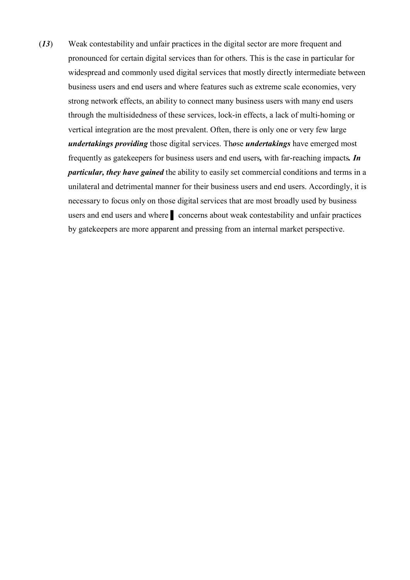(*13*) Weak contestability and unfair practices in the digital sector are more frequent and pronounced for certain digital services than for others. This is the case in particular for widespread and commonly used digital services that mostly directly intermediate between business users and end users and where features such as extreme scale economies, very strong network effects, an ability to connect many business users with many end users through the multisidedness of these services, lock-in effects, a lack of multi-homing or vertical integration are the most prevalent. Often, there is only one or very few large *undertakings providing* those digital services. Th*o*se *undertakings* have emerged most frequently as gatekeepers for business users and end users*,* with far-reaching impacts*. In particular, they have gained* the ability to easily set commercial conditions and terms in a unilateral and detrimental manner for their business users and end users. Accordingly, it is necessary to focus only on those digital services that are most broadly used by business users and end users and where **a** concerns about weak contestability and unfair practices by gatekeepers are more apparent and pressing from an internal market perspective.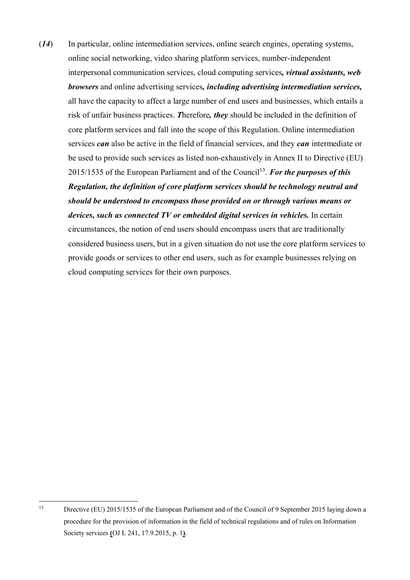(*14*) In particular, online intermediation services, online search engines, operating systems, online social networking, video sharing platform services, number-independent interpersonal communication services, cloud computing services*, virtual assistants, web browsers* and online advertising services*, including advertising intermediation services,*  all have the capacity to affect a large number of end users and businesses, which entails a risk of unfair business practices. *T*herefore*, they* should be included in the definition of core platform services and fall into the scope of this Regulation. Online intermediation services *can* also be active in the field of financial services, and they *can* intermediate or be used to provide such services as listed non-exhaustively in Annex II to Directive (EU) 2015/1535 of the European Parliament and of the Council<sup>13</sup>. For the purposes of this *Regulation, the definition of core platform services should be technology neutral and should be understood to encompass those provided on or through various means or devices, such as connected TV or embedded digital services in vehicles.* In certain circumstances, the notion of end users should encompass users that are traditionally considered business users, but in a given situation do not use the core platform services to provide goods or services to other end users, such as for example businesses relying on cloud computing services for their own purposes.

 $13$ Directive (EU) 2015/1535 of the European Parliament and of the Council of 9 September 2015 laying down a procedure for the provision of information in the field of technical regulations and of rules on Information Society services **(**OJ L 241, 17.9.2015, p. 1**)**.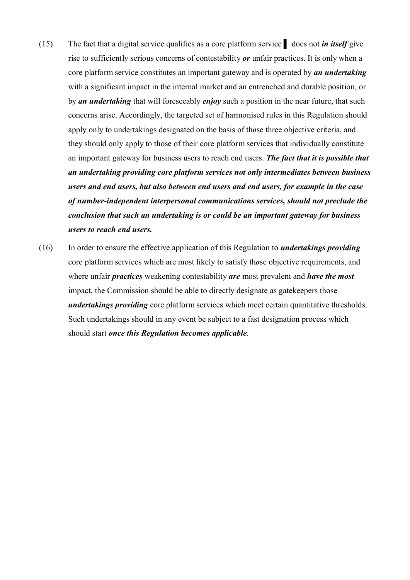- (15) The fact that a digital service qualifies as a core platform service ▌ does not *in itself* give rise to sufficiently serious concerns of contestability *or* unfair practices. It is only when a core platform service constitutes an important gateway and is operated by *an undertaking* with a significant impact in the internal market and an entrenched and durable position, or by *an undertaking* that will foreseeably *enjoy* such a position in the near future, that such concerns arise. Accordingly, the targeted set of harmonised rules in this Regulation should apply only to undertakings designated on the basis of th*o*se three objective criteria, and they should only apply to those of their core platform services that individually constitute an important gateway for business users to reach end users. *The fact that it is possible that an undertaking providing core platform services not only intermediates between business users and end users, but also between end users and end users, for example in the case of number-independent interpersonal communications services, should not preclude the conclusion that such an undertaking is or could be an important gateway for business users to reach end users.*
- (16) In order to ensure the effective application of this Regulation to *undertakings providing* core platform services which are most likely to satisfy th*o*se objective requirements, and where unfair *practices* weakening contestability *are* most prevalent and *have the most*  impact, the Commission should be able to directly designate as gatekeepers those *undertakings providing* core platform services which meet certain quantitative thresholds. Such undertakings should in any event be subject to a fast designation process which should start *once this Regulation becomes applicable*.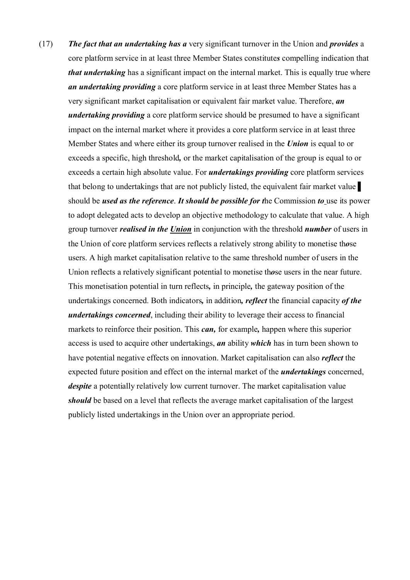(17) *The fact that an undertaking has a* very significant turnover in the Union and *provides* a core platform service in at least three Member States constitute*s* compelling indication that *that undertaking* has a significant impact on the internal market. This is equally true where *an undertaking providing* a core platform service in at least three Member States has a very significant market capitalisation or equivalent fair market value. Therefore, *an undertaking providing* a core platform service should be presumed to have a significant impact on the internal market where it provides a core platform service in at least three Member States and where either its group turnover realised in the *Union* is equal to or exceeds a specific, high threshold*,* or the market capitalisation of the group is equal to or exceeds a certain high absolute value. For *undertakings providing* core platform services that belong to undertakings that are not publicly listed, the equivalent fair market value ▌ should be *used as the reference*. *It should be possible for t*he Commission *to* use its power to adopt delegated acts to develop an objective methodology to calculate that value. A high group turnover *realised in the Union* in conjunction with the threshold *number* of users in the Union of core platform services reflects a relatively strong ability to monetise th*o*se users. A high market capitalisation relative to the same threshold number of users in the Union reflects a relatively significant potential to monetise th*o*se users in the near future. This monetisation potential in turn reflects*,* in principle*,* the gateway position of the undertakings concerned. Both indicators*,* in addition*, reflect* the financial capacity *of the undertakings concerned*, including their ability to leverage their access to financial markets to reinforce their position. This *can,* for example*,* happen where this superior access is used to acquire other undertakings, *an* ability *which* has in turn been shown to have potential negative effects on innovation. Market capitalisation can also *reflect* the expected future position and effect on the internal market of the *undertakings* concerned, *despite* a potentially relatively low current turnover. The market capitalisation value *should* be based on a level that reflects the average market capitalisation of the largest publicly listed undertakings in the Union over an appropriate period.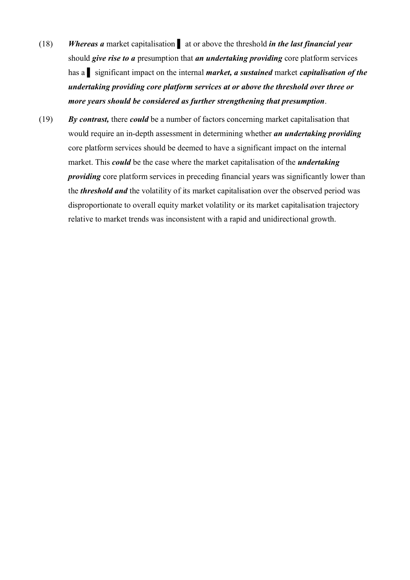- (18) *Whereas a* market capitalisation ▌ at or above the threshold *in the last financial year* should *give rise to a* presumption that *an undertaking providing* core platform services has a ▌ significant impact on the internal *market, a sustained* market *capitalisation of the undertaking providing core platform services at or above the threshold over three or more years should be considered as further strengthening that presumption*.
- (19) *By contrast,* there *could* be a number of factors concerning market capitalisation that would require an in-depth assessment in determining whether *an undertaking providing* core platform services should be deemed to have a significant impact on the internal market. This *could* be the case where the market capitalisation of the *undertaking providing* core platform services in preceding financial years was significantly lower than the *threshold and* the volatility of its market capitalisation over the observed period was disproportionate to overall equity market volatility or its market capitalisation trajectory relative to market trends was inconsistent with a rapid and unidirectional growth.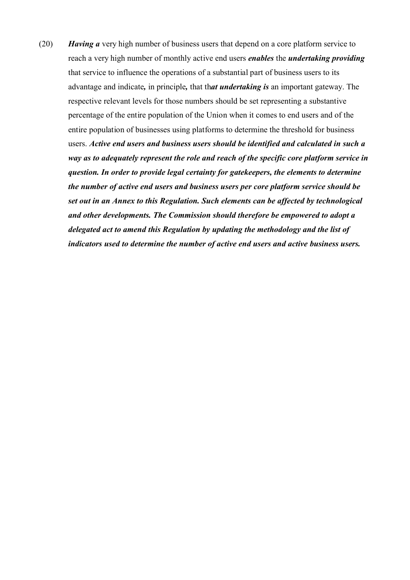(20) *Having a* very high number of business users that depend on a core platform service to reach a very high number of monthly active end users *enables* the *undertaking providing* that service to influence the operations of a substantial part of business users to its advantage and indicate*,* in principle*,* that th*at undertaking is* an important gateway. The respective relevant levels for those numbers should be set representing a substantive percentage of the entire population of the Union when it comes to end users and of the entire population of businesses using platforms to determine the threshold for business users. *Active end users and business users should be identified and calculated in such a way as to adequately represent the role and reach of the specific core platform service in question. In order to provide legal certainty for gatekeepers, the elements to determine the number of active end users and business users per core platform service should be set out in an Annex to this Regulation. Such elements can be affected by technological and other developments. The Commission should therefore be empowered to adopt a delegated act to amend this Regulation by updating the methodology and the list of indicators used to determine the number of active end users and active business users.*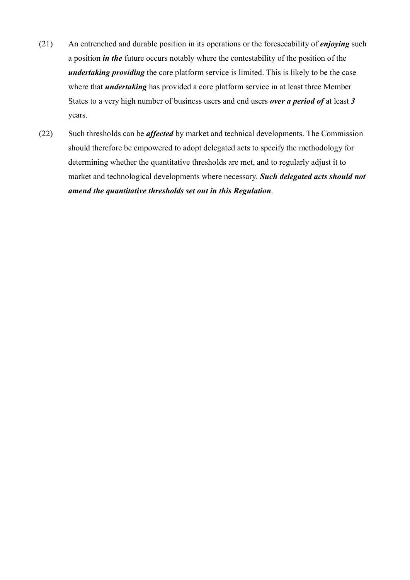- (21) An entrenched and durable position in its operations or the foreseeability of *enjoying* such a position *in the* future occurs notably where the contestability of the position of the *undertaking providing* the core platform service is limited. This is likely to be the case where that *undertaking* has provided a core platform service in at least three Member States to a very high number of business users and end users *over a period of* at least *3*  years.
- (22) Such thresholds can be *affected* by market and technical developments. The Commission should therefore be empowered to adopt delegated acts to specify the methodology for determining whether the quantitative thresholds are met, and to regularly adjust it to market and technological developments where necessary. *Such delegated acts should not amend the quantitative thresholds set out in this Regulation*.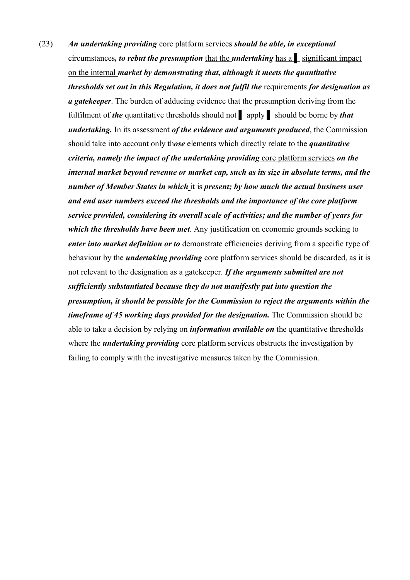(23) *An undertaking providing* core platform services *should be able, in exceptional* circumstances*, to rebut the presumption* that the *undertaking* has a ▌ significant impact on the internal *market by demonstrating that, although it meets the quantitative thresholds set out in this Regulation, it does not fulfil the* requirements *for designation as a gatekeeper*. The burden of adducing evidence that the presumption deriving from the fulfilment of *the* quantitative thresholds should not ▌ apply ▌ should be borne by *that undertaking.* In its assessment *of the evidence and arguments produced*, the Commission should take into account only th*ose* elements which directly relate to the *quantitative criteria, namely the impact of the undertaking providing* core platform services *on the internal market beyond revenue or market cap, such as its size in absolute terms, and the number of Member States in which* it is *present; by how much the actual business user and end user numbers exceed the thresholds and the importance of the core platform service provided, considering its overall scale of activities; and the number of years for which the thresholds have been met*. Any justification on economic grounds seeking to *enter into market definition or to* demonstrate efficiencies deriving from a specific type of behaviour by the *undertaking providing* core platform services should be discarded, as it is not relevant to the designation as a gatekeeper. *If the arguments submitted are not sufficiently substantiated because they do not manifestly put into question the presumption, it should be possible for the Commission to reject the arguments within the timeframe of 45 working days provided for the designation.* The Commission should be able to take a decision by relying on *information available on* the quantitative thresholds where the *undertaking providing* core platform services obstructs the investigation by failing to comply with the investigative measures taken by the Commission.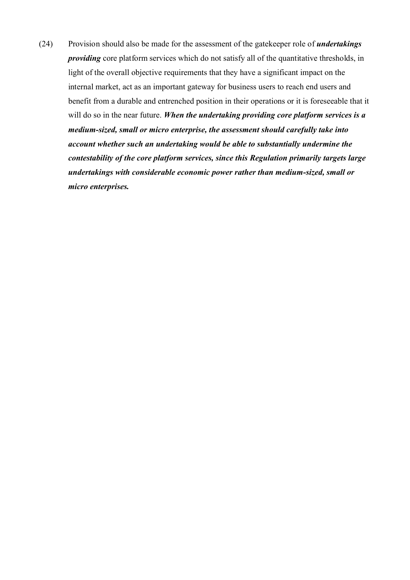(24) Provision should also be made for the assessment of the gatekeeper role of *undertakings providing* core platform services which do not satisfy all of the quantitative thresholds, in light of the overall objective requirements that they have a significant impact on the internal market, act as an important gateway for business users to reach end users and benefit from a durable and entrenched position in their operations or it is foreseeable that it will do so in the near future. *When the undertaking providing core platform services is a medium-sized, small or micro enterprise, the assessment should carefully take into account whether such an undertaking would be able to substantially undermine the contestability of the core platform services, since this Regulation primarily targets large undertakings with considerable economic power rather than medium-sized, small or micro enterprises.*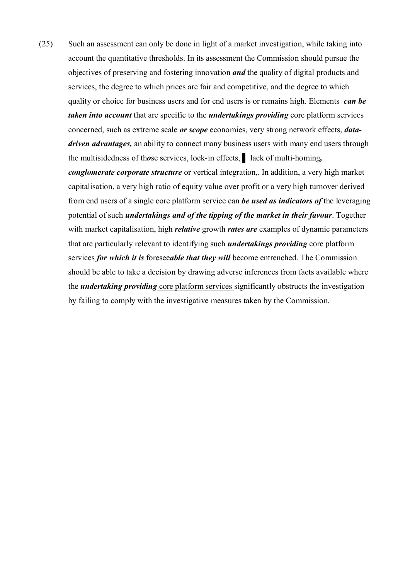(25) Such an assessment can only be done in light of a market investigation, while taking into account the quantitative thresholds. In its assessment the Commission should pursue the objectives of preserving and fostering innovation *and* the quality of digital products and services, the degree to which prices are fair and competitive, and the degree to which quality or choice for business users and for end users is or remains high. Elements *can be taken into account* that are specific to the *undertakings providing* core platform services concerned, such as extreme scale *or scope* economies, very strong network effects, *datadriven advantages,* an ability to connect many business users with many end users through the multisidedness of th*o*se services, lock-in effects, ▌ lack of multi-homing*, conglomerate corporate structure* or vertical integration,. In addition, a very high market capitalisation, a very high ratio of equity value over profit or a very high turnover derived from end users of a single core platform service can *be used as indicators of* the leveraging potential of such *undertakings and of the tipping of the market in their favour*. Together with market capitalisation, high *relative* growth *rates are* examples of dynamic parameters that are particularly relevant to identifying such *undertakings providing* core platform services *for which it is* foresee*able that they will* become entrenched. The Commission should be able to take a decision by drawing adverse inferences from facts available where the *undertaking providing* core platform services significantly obstructs the investigation by failing to comply with the investigative measures taken by the Commission.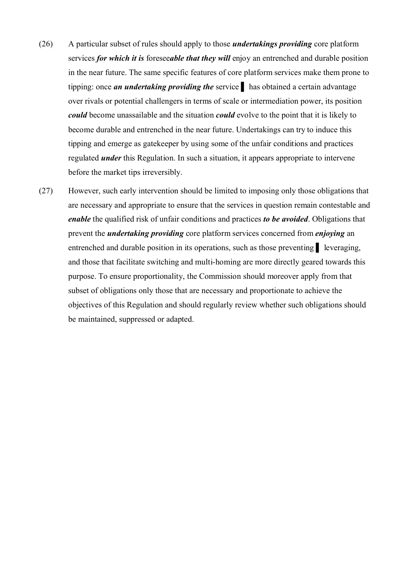- (26) A particular subset of rules should apply to those *undertakings providing* core platform services *for which it is* foresee*able that they will* enjoy an entrenched and durable position in the near future. The same specific features of core platform services make them prone to tipping: once *an undertaking providing the* service has obtained a certain advantage over rivals or potential challengers in terms of scale or intermediation power, its position *could* become unassailable and the situation *could* evolve to the point that it is likely to become durable and entrenched in the near future. Undertakings can try to induce this tipping and emerge as gatekeeper by using some of the unfair conditions and practices regulated *under* this Regulation. In such a situation, it appears appropriate to intervene before the market tips irreversibly.
- (27) However, such early intervention should be limited to imposing only those obligations that are necessary and appropriate to ensure that the services in question remain contestable and *enable* the qualified risk of unfair conditions and practices *to be avoided*. Obligations that prevent the *undertaking providing* core platform services concerned from *enjoying* an entrenched and durable position in its operations, such as those preventing <u>Leveraging</u>, and those that facilitate switching and multi-homing are more directly geared towards this purpose. To ensure proportionality, the Commission should moreover apply from that subset of obligations only those that are necessary and proportionate to achieve the objectives of this Regulation and should regularly review whether such obligations should be maintained, suppressed or adapted.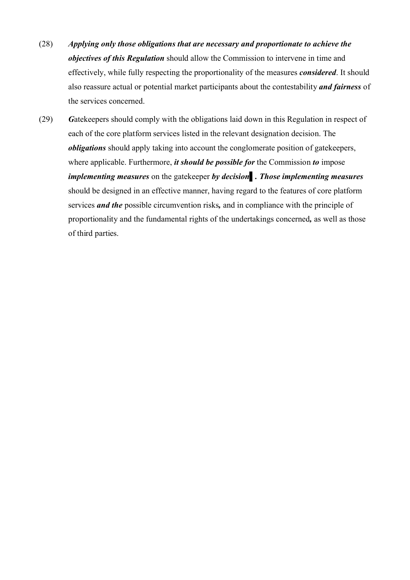- (28) *Applying only those obligations that are necessary and proportionate to achieve the objectives of this Regulation* should allow the Commission to intervene in time and effectively, while fully respecting the proportionality of the measures *considered*. It should also reassure actual or potential market participants about the contestability *and fairness* of the services concerned.
- (29) *G*atekeepers should comply with the obligations laid down in this Regulation in respect of each of the core platform services listed in the relevant designation decision. The *obligations* should apply taking into account the conglomerate position of gatekeepers, where applicable. Furthermore, *it should be possible for* the Commission *to* impose *implementing measures* on the gatekeeper *by decision*▌*. Those implementing measures*  should be designed in an effective manner, having regard to the features of core platform services *and the* possible circumvention risks*,* and in compliance with the principle of proportionality and the fundamental rights of the undertakings concerned*,* as well as those of third parties.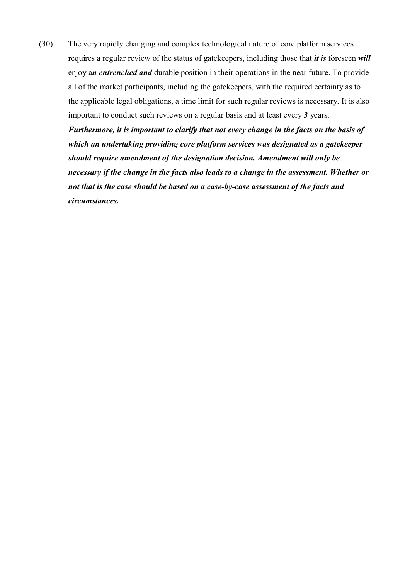(30) The very rapidly changing and complex technological nature of core platform services requires a regular review of the status of gatekeepers, including those that *it is* foreseen *will*  enjoy a*n entrenched and* durable position in their operations in the near future. To provide all of the market participants, including the gatekeepers, with the required certainty as to the applicable legal obligations, a time limit for such regular reviews is necessary. It is also important to conduct such reviews on a regular basis and at least every *3* years.

*Furthermore, it is important to clarify that not every change in the facts on the basis of which an undertaking providing core platform services was designated as a gatekeeper should require amendment of the designation decision. Amendment will only be necessary if the change in the facts also leads to a change in the assessment. Whether or not that is the case should be based on a case-by-case assessment of the facts and circumstances.*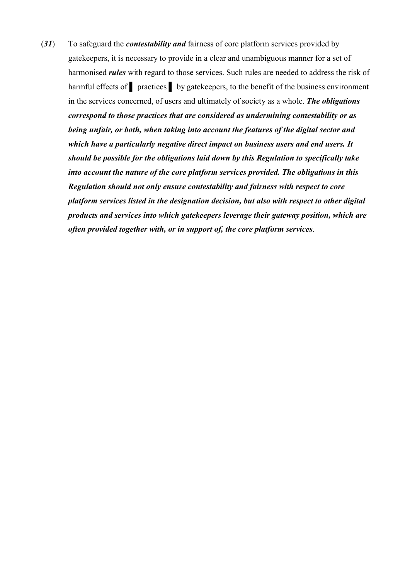(*31*) To safeguard the *contestability and* fairness of core platform services provided by gatekeepers, it is necessary to provide in a clear and unambiguous manner for a set of harmonised *rules* with regard to those services. Such rules are needed to address the risk of harmful effects of **practices** by gatekeepers, to the benefit of the business environment in the services concerned, of users and ultimately of society as a whole. *The obligations correspond to those practices that are considered as undermining contestability or as being unfair, or both, when taking into account the features of the digital sector and which have a particularly negative direct impact on business users and end users. It should be possible for the obligations laid down by this Regulation to specifically take into account the nature of the core platform services provided. The obligations in this Regulation should not only ensure contestability and fairness with respect to core platform services listed in the designation decision, but also with respect to other digital products and services into which gatekeepers leverage their gateway position, which are often provided together with, or in support of, the core platform services*.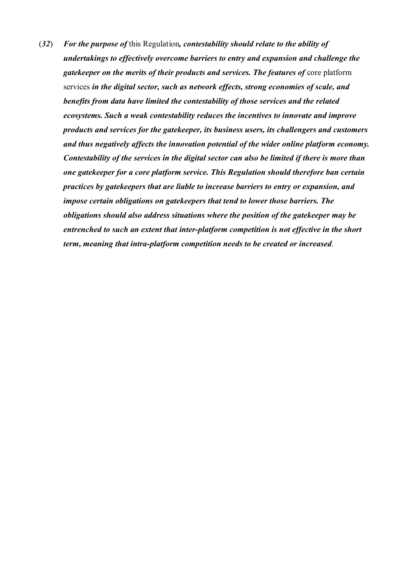(*32*) *For the purpose of* this Regulation*, contestability should relate to the ability of undertakings to effectively overcome barriers to entry and expansion and challenge the gatekeeper on the merits of their products and services. The features of* core platform services *in the digital sector, such as network effects, strong economies of scale, and benefits from data have limited the contestability of those services and the related ecosystems. Such a weak contestability reduces the incentives to innovate and improve products and services for the gatekeeper, its business users, its challengers and customers and thus negatively affects the innovation potential of the wider online platform economy. Contestability of the services in the digital sector can also be limited if there is more than one gatekeeper for a core platform service. This Regulation should therefore ban certain practices by gatekeepers that are liable to increase barriers to entry or expansion, and impose certain obligations on gatekeepers that tend to lower those barriers. The obligations should also address situations where the position of the gatekeeper may be entrenched to such an extent that inter-platform competition is not effective in the short term, meaning that intra-platform competition needs to be created or increased*.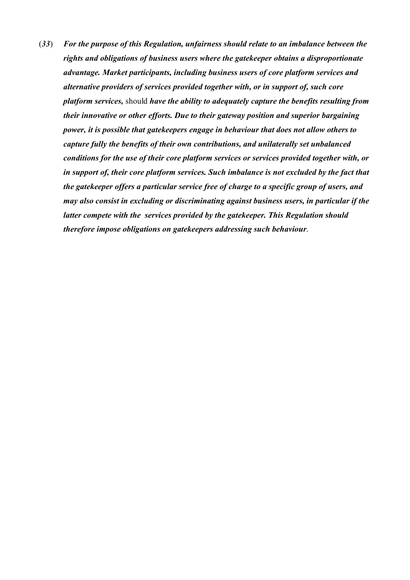(*33*) *For the purpose of this Regulation, unfairness should relate to an imbalance between the rights and obligations of business users where the gatekeeper obtains a disproportionate advantage. Market participants, including business users of core platform services and alternative providers of services provided together with, or in support of, such core platform services,* should *have the ability to adequately capture the benefits resulting from their innovative or other efforts. Due to their gateway position and superior bargaining power, it is possible that gatekeepers engage in behaviour that does not allow others to capture fully the benefits of their own contributions, and unilaterally set unbalanced conditions for the use of their core platform services or services provided together with, or in support of, their core platform services. Such imbalance is not excluded by the fact that the gatekeeper offers a particular service free of charge to a specific group of users, and may also consist in excluding or discriminating against business users, in particular if the latter compete with the services provided by the gatekeeper. This Regulation should therefore impose obligations on gatekeepers addressing such behaviour*.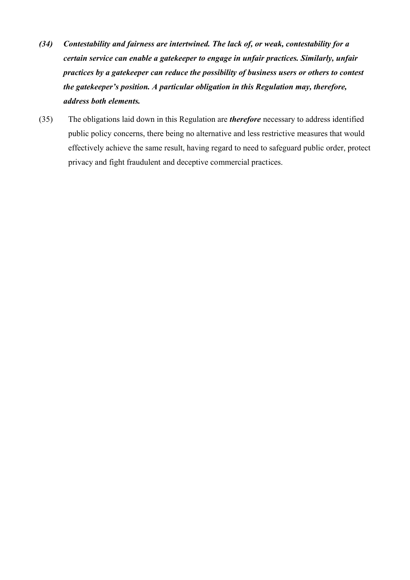- *(34) Contestability and fairness are intertwined. The lack of, or weak, contestability for a certain service can enable a gatekeeper to engage in unfair practices. Similarly, unfair practices by a gatekeeper can reduce the possibility of business users or others to contest the gatekeeper's position. A particular obligation in this Regulation may, therefore, address both elements.*
- (35) The obligations laid down in this Regulation are *therefore* necessary to address identified public policy concerns, there being no alternative and less restrictive measures that would effectively achieve the same result, having regard to need to safeguard public order, protect privacy and fight fraudulent and deceptive commercial practices.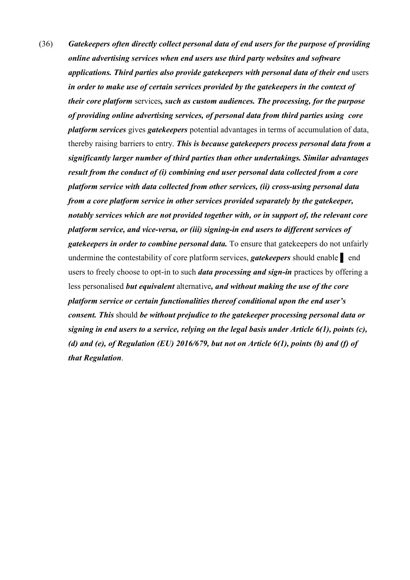(36) *Gatekeepers often directly collect personal data of end users for the purpose of providing online advertising services when end users use third party websites and software applications. Third parties also provide gatekeepers with personal data of their end* users *in order to make use of certain services provided by the gatekeepers in the context of their core platform* services*, such as custom audiences. The processing, for the purpose of providing online advertising services, of personal data from third parties using core platform services* gives *gatekeepers* potential advantages in terms of accumulation of data, thereby raising barriers to entry. *This is because gatekeepers process personal data from a significantly larger number of third parties than other undertakings. Similar advantages result from the conduct of (i) combining end user personal data collected from a core platform service with data collected from other services, (ii) cross-using personal data from a core platform service in other services provided separately by the gatekeeper, notably services which are not provided together with, or in support of, the relevant core platform service, and vice-versa, or (iii) signing-in end users to different services of gatekeepers in order to combine personal data.* To ensure that gatekeepers do not unfairly undermine the contestability of core platform services, *gatekeepers* should enable ▌ end users to freely choose to opt-in to such *data processing and sign-in* practices by offering a less personalised *but equivalent* alternative*, and without making the use of the core platform service or certain functionalities thereof conditional upon the end user's consent. This* should *be without prejudice to the gatekeeper processing personal data or signing in end users to a service, relying on the legal basis under Article 6(1), points (c), (d) and (e), of Regulation (EU) 2016/679, but not on Article 6(1), points (b) and (f) of that Regulation*.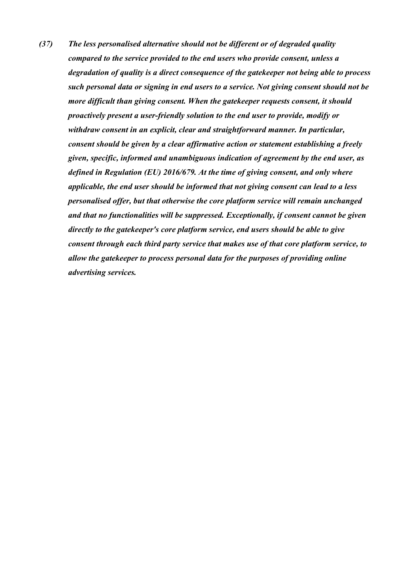*(37) The less personalised alternative should not be different or of degraded quality compared to the service provided to the end users who provide consent, unless a degradation of quality is a direct consequence of the gatekeeper not being able to process such personal data or signing in end users to a service. Not giving consent should not be more difficult than giving consent. When the gatekeeper requests consent, it should proactively present a user-friendly solution to the end user to provide, modify or withdraw consent in an explicit, clear and straightforward manner. In particular, consent should be given by a clear affirmative action or statement establishing a freely given, specific, informed and unambiguous indication of agreement by the end user, as defined in Regulation (EU) 2016/679. At the time of giving consent, and only where applicable, the end user should be informed that not giving consent can lead to a less personalised offer, but that otherwise the core platform service will remain unchanged and that no functionalities will be suppressed. Exceptionally, if consent cannot be given directly to the gatekeeper's core platform service, end users should be able to give consent through each third party service that makes use of that core platform service, to allow the gatekeeper to process personal data for the purposes of providing online advertising services.*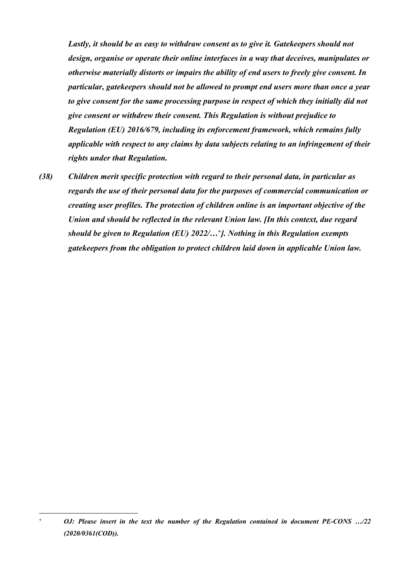*Lastly, it should be as easy to withdraw consent as to give it. Gatekeepers should not design, organise or operate their online interfaces in a way that deceives, manipulates or otherwise materially distorts or impairs the ability of end users to freely give consent. In particular, gatekeepers should not be allowed to prompt end users more than once a year to give consent for the same processing purpose in respect of which they initially did not give consent or withdrew their consent. This Regulation is without prejudice to Regulation (EU) 2016/679, including its enforcement framework, which remains fully applicable with respect to any claims by data subjects relating to an infringement of their rights under that Regulation.*

*(38) Children merit specific protection with regard to their personal data, in particular as regards the use of their personal data for the purposes of commercial communication or creating user profiles. The protection of children online is an important objective of the Union and should be reflected in the relevant Union law. [In this context, due regard should be given to Regulation (EU) 2022/…<sup>+</sup> ]. Nothing in this Regulation exempts gatekeepers from the obligation to protect children laid down in applicable Union law.*

1

*<sup>+</sup> OJ: Please insert in the text the number of the Regulation contained in document PE-CONS …/22 (2020/0361(COD)).*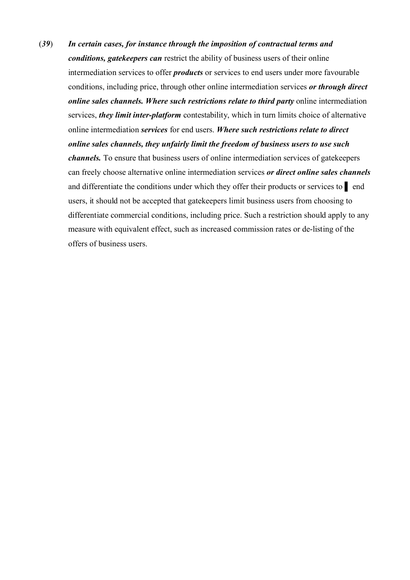(*39*) *In certain cases, for instance through the imposition of contractual terms and conditions, gatekeepers can* restrict the ability of business users of their online intermediation services to offer *products* or services to end users under more favourable conditions, including price, through other online intermediation services *or through direct online sales channels. Where such restrictions relate to third party* online intermediation services, *they limit inter-platform* contestability, which in turn limits choice of alternative online intermediation *services* for end users. *Where such restrictions relate to direct online sales channels, they unfairly limit the freedom of business users to use such channels.* To ensure that business users of online intermediation services of gatekeepers can freely choose alternative online intermediation services *or direct online sales channels*  and differentiate the conditions under which they offer their products or services to ▌ end users, it should not be accepted that gatekeepers limit business users from choosing to differentiate commercial conditions, including price. Such a restriction should apply to any measure with equivalent effect, such as increased commission rates or de-listing of the offers of business users.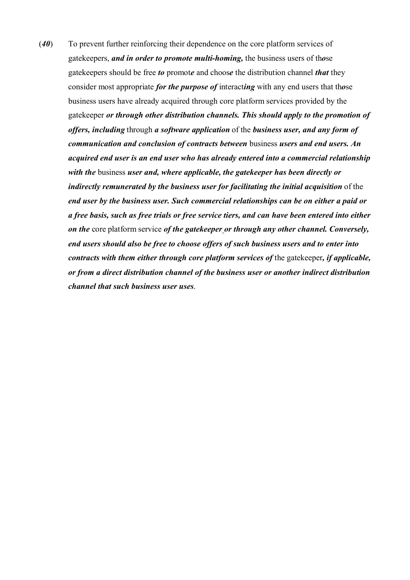(*40*) To prevent further reinforcing their dependence on the core platform services of gatekeepers, *and in order to promote multi-homing,* the business users of th*o*se gatekeepers should be free *to* promot*e* and choos*e* the distribution channel *that* they consider most appropriate *for the purpose of* interact*ing* with any end users that th*o*se business users have already acquired through core platform services provided by the gatekeeper *or through other distribution channels. This should apply to the promotion of offers, including* through *a software application* of the *business user, and any form of communication and conclusion of contracts between* business *users and end users. An acquired end user is an end user who has already entered into a commercial relationship with the* business *user and, where applicable, the gatekeeper has been directly or indirectly remunerated by the business user for facilitating the initial acquisition* of the *end user by the business user. Such commercial relationships can be on either a paid or a free basis, such as free trials or free service tiers, and can have been entered into either on the* core platform service *of the gatekeeper or through any other channel. Conversely, end users should also be free to choose offers of such business users and to enter into contracts with them either through core platform services of* the gatekeeper*, if applicable, or from a direct distribution channel of the business user or another indirect distribution channel that such business user uses*.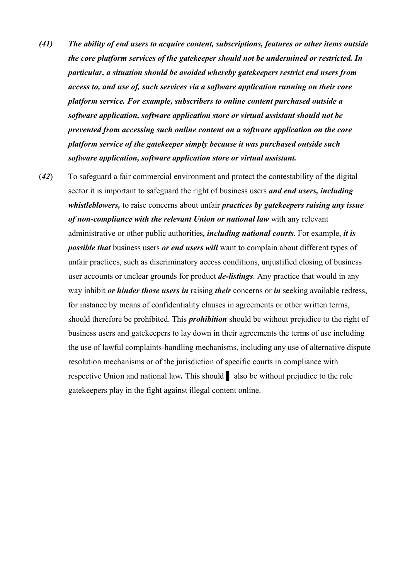- *(41) The ability of end users to acquire content, subscriptions, features or other items outside the core platform services of the gatekeeper should not be undermined or restricted. In particular, a situation should be avoided whereby gatekeepers restrict end users from access to, and use of, such services via a software application running on their core platform service. For example, subscribers to online content purchased outside a software application, software application store or virtual assistant should not be prevented from accessing such online content on a software application on the core platform service of the gatekeeper simply because it was purchased outside such software application, software application store or virtual assistant.*
- (*42*) To safeguard a fair commercial environment and protect the contestability of the digital sector it is important to safeguard the right of business users *and end users, including whistleblowers,* to raise concerns about unfair *practices by gatekeepers raising any issue of non-compliance with the relevant Union or national law* with any relevant administrative or other public authorities*, including national courts*. For example, *it is possible that* business users *or end users will* want to complain about different types of unfair practices, such as discriminatory access conditions, unjustified closing of business user accounts or unclear grounds for product *de-listings*. Any practice that would in any way inhibit *or hinder those users in* raising *their* concerns or *in* seeking available redress, for instance by means of confidentiality clauses in agreements or other written terms, should therefore be prohibited. This *prohibition* should be without prejudice to the right of business users and gatekeepers to lay down in their agreements the terms of use including the use of lawful complaints-handling mechanisms, including any use of alternative dispute resolution mechanisms or of the jurisdiction of specific courts in compliance with respective Union and national law*.* This should ▌ also be without prejudice to the role gatekeepers play in the fight against illegal content online.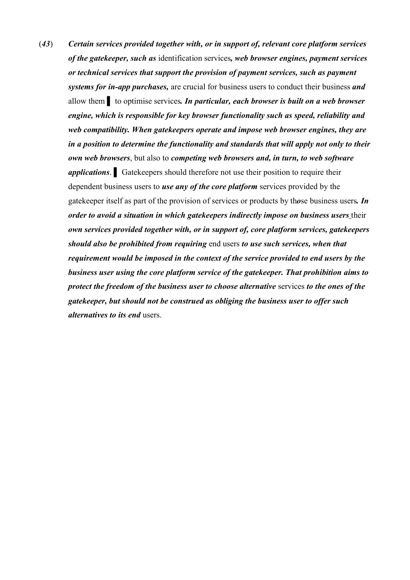(*43*) *Certain services provided together with, or in support of, relevant core platform services of the gatekeeper, such as* identification services*, web browser engines, payment services or technical services that support the provision of payment services, such as payment systems for in-app purchases,* are crucial for business users to conduct their business *and* allow them ▌ to optimise services*. In particular, each browser is built on a web browser engine, which is responsible for key browser functionality such as speed, reliability and web compatibility. When gatekeepers operate and impose web browser engines, they are in a position to determine the functionality and standards that will apply not only to their own web browsers*, but also to *competing web browsers and, in turn, to web software applications*. ▌ Gatekeepers should therefore not use their position to require their dependent business users to *use any of the core platform* services provided by the gatekeeper itself as part of the provision of services or products by th*o*se business users*. In order to avoid a situation in which gatekeepers indirectly impose on business users* their *own services provided together with, or in support of, core platform services, gatekeepers should also be prohibited from requiring* end users *to use such services, when that requirement would be imposed in the context of the service provided to end users by the business user using the core platform service of the gatekeeper. That prohibition aims to protect the freedom of the business user to choose alternative* services *to the ones of the gatekeeper, but should not be construed as obliging the business user to offer such alternatives to its end* users.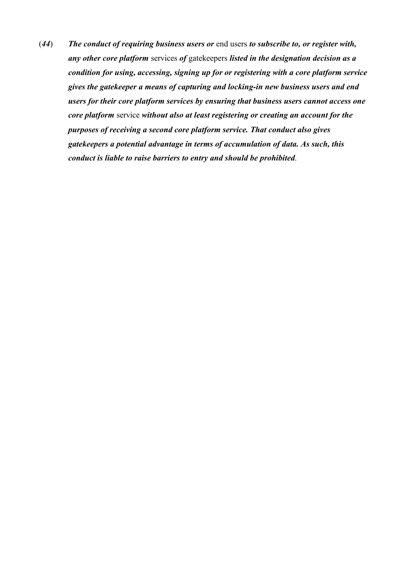(*44*) *The conduct of requiring business users or* end users *to subscribe to, or register with, any other core platform* services *of* gatekeepers *listed in the designation decision as a condition for using, accessing, signing up for or registering with a core platform service gives the gatekeeper a means of capturing and locking-in new business users and end users for their core platform services by ensuring that business users cannot access one core platform* service *without also at least registering or creating an account for the purposes of receiving a second core platform service. That conduct also gives gatekeepers a potential advantage in terms of accumulation of data. As such, this conduct is liable to raise barriers to entry and should be prohibited*.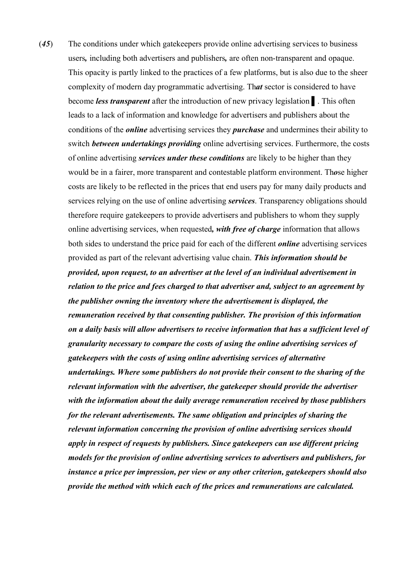(*45*) The conditions under which gatekeepers provide online advertising services to business users*,* including both advertisers and publishers*,* are often non-transparent and opaque. This opacity is partly linked to the practices of a few platforms, but is also due to the sheer complexity of modern day programmatic advertising. Th*at* sector is considered to have become *less transparent* after the introduction of new privacy legislation ▌. This often leads to a lack of information and knowledge for advertisers and publishers about the conditions of the *online* advertising services they *purchase* and undermines their ability to switch *between undertakings providing* online advertising services. Furthermore, the costs of online advertising *services under these conditions* are likely to be higher than they would be in a fairer, more transparent and contestable platform environment. Th*o*se higher costs are likely to be reflected in the prices that end users pay for many daily products and services relying on the use of online advertising *services*. Transparency obligations should therefore require gatekeepers to provide advertisers and publishers to whom they supply online advertising services, when requested*, with free of charge* information that allows both sides to understand the price paid for each of the different *online* advertising services provided as part of the relevant advertising value chain. *This information should be provided, upon request, to an advertiser at the level of an individual advertisement in relation to the price and fees charged to that advertiser and, subject to an agreement by the publisher owning the inventory where the advertisement is displayed, the remuneration received by that consenting publisher. The provision of this information on a daily basis will allow advertisers to receive information that has a sufficient level of granularity necessary to compare the costs of using the online advertising services of gatekeepers with the costs of using online advertising services of alternative undertakings. Where some publishers do not provide their consent to the sharing of the relevant information with the advertiser, the gatekeeper should provide the advertiser with the information about the daily average remuneration received by those publishers for the relevant advertisements. The same obligation and principles of sharing the relevant information concerning the provision of online advertising services should apply in respect of requests by publishers. Since gatekeepers can use different pricing models for the provision of online advertising services to advertisers and publishers, for instance a price per impression, per view or any other criterion, gatekeepers should also provide the method with which each of the prices and remunerations are calculated.*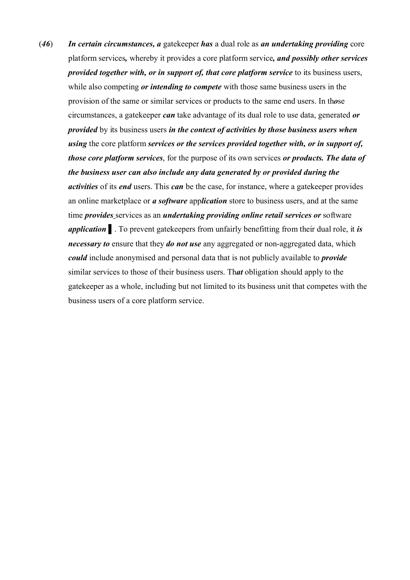(*46*) *In certain circumstances, a* gatekeeper *has* a dual role as *an undertaking providing* core platform services*,* whereby it provides a core platform service*, and possibly other services provided together with, or in support of, that core platform service* to its business users, while also competing *or intending to compete* with those same business users in the provision of the same or similar services or products to the same end users. In th*o*se circumstances, a gatekeeper *can* take advantage of its dual role to use data, generated *or provided* by its business users *in the context of activities by those business users when using* the core platform *services or the services provided together with, or in support of, those core platform services*, for the purpose of its own services *or products. The data of the business user can also include any data generated by or provided during the activities* of its *end* users. This *can* be the case, for instance, where a gatekeeper provides an online marketplace or *a software* app*lication* store to business users, and at the same time *provides* services as an *undertaking providing online retail services or* software *application* ▌. To prevent gatekeepers from unfairly benefitting from their dual role, it *is necessary to* ensure that they *do not use* any aggregated or non-aggregated data, which *could* include anonymised and personal data that is not publicly available to *provide* similar services to those of their business users. Th*at* obligation should apply to the gatekeeper as a whole, including but not limited to its business unit that competes with the business users of a core platform service.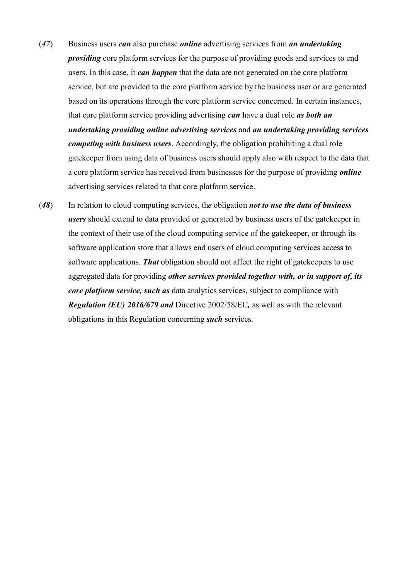- (*47*) Business users *can* also purchase *online* advertising services from *an undertaking providing* core platform services for the purpose of providing goods and services to end users. In this case, it *can happen* that the data are not generated on the core platform service, but are provided to the core platform service by the business user or are generated based on its operations through the core platform service concerned. In certain instances, that core platform service providing advertising *can* have a dual role *as both an undertaking providing online advertising services* and *an undertaking providing services competing with business users*. Accordingly, the obligation prohibiting a dual role gatekeeper from using data of business users should apply also with respect to the data that a core platform service has received from businesses for the purpose of providing *online* advertising services related to that core platform service.
- (*48*) In relation to cloud computing services, th*e* obligation *not to use the data of business users* should extend to data provided or generated by business users of the gatekeeper in the context of their use of the cloud computing service of the gatekeeper, or through its software application store that allows end users of cloud computing services access to software applications. *That* obligation should not affect the right of gatekeepers to use aggregated data for providing *other services provided together with, or in support of, its core platform service, such as* data analytics services, subject to compliance with *Regulation (EU) 2016/679 and* Directive 2002/58/EC*,* as well as with the relevant obligations in this Regulation concerning *such* services.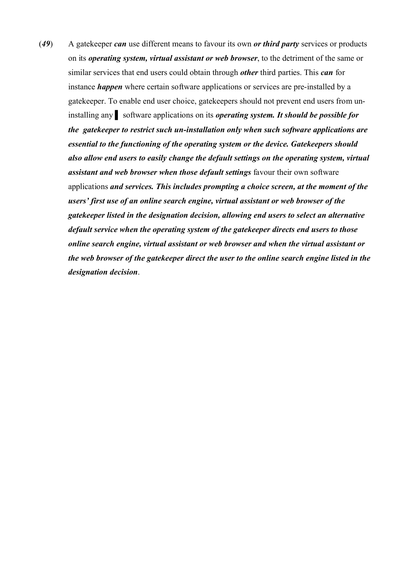(*49*) A gatekeeper *can* use different means to favour its own *or third party* services or products on its *operating system, virtual assistant or web browser*, to the detriment of the same or similar services that end users could obtain through *other* third parties. This *can* for instance *happen* where certain software applications or services are pre-installed by a gatekeeper. To enable end user choice, gatekeepers should not prevent end users from uninstalling any ▌ software applications on its *operating system. It should be possible for the gatekeeper to restrict such un-installation only when such software applications are essential to the functioning of the operating system or the device. Gatekeepers should also allow end users to easily change the default settings on the operating system, virtual assistant and web browser when those default settings* favour their own software applications *and services. This includes prompting a choice screen, at the moment of the users' first use of an online search engine, virtual assistant or web browser of the gatekeeper listed in the designation decision, allowing end users to select an alternative default service when the operating system of the gatekeeper directs end users to those online search engine, virtual assistant or web browser and when the virtual assistant or the web browser of the gatekeeper direct the user to the online search engine listed in the designation decision*.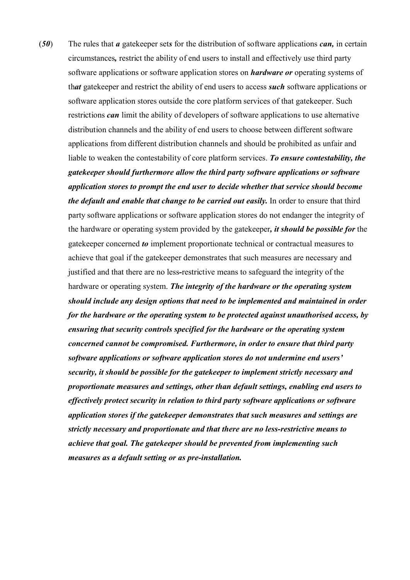(*50*) The rules that *a* gatekeeper set*s* for the distribution of software applications *can,* in certain circumstances*,* restrict the ability of end users to install and effectively use third party software applications or software application stores on *hardware or* operating systems of th*at* gatekeeper and restrict the ability of end users to access *such* software applications or software application stores outside the core platform services of that gatekeeper. Such restrictions *can* limit the ability of developers of software applications to use alternative distribution channels and the ability of end users to choose between different software applications from different distribution channels and should be prohibited as unfair and liable to weaken the contestability of core platform services. *To ensure contestability, the gatekeeper should furthermore allow the third party software applications or software application stores to prompt the end user to decide whether that service should become the default and enable that change to be carried out easily.* In order to ensure that third party software applications or software application stores do not endanger the integrity of the hardware or operating system provided by the gatekeeper*, it should be possible for* the gatekeeper concerned *to* implement proportionate technical or contractual measures to achieve that goal if the gatekeeper demonstrates that such measures are necessary and justified and that there are no less*-*restrictive means to safeguard the integrity of the hardware or operating system. *The integrity of the hardware or the operating system should include any design options that need to be implemented and maintained in order for the hardware or the operating system to be protected against unauthorised access, by ensuring that security controls specified for the hardware or the operating system concerned cannot be compromised. Furthermore, in order to ensure that third party software applications or software application stores do not undermine end users' security, it should be possible for the gatekeeper to implement strictly necessary and proportionate measures and settings, other than default settings, enabling end users to effectively protect security in relation to third party software applications or software application stores if the gatekeeper demonstrates that such measures and settings are strictly necessary and proportionate and that there are no less-restrictive means to achieve that goal. The gatekeeper should be prevented from implementing such measures as a default setting or as pre-installation.*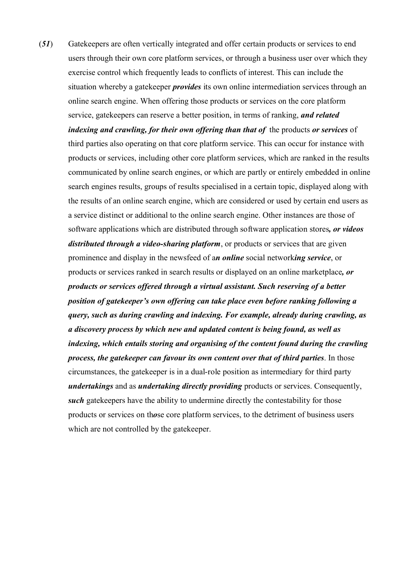(*51*) Gatekeepers are often vertically integrated and offer certain products or services to end users through their own core platform services, or through a business user over which they exercise control which frequently leads to conflicts of interest. This can include the situation whereby a gatekeeper *provides* its own online intermediation services through an online search engine. When offering those products or services on the core platform service, gatekeepers can reserve a better position, in terms of ranking, *and related indexing and crawling, for their own offering than that of* the products *or services* of third parties also operating on that core platform service. This can occur for instance with products or services, including other core platform services, which are ranked in the results communicated by online search engines, or which are partly or entirely embedded in online search engines results, groups of results specialised in a certain topic, displayed along with the results of an online search engine, which are considered or used by certain end users as a service distinct or additional to the online search engine. Other instances are those of software applications which are distributed through software application stores*, or videos distributed through a video-sharing platform*, or products or services that are given prominence and display in the newsfeed of a*n online* social network*ing service*, or products or services ranked in search results or displayed on an online marketplace*, or products or services offered through a virtual assistant. Such reserving of a better position of gatekeeper's own offering can take place even before ranking following a query, such as during crawling and indexing. For example, already during crawling, as a discovery process by which new and updated content is being found, as well as indexing, which entails storing and organising of the content found during the crawling process, the gatekeeper can favour its own content over that of third parties*. In those circumstances, the gatekeeper is in a dual-role position as intermediary for third party *undertakings* and as *undertaking directly providing* products or services. Consequently, *such* gatekeepers have the ability to undermine directly the contestability for those products or services on th*o*se core platform services, to the detriment of business users which are not controlled by the gatekeeper.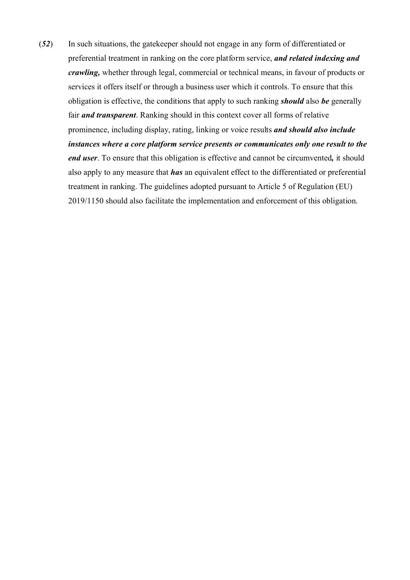(*52*) In such situations, the gatekeeper should not engage in any form of differentiated or preferential treatment in ranking on the core platform service, *and related indexing and crawling,* whether through legal, commercial or technical means, in favour of products or services it offers itself or through a business user which it controls. To ensure that this obligation is effective, the conditions that apply to such ranking *should* also *be* generally fair *and transparent*. Ranking should in this context cover all forms of relative prominence, including display, rating, linking or voice results *and should also include instances where a core platform service presents or communicates only one result to the end user*. To ensure that this obligation is effective and cannot be circumvented*,* it should also apply to any measure that *has* an equivalent effect to the differentiated or preferential treatment in ranking. The guidelines adopted pursuant to Article 5 of Regulation (EU) 2019/1150 should also facilitate the implementation and enforcement of this obligation.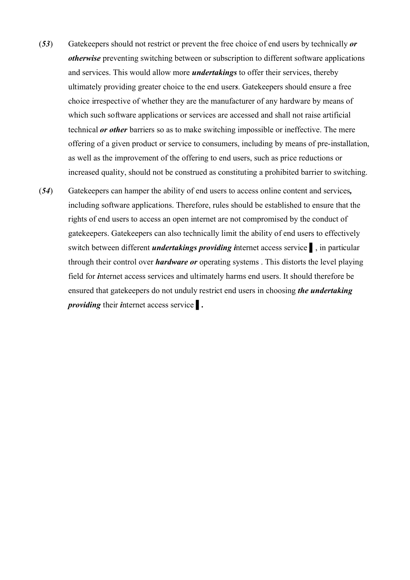- (*53*) Gatekeepers should not restrict or prevent the free choice of end users by technically *or otherwise* preventing switching between or subscription to different software applications and services. This would allow more *undertakings* to offer their services, thereby ultimately providing greater choice to the end user*s*. Gatekeepers should ensure a free choice irrespective of whether they are the manufacturer of any hardware by means of which such software applications or services are accessed and shall not raise artificial technical *or other* barriers so as to make switching impossible or ineffective. The mere offering of a given product or service to consumers, including by means of pre-installation, as well as the improvement of the offering to end users, such as price reductions or increased quality, should not be construed as constituting a prohibited barrier to switching.
- (*54*) Gatekeepers can hamper the ability of end users to access online content and services*,* including software applications. Therefore, rules should be established to ensure that the rights of end users to access an open internet are not compromised by the conduct of gatekeepers. Gatekeepers can also technically limit the ability of end users to effectively switch between different *undertakings providing i*nternet access service ▌, in particular through their control over *hardware or* operating systems . This distorts the level playing field for *i*nternet access services and ultimately harms end users. It should therefore be ensured that gatekeepers do not unduly restrict end users in choosing *the undertaking providing* their *i*nternet access service ▌*.*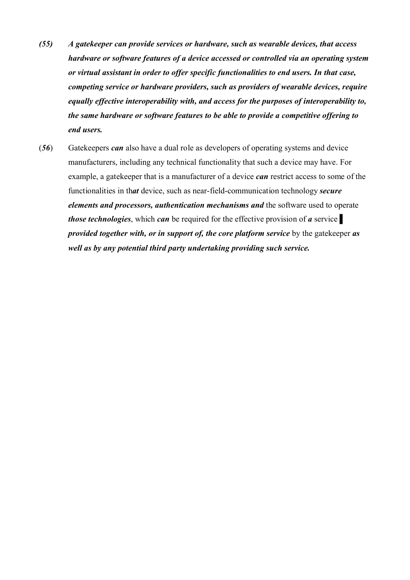- *(55) A gatekeeper can provide services or hardware, such as wearable devices, that access hardware or software features of a device accessed or controlled via an operating system or virtual assistant in order to offer specific functionalities to end users. In that case, competing service or hardware providers, such as providers of wearable devices, require equally effective interoperability with, and access for the purposes of interoperability to, the same hardware or software features to be able to provide a competitive offering to end users.*
- (*56*) Gatekeepers *can* also have a dual role as developers of operating systems and device manufacturers, including any technical functionality that such a device may have. For example, a gatekeeper that is a manufacturer of a device *can* restrict access to some of the functionalities in th*at* device, such as near-field-communication technology *secure elements and processors, authentication mechanisms and* the software used to operate *those technologies*, which *can* be required for the effective provision of *a* service ▌ *provided together with, or in support of, the core platform service* by the gatekeeper *as well as by any potential third party undertaking providing such service.*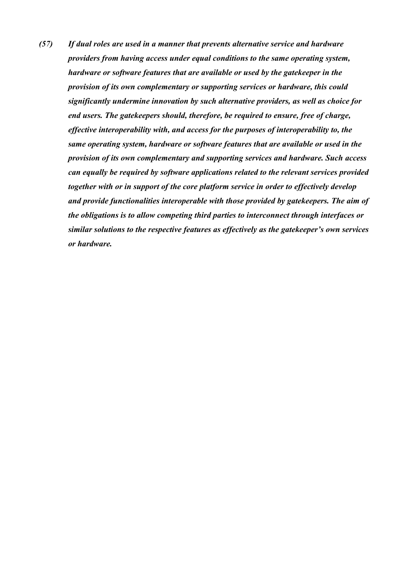*(57) If dual roles are used in a manner that prevents alternative service and hardware providers from having access under equal conditions to the same operating system, hardware or software features that are available or used by the gatekeeper in the provision of its own complementary or supporting services or hardware, this could significantly undermine innovation by such alternative providers, as well as choice for end users. The gatekeepers should, therefore, be required to ensure, free of charge, effective interoperability with, and access for the purposes of interoperability to, the same operating system, hardware or software features that are available or used in the provision of its own complementary and supporting services and hardware. Such access can equally be required by software applications related to the relevant services provided together with or in support of the core platform service in order to effectively develop and provide functionalities interoperable with those provided by gatekeepers. The aim of the obligations is to allow competing third parties to interconnect through interfaces or similar solutions to the respective features as effectively as the gatekeeper's own services or hardware.*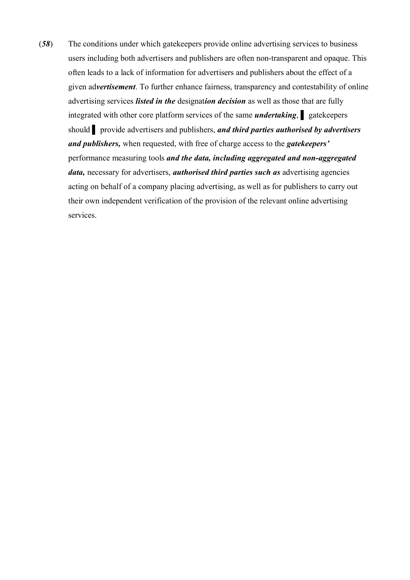(*58*) The conditions under which gatekeepers provide online advertising services to business users including both advertisers and publishers are often non-transparent and opaque. This often leads to a lack of information for advertisers and publishers about the effect of a given ad*vertisement*. To further enhance fairness, transparency and contestability of online advertising services *listed in the* designat*ion decision* as well as those that are fully integrated with other core platform services of the same *undertaking*, at gatekeepers should **provide advertisers and publishers,** *and third parties authorised by advertisers and publishers,* when requested, with free of charge access to the *gatekeepers'*  performance measuring tools *and the data, including aggregated and non-aggregated data,* necessary for advertisers, *authorised third parties such as* advertising agencies acting on behalf of a company placing advertising, as well as for publishers to carry out their own independent verification of the provision of the relevant online advertising services.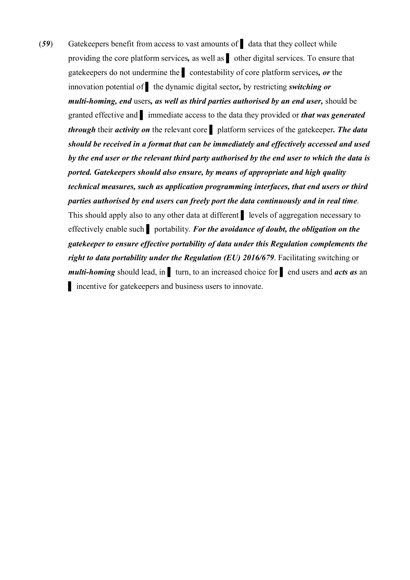(*59*) Gatekeepers benefit from access to vast amounts of ▌ data that they collect while providing the core platform services*,* as well as ▌ other digital services. To ensure that gatekeepers do not undermine the ▌ contestability of core platform services*, or* the innovation potential of ▌ the dynamic digital sector*,* by restricting *switching or multi-homing, end* users*, as well as third parties authorised by an end user,* should be granted effective and ▌ immediate access to the data they provided or *that was generated through* their *activity on* the relevant core ▌ platform services of the gatekeeper*. The data should be received in a format that can be immediately and effectively accessed and used by the end user or the relevant third party authorised by the end user to which the data is ported. Gatekeepers should also ensure, by means of appropriate and high quality technical measures, such as application programming interfaces, that end users or third parties authorised by end users can freely port the data continuously and in real time*. This should apply also to any other data at different ▌ levels of aggregation necessary to effectively enable such ▌ portability. *For the avoidance of doubt, the obligation on the gatekeeper to ensure effective portability of data under this Regulation complements the right to data portability under the Regulation (EU) 2016/679*. Facilitating switching or *multi-homing* should lead, in ▌ turn, to an increased choice for ▌ end users and *acts as* an ▌ incentive for gatekeepers and business users to innovate.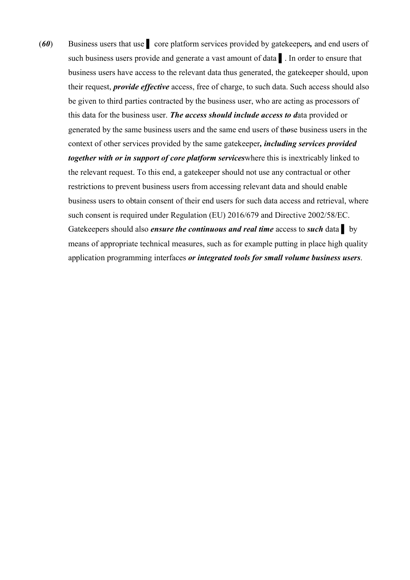(*60*) Business users that use ▌ core platform services provided by gatekeepers*,* and end users of such business users provide and generate a vast amount of data ▌. In order to ensure that business users have access to the relevant data thus generated, the gatekeeper should, upon their request, *provide effective* access, free of charge, to such data. Such access should also be given to third parties contracted by the business user, who are acting as processors of this data for the business user. *The access should include access to d*ata provided or generated by the same business users and the same end users of th*o*se business users in the context of other services provided by the same gatekeeper*, including services provided together with or in support of core platform services*where this is inextricably linked to the relevant request. To this end, a gatekeeper should not use any contractual or other restrictions to prevent business users from accessing relevant data and should enable business users to obtain consent of their end users for such data access and retrieval, where such consent is required under Regulation (EU) 2016/679 and Directive 2002/58/EC. Gatekeepers should also *ensure the continuous and real time* access to *such* data ▌ by means of appropriate technical measures, such as for example putting in place high quality application programming interfaces *or integrated tools for small volume business users*.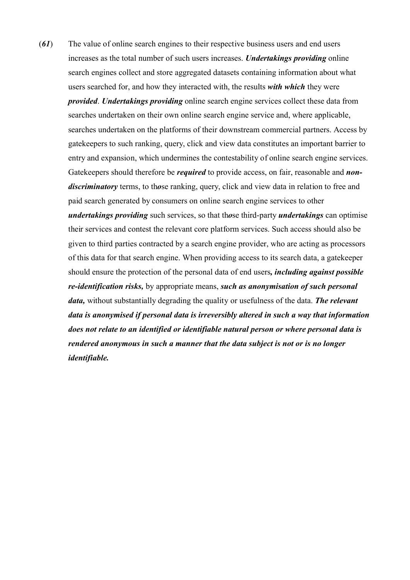(*61*) The value of online search engines to their respective business users and end users increases as the total number of such users increases. *Undertakings providing* online search engines collect and store aggregated datasets containing information about what users searched for, and how they interacted with, the results *with which* they were *provided*. *Undertakings providing* online search engine services collect these data from searches undertaken on their own online search engine service and, where applicable, searches undertaken on the platforms of their downstream commercial partners. Access by gatekeepers to such ranking, query, click and view data constitutes an important barrier to entry and expansion, which undermines the contestability of online search engine services. Gatekeepers should therefore be *required* to provide access, on fair, reasonable and *nondiscriminatory* terms, to th*o*se ranking, query, click and view data in relation to free and paid search generated by consumers on online search engine services to other *undertakings providing* such services, so that th*o*se third-party *undertakings* can optimise their services and contest the relevant core platform services. Such access should also be given to third parties contracted by a search engine provider, who are acting as processors of this data for that search engine. When providing access to its search data, a gatekeeper should ensure the protection of the personal data of end users*, including against possible re-identification risks,* by appropriate means, *such as anonymisation of such personal data,* without substantially degrading the quality or usefulness of the data. *The relevant data is anonymised if personal data is irreversibly altered in such a way that information does not relate to an identified or identifiable natural person or where personal data is rendered anonymous in such a manner that the data subject is not or is no longer identifiable.*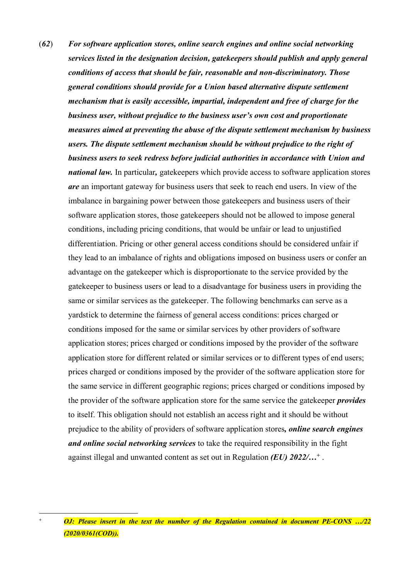- (*62*) *For software application stores, online search engines and online social networking services listed in the designation decision, gatekeepers should publish and apply general conditions of access that should be fair, reasonable and non-discriminatory. Those general conditions should provide for a Union based alternative dispute settlement mechanism that is easily accessible, impartial, independent and free of charge for the business user, without prejudice to the business user's own cost and proportionate measures aimed at preventing the abuse of the dispute settlement mechanism by business users. The dispute settlement mechanism should be without prejudice to the right of business users to seek redress before judicial authorities in accordance with Union and national law.* In particular*,* gatekeepers which provide access to software application stores *are* an important gateway for business users that seek to reach end users. In view of the imbalance in bargaining power between those gatekeepers and business users of their software application stores, those gatekeepers should not be allowed to impose general conditions, including pricing conditions, that would be unfair or lead to unjustified differentiation. Pricing or other general access conditions should be considered unfair if they lead to an imbalance of rights and obligations imposed on business users or confer an advantage on the gatekeeper which is disproportionate to the service provided by the gatekeeper to business users or lead to a disadvantage for business users in providing the same or similar services as the gatekeeper. The following benchmarks can serve as a yardstick to determine the fairness of general access conditions: prices charged or conditions imposed for the same or similar services by other providers of software application stores; prices charged or conditions imposed by the provider of the software application store for different related or similar services or to different types of end users; prices charged or conditions imposed by the provider of the software application store for the same service in different geographic regions; prices charged or conditions imposed by the provider of the software application store for the same service the gatekeeper *provides*  to itself. This obligation should not establish an access right and it should be without prejudice to the ability of providers of software application stores*, online search engines and online social networking services* to take the required responsibility in the fight against illegal and unwanted content as set out in Regulation *(EU) 2022/…<sup>+</sup>* .
	- *<sup>+</sup> OJ: Please insert in the text the number of the Regulation contained in document PE-CONS …/22 (2020/0361(COD)).*

1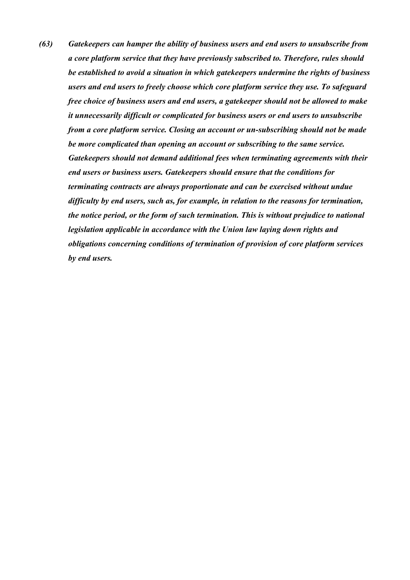*(63) Gatekeepers can hamper the ability of business users and end users to unsubscribe from a core platform service that they have previously subscribed to. Therefore, rules should be established to avoid a situation in which gatekeepers undermine the rights of business users and end users to freely choose which core platform service they use. To safeguard free choice of business users and end users, a gatekeeper should not be allowed to make it unnecessarily difficult or complicated for business users or end users to unsubscribe from a core platform service. Closing an account or un-subscribing should not be made be more complicated than opening an account or subscribing to the same service. Gatekeepers should not demand additional fees when terminating agreements with their end users or business users. Gatekeepers should ensure that the conditions for terminating contracts are always proportionate and can be exercised without undue difficulty by end users, such as, for example, in relation to the reasons for termination, the notice period, or the form of such termination. This is without prejudice to national legislation applicable in accordance with the Union law laying down rights and obligations concerning conditions of termination of provision of core platform services by end users.*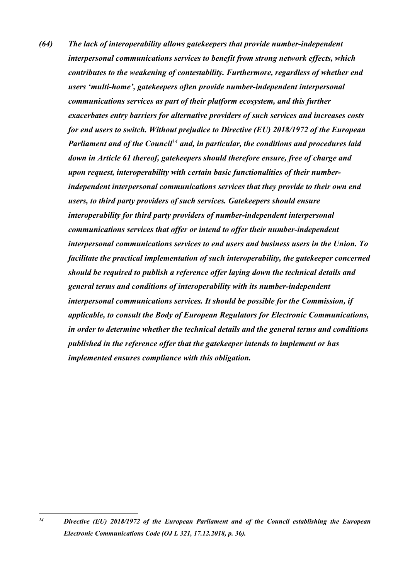*(64) The lack of interoperability allows gatekeepers that provide number-independent interpersonal communications services to benefit from strong network effects, which contributes to the weakening of contestability. Furthermore, regardless of whether end users 'multi-home', gatekeepers often provide number-independent interpersonal communications services as part of their platform ecosystem, and this further exacerbates entry barriers for alternative providers of such services and increases costs for end users to switch. Without prejudice to Directive (EU) 2018/1972 of the European Parliament and of the Council<sup>14</sup> and, in particular, the conditions and procedures laid down in Article 61 thereof, gatekeepers should therefore ensure, free of charge and upon request, interoperability with certain basic functionalities of their numberindependent interpersonal communications services that they provide to their own end users, to third party providers of such services. Gatekeepers should ensure interoperability for third party providers of number-independent interpersonal communications services that offer or intend to offer their number-independent interpersonal communications services to end users and business users in the Union. To facilitate the practical implementation of such interoperability, the gatekeeper concerned should be required to publish a reference offer laying down the technical details and general terms and conditions of interoperability with its number-independent interpersonal communications services. It should be possible for the Commission, if applicable, to consult the Body of European Regulators for Electronic Communications, in order to determine whether the technical details and the general terms and conditions published in the reference offer that the gatekeeper intends to implement or has implemented ensures compliance with this obligation.* 

 $14$ *<sup>14</sup> Directive (EU) 2018/1972 of the European Parliament and of the Council establishing the European Electronic Communications Code (OJ L 321, 17.12.2018, p. 36).*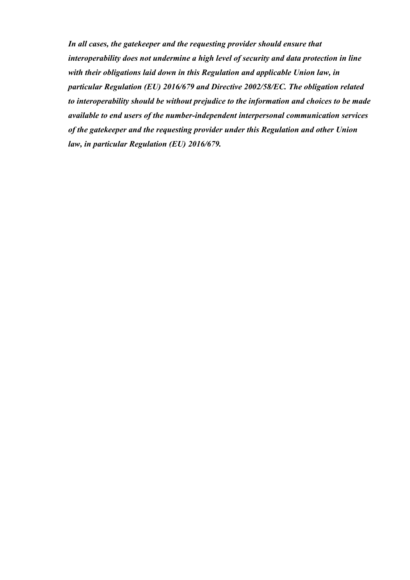*In all cases, the gatekeeper and the requesting provider should ensure that interoperability does not undermine a high level of security and data protection in line with their obligations laid down in this Regulation and applicable Union law, in particular Regulation (EU) 2016/679 and Directive 2002/58/EC. The obligation related to interoperability should be without prejudice to the information and choices to be made available to end users of the number-independent interpersonal communication services of the gatekeeper and the requesting provider under this Regulation and other Union law, in particular Regulation (EU) 2016/679.*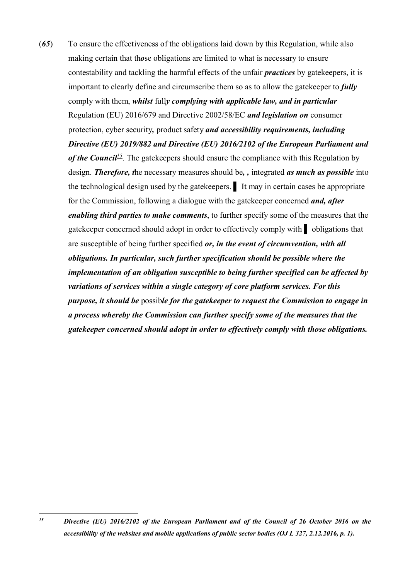(*65*) To ensure the effectiveness of the obligations laid down by this Regulation, while also making certain that th*o*se obligations are limited to what is necessary to ensure contestability and tackling the harmful effects of the unfair *practices* by gatekeepers, it is important to clearly define and circumscribe them so as to allow the gatekeeper to *fully* comply with them, *whilst* full*y complying with applicable law, and in particular*  Regulation (EU) 2016/679 and Directive 2002/58/EC *and legislation on* consumer protection, cyber security*,* product safety *and accessibility requirements, including Directive (EU) 2019/882 and Directive (EU) 2016/2102 of the European Parliament and of the Council<sup>15</sup>*. The gatekeepers should ensure the compliance with this Regulation by design. *Therefore, t*he necessary measures should be*, ,* integrated *as much as possible* into the technological design used by the gatekeepers. ▌ It may in certain cases be appropriate for the Commission, following a dialogue with the gatekeeper concerned *and, after enabling third parties to make comments*, to further specify some of the measures that the gatekeeper concerned should adopt in order to effectively comply with ▌ obligations that are susceptible of being further specified *or, in the event of circumvention, with all obligations. In particular, such further specification should be possible where the implementation of an obligation susceptible to being further specified can be affected by variations of services within a single category of core platform services. For this purpose, it should be* possib*le for the gatekeeper to request the Commission to engage in a process whereby the Commission can further specify some of the measures that the gatekeeper concerned should adopt in order to effectively comply with those obligations.* 

 $15$ *<sup>15</sup> Directive (EU) 2016/2102 of the European Parliament and of the Council of 26 October 2016 on the accessibility of the websites and mobile applications of public sector bodies (OJ L 327, 2.12.2016, p. 1).*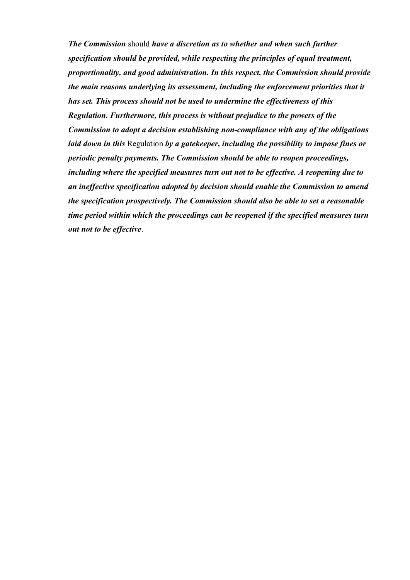*The Commission* should *have a discretion as to whether and when such further specification should be provided, while respecting the principles of equal treatment, proportionality, and good administration. In this respect, the Commission should provide the main reasons underlying its assessment, including the enforcement priorities that it has set. This process should not be used to undermine the effectiveness of this Regulation. Furthermore, this process is without prejudice to the powers of the Commission to adopt a decision establishing non-compliance with any of the obligations laid down in this* Regulation *by a gatekeeper, including the possibility to impose fines or periodic penalty payments. The Commission should be able to reopen proceedings, including where the specified measures turn out not to be effective. A reopening due to an ineffective specification adopted by decision should enable the Commission to amend the specification prospectively. The Commission should also be able to set a reasonable time period within which the proceedings can be reopened if the specified measures turn out not to be effective*.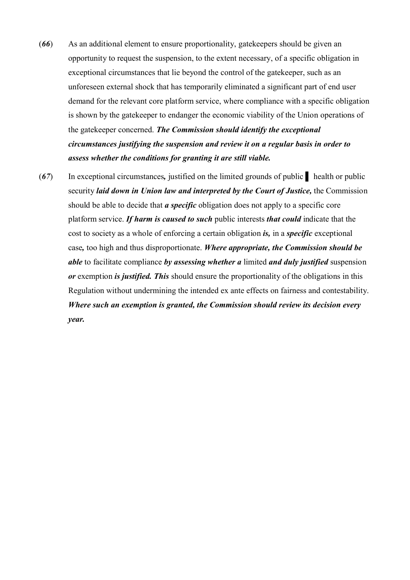- (*66*) As an additional element to ensure proportionality, gatekeepers should be given an opportunity to request the suspension, to the extent necessary, of a specific obligation in exceptional circumstances that lie beyond the control of the gatekeeper, such as an unforeseen external shock that has temporarily eliminated a significant part of end user demand for the relevant core platform service, where compliance with a specific obligation is shown by the gatekeeper to endanger the economic viability of the Union operations of the gatekeeper concerned. *The Commission should identify the exceptional circumstances justifying the suspension and review it on a regular basis in order to assess whether the conditions for granting it are still viable.*
- (*67*) In exceptional circumstances*,* justified on the limited grounds of public ▌ health or public security *laid down in Union law and interpreted by the Court of Justice*, the Commission should be able to decide that *a specific* obligation does not apply to a specific core platform service. *If harm is caused to such* public interests *that could* indicate that the cost to society as a whole of enforcing a certain obligation *is,* in a *specific* exceptional case*,* too high and thus disproportionate. *Where appropriate, the Commission should be able* to facilitate compliance *by assessing whether a* limited *and duly justified* suspension *or* exemption *is justified. This* should ensure the proportionality of the obligations in this Regulation without undermining the intended ex ante effects on fairness and contestability. *Where such an exemption is granted, the Commission should review its decision every year.*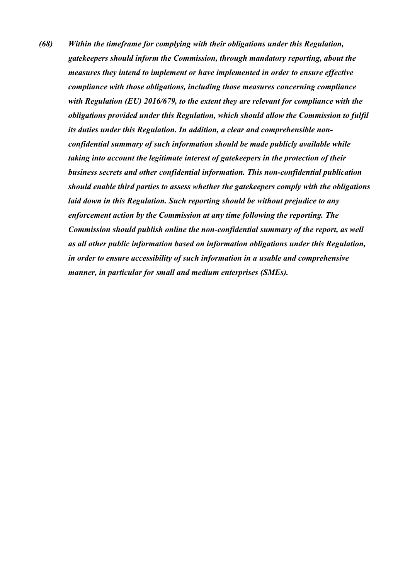*(68) Within the timeframe for complying with their obligations under this Regulation, gatekeepers should inform the Commission, through mandatory reporting, about the measures they intend to implement or have implemented in order to ensure effective compliance with those obligations, including those measures concerning compliance with Regulation (EU) 2016/679, to the extent they are relevant for compliance with the obligations provided under this Regulation, which should allow the Commission to fulfil its duties under this Regulation. In addition, a clear and comprehensible nonconfidential summary of such information should be made publicly available while taking into account the legitimate interest of gatekeepers in the protection of their business secrets and other confidential information. This non-confidential publication should enable third parties to assess whether the gatekeepers comply with the obligations laid down in this Regulation. Such reporting should be without prejudice to any enforcement action by the Commission at any time following the reporting. The Commission should publish online the non-confidential summary of the report, as well as all other public information based on information obligations under this Regulation, in order to ensure accessibility of such information in a usable and comprehensive manner, in particular for small and medium enterprises (SMEs).*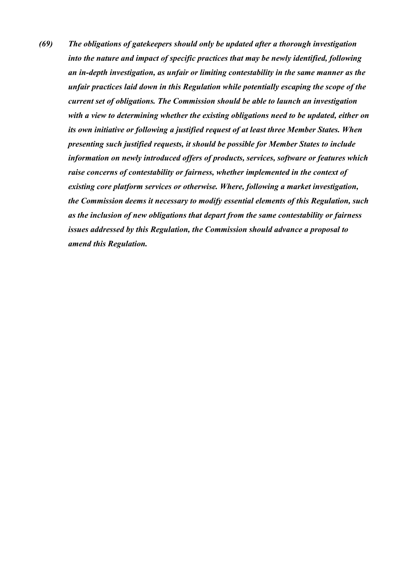*(69) The obligations of gatekeepers should only be updated after a thorough investigation into the nature and impact of specific practices that may be newly identified, following an in-depth investigation, as unfair or limiting contestability in the same manner as the unfair practices laid down in this Regulation while potentially escaping the scope of the current set of obligations. The Commission should be able to launch an investigation with a view to determining whether the existing obligations need to be updated, either on its own initiative or following a justified request of at least three Member States. When presenting such justified requests, it should be possible for Member States to include information on newly introduced offers of products, services, software or features which raise concerns of contestability or fairness, whether implemented in the context of existing core platform services or otherwise. Where, following a market investigation, the Commission deems it necessary to modify essential elements of this Regulation, such as the inclusion of new obligations that depart from the same contestability or fairness issues addressed by this Regulation, the Commission should advance a proposal to amend this Regulation.*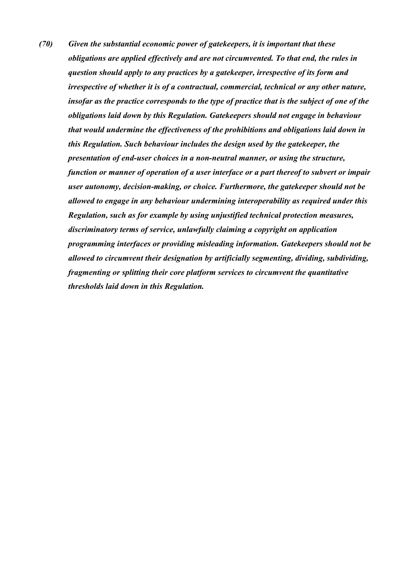*(70) Given the substantial economic power of gatekeepers, it is important that these obligations are applied effectively and are not circumvented. To that end, the rules in question should apply to any practices by a gatekeeper, irrespective of its form and irrespective of whether it is of a contractual, commercial, technical or any other nature, insofar as the practice corresponds to the type of practice that is the subject of one of the obligations laid down by this Regulation. Gatekeepers should not engage in behaviour that would undermine the effectiveness of the prohibitions and obligations laid down in this Regulation. Such behaviour includes the design used by the gatekeeper, the presentation of end-user choices in a non-neutral manner, or using the structure, function or manner of operation of a user interface or a part thereof to subvert or impair user autonomy, decision-making, or choice. Furthermore, the gatekeeper should not be allowed to engage in any behaviour undermining interoperability as required under this Regulation, such as for example by using unjustified technical protection measures, discriminatory terms of service, unlawfully claiming a copyright on application programming interfaces or providing misleading information. Gatekeepers should not be allowed to circumvent their designation by artificially segmenting, dividing, subdividing, fragmenting or splitting their core platform services to circumvent the quantitative thresholds laid down in this Regulation.*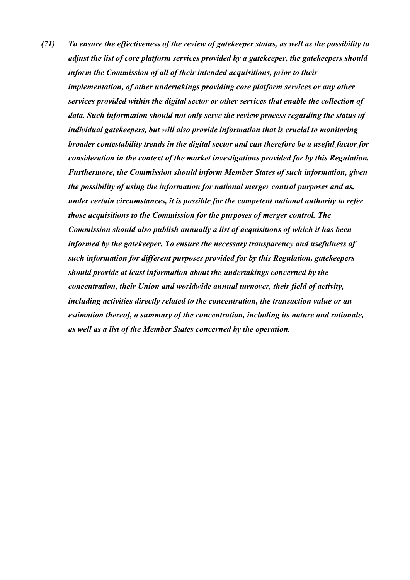*(71) To ensure the effectiveness of the review of gatekeeper status, as well as the possibility to adjust the list of core platform services provided by a gatekeeper, the gatekeepers should inform the Commission of all of their intended acquisitions, prior to their implementation, of other undertakings providing core platform services or any other services provided within the digital sector or other services that enable the collection of data. Such information should not only serve the review process regarding the status of individual gatekeepers, but will also provide information that is crucial to monitoring broader contestability trends in the digital sector and can therefore be a useful factor for consideration in the context of the market investigations provided for by this Regulation. Furthermore, the Commission should inform Member States of such information, given the possibility of using the information for national merger control purposes and as, under certain circumstances, it is possible for the competent national authority to refer those acquisitions to the Commission for the purposes of merger control. The Commission should also publish annually a list of acquisitions of which it has been informed by the gatekeeper. To ensure the necessary transparency and usefulness of such information for different purposes provided for by this Regulation, gatekeepers should provide at least information about the undertakings concerned by the concentration, their Union and worldwide annual turnover, their field of activity, including activities directly related to the concentration, the transaction value or an estimation thereof, a summary of the concentration, including its nature and rationale, as well as a list of the Member States concerned by the operation.*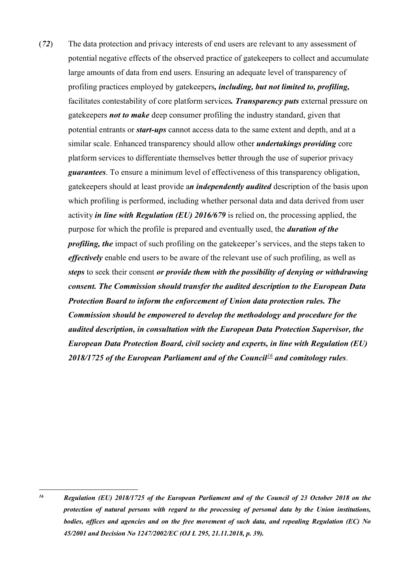(*72*) The data protection and privacy interests of end users are relevant to any assessment of potential negative effects of the observed practice of gatekeepers to collect and accumulate large amounts of data from end users. Ensuring an adequate level of transparency of profiling practices employed by gatekeepers*, including, but not limited to, profiling,* facilitates contestability of core platform services*. Transparency puts* external pressure on gatekeepers *not to make* deep consumer profiling the industry standard, given that potential entrants or *start-ups* cannot access data to the same extent and depth, and at a similar scale. Enhanced transparency should allow other *undertakings providing* core platform services to differentiate themselves better through the use of superior privacy *guarantees*. To ensure a minimum level of effectiveness of this transparency obligation, gatekeepers should at least provide a*n independently audited* description of the basis upon which profiling is performed, including whether personal data and data derived from user activity *in line with Regulation (EU) 2016/679* is relied on, the processing applied, the purpose for which the profile is prepared and eventually used, the *duration of the profiling, the* impact of such profiling on the gatekeeper's services, and the steps taken to *effectively* enable end users to be aware of the relevant use of such profiling, as well as *steps* to seek their consent *or provide them with the possibility of denying or withdrawing consent. The Commission should transfer the audited description to the European Data Protection Board to inform the enforcement of Union data protection rules. The Commission should be empowered to develop the methodology and procedure for the audited description, in consultation with the European Data Protection Supervisor, the European Data Protection Board, civil society and experts, in line with Regulation (EU) 2018/1725 of the European Parliament and of the Council<sup>16</sup> and comitology rules*.

1

*<sup>16</sup> Regulation (EU) 2018/1725 of the European Parliament and of the Council of 23 October 2018 on the protection of natural persons with regard to the processing of personal data by the Union institutions, bodies, offices and agencies and on the free movement of such data, and repealing Regulation (EC) No 45/2001 and Decision No 1247/2002/EC (OJ L 295, 21.11.2018, p. 39).*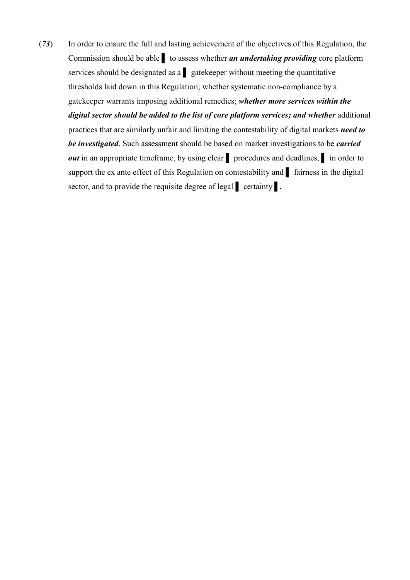(*73*) In order to ensure the full and lasting achievement of the objectives of this Regulation, the Commission should be able ▌ to assess whether *an undertaking providing* core platform services should be designated as a quantitative gatekeeper without meeting the quantitative thresholds laid down in this Regulation; whether systematic non-compliance by a gatekeeper warrants imposing additional remedies; *whether more services within the digital sector should be added to the list of core platform services; and whether* additional practices that are similarly unfair and limiting the contestability of digital markets *need to be investigated*. Such assessment should be based on market investigations to be *carried out* in an appropriate timeframe, by using clear <u>Ⅰ</u> procedures and deadlines, Ⅰ in order to support the ex ante effect of this Regulation on contestability and lairness in the digital sector, and to provide the requisite degree of legal **certainty** .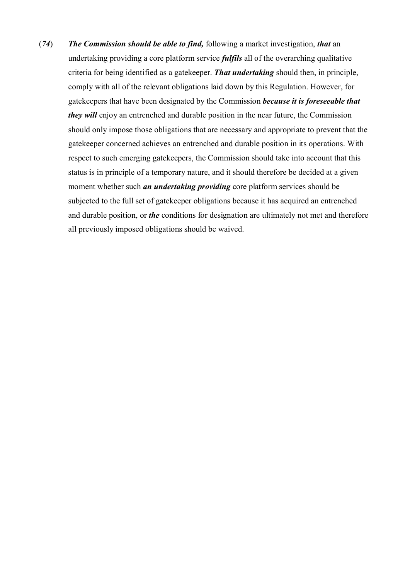(*74*) *The Commission should be able to find,* following a market investigation, *that* an undertaking providing a core platform service *fulfils* all of the overarching qualitative criteria for being identified as a gatekeeper. *That undertaking* should then, in principle, comply with all of the relevant obligations laid down by this Regulation. However, for gatekeepers that have been designated by the Commission *because it is foreseeable that they will* enjoy an entrenched and durable position in the near future, the Commission should only impose those obligations that are necessary and appropriate to prevent that the gatekeeper concerned achieves an entrenched and durable position in its operations. With respect to such emerging gatekeepers, the Commission should take into account that this status is in principle of a temporary nature, and it should therefore be decided at a given moment whether such *an undertaking providing* core platform services should be subjected to the full set of gatekeeper obligations because it has acquired an entrenched and durable position, or *the* conditions for designation are ultimately not met and therefore all previously imposed obligations should be waived.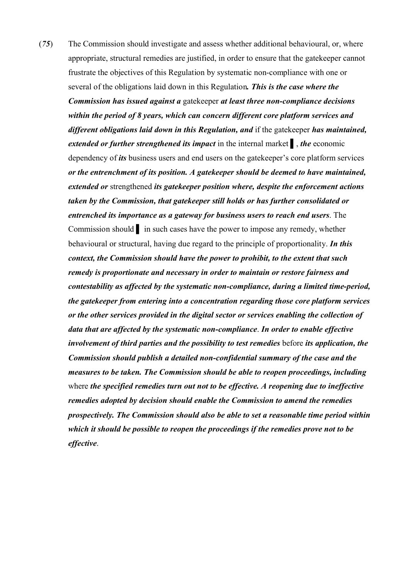(*75*) The Commission should investigate and assess whether additional behavioural, or, where appropriate, structural remedies are justified, in order to ensure that the gatekeeper cannot frustrate the objectives of this Regulation by systematic non-compliance with one or several of the obligations laid down in this Regulation*. This is the case where the Commission has issued against a* gatekeeper *at least three non-compliance decisions within the period of 8 years, which can concern different core platform services and different obligations laid down in this Regulation, and* if the gatekeeper *has maintained, extended or further strengthened its impact* in the internal market ▌, *the* economic dependency of *its* business users and end users on the gatekeeper's core platform services *or the entrenchment of its position. A gatekeeper should be deemed to have maintained, extended or* strengthened *its gatekeeper position where, despite the enforcement actions taken by the Commission, that gatekeeper still holds or has further consolidated or entrenched its importance as a gateway for business users to reach end users*. The Commission should ▌ in such cases have the power to impose any remedy, whether behavioural or structural, having due regard to the principle of proportionality. *In this context, the Commission should have the power to prohibit, to the extent that such remedy is proportionate and necessary in order to maintain or restore fairness and contestability as affected by the systematic non-compliance, during a limited time-period, the gatekeeper from entering into a concentration regarding those core platform services or the other services provided in the digital sector or services enabling the collection of data that are affected by the systematic non-compliance*. *In order to enable effective involvement of third parties and the possibility to test remedies* before *its application, the Commission should publish a detailed non-confidential summary of the case and the measures to be taken. The Commission should be able to reopen proceedings, including* where *the specified remedies turn out not to be effective. A reopening due to ineffective remedies adopted by decision should enable the Commission to amend the remedies prospectively. The Commission should also be able to set a reasonable time period within which it should be possible to reopen the proceedings if the remedies prove not to be effective*.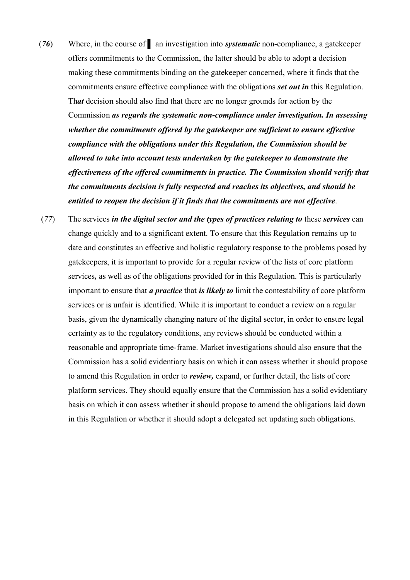- (*76*) Where, in the course of ▌ an investigation into *systematic* non-compliance, a gatekeeper offers commitments to the Commission, the latter should be able to adopt a decision making these commitments binding on the gatekeeper concerned, where it finds that the commitments ensure effective compliance with the obligations *set out in* this Regulation. Th*at* decision should also find that there are no longer grounds for action by the Commission *as regards the systematic non-compliance under investigation. In assessing whether the commitments offered by the gatekeeper are sufficient to ensure effective compliance with the obligations under this Regulation, the Commission should be allowed to take into account tests undertaken by the gatekeeper to demonstrate the effectiveness of the offered commitments in practice. The Commission should verify that the commitments decision is fully respected and reaches its objectives, and should be entitled to reopen the decision if it finds that the commitments are not effective*.
- (*77*) The services *in the digital sector and the types of practices relating to* these *services* can change quickly and to a significant extent. To ensure that this Regulation remains up to date and constitutes an effective and holistic regulatory response to the problems posed by gatekeepers, it is important to provide for a regular review of the lists of core platform services*,* as well as of the obligations provided for in this Regulation. This is particularly important to ensure that *a practice* that *is likely to* limit the contestability of core platform services or is unfair is identified. While it is important to conduct a review on a regular basis, given the dynamically changing nature of the digital sector, in order to ensure legal certainty as to the regulatory conditions, any reviews should be conducted within a reasonable and appropriate time-frame. Market investigations should also ensure that the Commission has a solid evidentiary basis on which it can assess whether it should propose to amend this Regulation in order to *review,* expand, or further detail, the lists of core platform services. They should equally ensure that the Commission has a solid evidentiary basis on which it can assess whether it should propose to amend the obligations laid down in this Regulation or whether it should adopt a delegated act updating such obligations.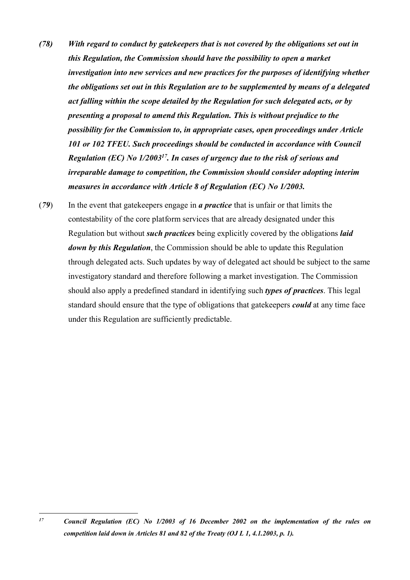- *(78) With regard to conduct by gatekeepers that is not covered by the obligations set out in this Regulation, the Commission should have the possibility to open a market investigation into new services and new practices for the purposes of identifying whether the obligations set out in this Regulation are to be supplemented by means of a delegated act falling within the scope detailed by the Regulation for such delegated acts, or by presenting a proposal to amend this Regulation. This is without prejudice to the possibility for the Commission to, in appropriate cases, open proceedings under Article 101 or 102 TFEU. Such proceedings should be conducted in accordance with Council Regulation (EC) No 1/2003<sup>17</sup>. In cases of urgency due to the risk of serious and irreparable damage to competition, the Commission should consider adopting interim measures in accordance with Article 8 of Regulation (EC) No 1/2003.*
- (*79*) In the event that gatekeepers engage in *a practice* that is unfair or that limits the contestability of the core platform services that are already designated under this Regulation but without *such practices* being explicitly covered by the obligations *laid down by this Regulation*, the Commission should be able to update this Regulation through delegated acts. Such updates by way of delegated act should be subject to the same investigatory standard and therefore following a market investigation. The Commission should also apply a predefined standard in identifying such *types of practices*. This legal standard should ensure that the type of obligations that gatekeepers *could* at any time face under this Regulation are sufficiently predictable.

 $17$ *<sup>17</sup> Council Regulation (EC) No 1/2003 of 16 December 2002 on the implementation of the rules on competition laid down in Articles 81 and 82 of the Treaty (OJ L 1, 4.1.2003, p. 1).*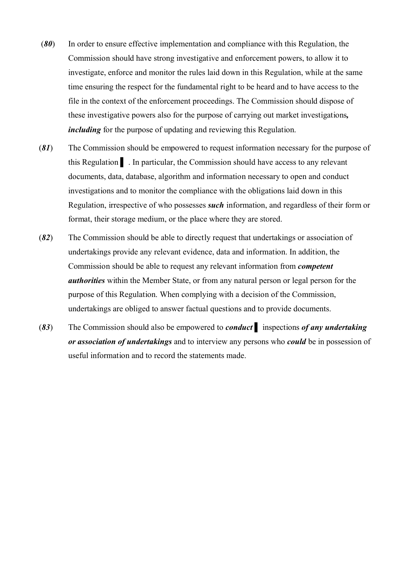- (*80*) In order to ensure effective implementation and compliance with this Regulation, the Commission should have strong investigative and enforcement powers, to allow it to investigate, enforce and monitor the rules laid down in this Regulation, while at the same time ensuring the respect for the fundamental right to be heard and to have access to the file in the context of the enforcement proceedings. The Commission should dispose of these investigative powers also for the purpose of carrying out market investigations*, including* for the purpose of updating and reviewing this Regulation.
- (*81*) The Commission should be empowered to request information necessary for the purpose of this Regulation ▌ . In particular, the Commission should have access to any relevant documents, data, database, algorithm and information necessary to open and conduct investigations and to monitor the compliance with the obligations laid down in this Regulation, irrespective of who possesses *such* information, and regardless of their form or format, their storage medium, or the place where they are stored.
- (*82*) The Commission should be able to directly request that undertakings or association of undertakings provide any relevant evidence, data and information. In addition, the Commission should be able to request any relevant information from *competent authorities* within the Member State, or from any natural person or legal person for the purpose of this Regulation. When complying with a decision of the Commission, undertakings are obliged to answer factual questions and to provide documents.
- (*83*) The Commission should also be empowered to *conduct* ▌ inspections *of any undertaking or association of undertakings* and to interview any persons who *could* be in possession of useful information and to record the statements made.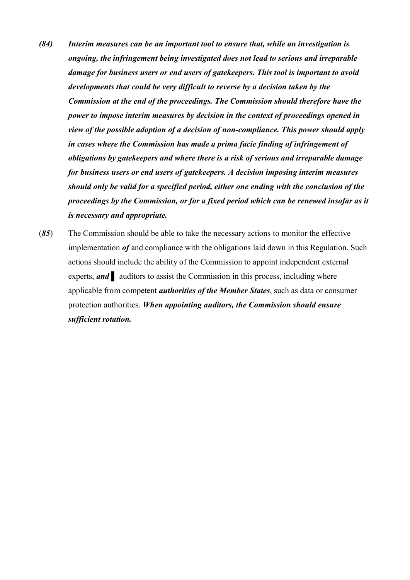- *(84) Interim measures can be an important tool to ensure that, while an investigation is ongoing, the infringement being investigated does not lead to serious and irreparable damage for business users or end users of gatekeepers. This tool is important to avoid developments that could be very difficult to reverse by a decision taken by the Commission at the end of the proceedings. The Commission should therefore have the power to impose interim measures by decision in the context of proceedings opened in view of the possible adoption of a decision of non-compliance. This power should apply in cases where the Commission has made a prima facie finding of infringement of obligations by gatekeepers and where there is a risk of serious and irreparable damage for business users or end users of gatekeepers. A decision imposing interim measures should only be valid for a specified period, either one ending with the conclusion of the proceedings by the Commission, or for a fixed period which can be renewed insofar as it is necessary and appropriate.*
- (*85*) The Commission should be able to take the necessary actions to monitor the effective implementation *of* and compliance with the obligations laid down in this Regulation. Such actions should include the ability of the Commission to appoint independent external experts, **and** auditors to assist the Commission in this process, including where applicable from competent *authorities of the Member States*, such as data or consumer protection authorities. *When appointing auditors, the Commission should ensure sufficient rotation.*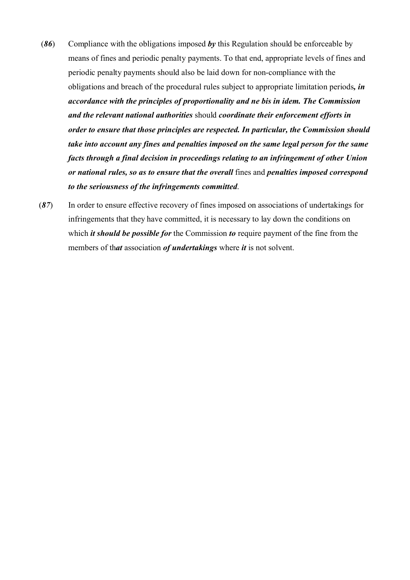- (*86*) Compliance with the obligations imposed *by* this Regulation should be enforceable by means of fines and periodic penalty payments. To that end, appropriate levels of fines and periodic penalty payments should also be laid down for non-compliance with the obligations and breach of the procedural rules subject to appropriate limitation periods*, in accordance with the principles of proportionality and ne bis in idem. The Commission and the relevant national authorities* should *coordinate their enforcement efforts in order to ensure that those principles are respected. In particular, the Commission should take into account any fines and penalties imposed on the same legal person for the same facts through a final decision in proceedings relating to an infringement of other Union or national rules, so as to ensure that the overall* fines and *penalties imposed correspond to the seriousness of the infringements committed*.
- (*87*) In order to ensure effective recovery of fines imposed on associations of undertakings for infringements that they have committed, it is necessary to lay down the conditions on which *it should be possible for* the Commission *to* require payment of the fine from the members of th*at* association *of undertakings* where *it* is not solvent.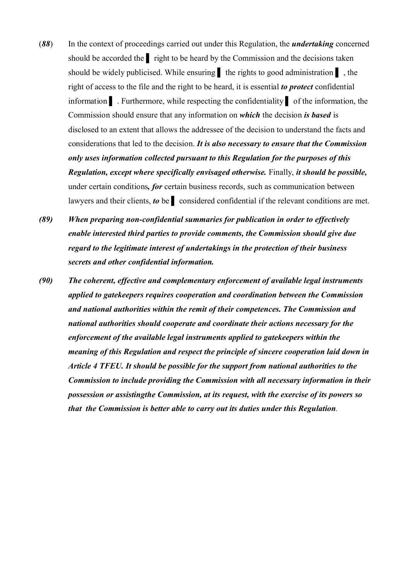- (*88*) In the context of proceedings carried out under this Regulation, the *undertaking* concerned should be accorded the right to be heard by the Commission and the decisions taken should be widely publicised. While ensuring the rights to good administration  $\mathbf{I}$ , the right of access to the file and the right to be heard, it is essential *to protect* confidential information ▌ . Furthermore, while respecting the confidentiality ▌ of the information, the Commission should ensure that any information on *which* the decision *is based* is disclosed to an extent that allows the addressee of the decision to understand the facts and considerations that led to the decision. *It is also necessary to ensure that the Commission only uses information collected pursuant to this Regulation for the purposes of this Regulation, except where specifically envisaged otherwise.* Finally, *it should be possible,*  under certain conditions*, for* certain business records, such as communication between lawyers and their clients, *to* be ▌ considered confidential if the relevant conditions are met.
- *(89) When preparing non-confidential summaries for publication in order to effectively enable interested third parties to provide comments, the Commission should give due regard to the legitimate interest of undertakings in the protection of their business secrets and other confidential information.*
- *(90) The coherent, effective and complementary enforcement of available legal instruments applied to gatekeepers requires cooperation and coordination between the Commission and national authorities within the remit of their competences. The Commission and national authorities should cooperate and coordinate their actions necessary for the enforcement of the available legal instruments applied to gatekeepers within the meaning of this Regulation and respect the principle of sincere cooperation laid down in Article 4 TFEU. It should be possible for the support from national authorities to the Commission to include providing the Commission with all necessary information in their possession or assistingthe Commission, at its request, with the exercise of its powers so that the Commission is better able to carry out its duties under this Regulation.*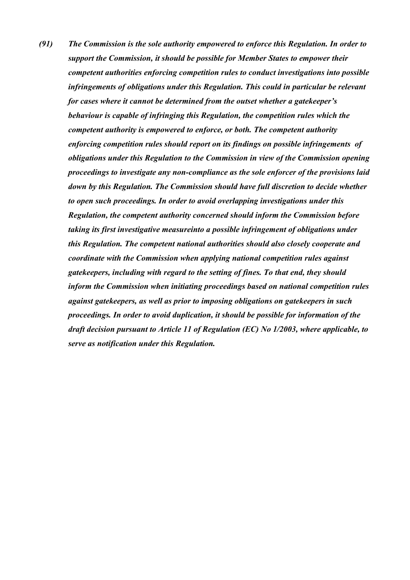*(91) The Commission is the sole authority empowered to enforce this Regulation. In order to support the Commission, it should be possible for Member States to empower their competent authorities enforcing competition rules to conduct investigations into possible infringements of obligations under this Regulation. This could in particular be relevant for cases where it cannot be determined from the outset whether a gatekeeper's behaviour is capable of infringing this Regulation, the competition rules which the competent authority is empowered to enforce, or both. The competent authority enforcing competition rules should report on its findings on possible infringements of obligations under this Regulation to the Commission in view of the Commission opening proceedings to investigate any non-compliance as the sole enforcer of the provisions laid down by this Regulation. The Commission should have full discretion to decide whether to open such proceedings. In order to avoid overlapping investigations under this Regulation, the competent authority concerned should inform the Commission before taking its first investigative measureinto a possible infringement of obligations under this Regulation. The competent national authorities should also closely cooperate and coordinate with the Commission when applying national competition rules against gatekeepers, including with regard to the setting of fines. To that end, they should inform the Commission when initiating proceedings based on national competition rules against gatekeepers, as well as prior to imposing obligations on gatekeepers in such proceedings. In order to avoid duplication, it should be possible for information of the draft decision pursuant to Article 11 of Regulation (EC) No 1/2003, where applicable, to serve as notification under this Regulation.*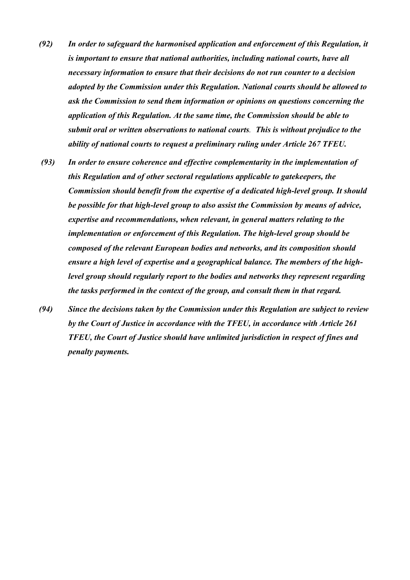- *(92) In order to safeguard the harmonised application and enforcement of this Regulation, it is important to ensure that national authorities, including national courts, have all necessary information to ensure that their decisions do not run counter to a decision adopted by the Commission under this Regulation. National courts should be allowed to ask the Commission to send them information or opinions on questions concerning the application of this Regulation. At the same time, the Commission should be able to submit oral or written observations to national courts. This is without prejudice to the ability of national courts to request a preliminary ruling under Article 267 TFEU.*
- *(93) In order to ensure coherence and effective complementarity in the implementation of this Regulation and of other sectoral regulations applicable to gatekeepers, the Commission should benefit from the expertise of a dedicated high-level group. It should be possible for that high-level group to also assist the Commission by means of advice, expertise and recommendations, when relevant, in general matters relating to the implementation or enforcement of this Regulation. The high-level group should be composed of the relevant European bodies and networks, and its composition should ensure a high level of expertise and a geographical balance. The members of the highlevel group should regularly report to the bodies and networks they represent regarding the tasks performed in the context of the group, and consult them in that regard.*
- *(94) Since the decisions taken by the Commission under this Regulation are subject to review by the Court of Justice in accordance with the TFEU, in accordance with Article 261 TFEU, the Court of Justice should have unlimited jurisdiction in respect of fines and penalty payments.*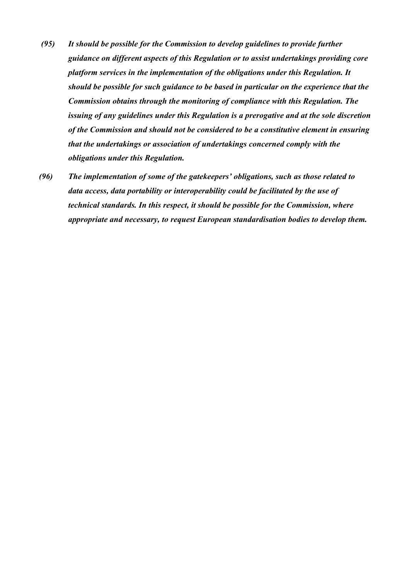- *(95) It should be possible for the Commission to develop guidelines to provide further guidance on different aspects of this Regulation or to assist undertakings providing core platform services in the implementation of the obligations under this Regulation. It should be possible for such guidance to be based in particular on the experience that the Commission obtains through the monitoring of compliance with this Regulation. The issuing of any guidelines under this Regulation is a prerogative and at the sole discretion of the Commission and should not be considered to be a constitutive element in ensuring that the undertakings or association of undertakings concerned comply with the obligations under this Regulation.*
- *(96) The implementation of some of the gatekeepers' obligations, such as those related to data access, data portability or interoperability could be facilitated by the use of technical standards. In this respect, it should be possible for the Commission, where appropriate and necessary, to request European standardisation bodies to develop them.*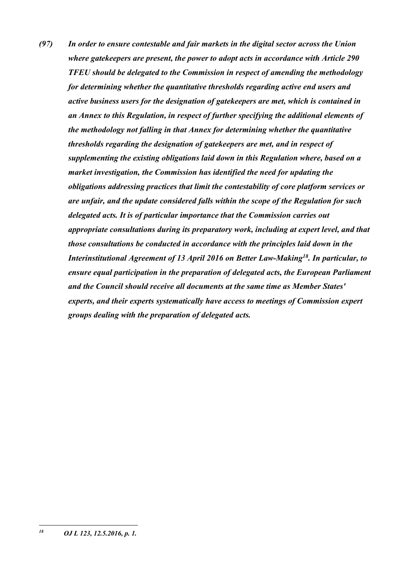*(97) In order to ensure contestable and fair markets in the digital sector across the Union where gatekeepers are present, the power to adopt acts in accordance with Article 290 TFEU should be delegated to the Commission in respect of amending the methodology for determining whether the quantitative thresholds regarding active end users and active business users for the designation of gatekeepers are met, which is contained in an Annex to this Regulation, in respect of further specifying the additional elements of the methodology not falling in that Annex for determining whether the quantitative thresholds regarding the designation of gatekeepers are met, and in respect of supplementing the existing obligations laid down in this Regulation where, based on a market investigation, the Commission has identified the need for updating the obligations addressing practices that limit the contestability of core platform services or are unfair, and the update considered falls within the scope of the Regulation for such delegated acts. It is of particular importance that the Commission carries out appropriate consultations during its preparatory work, including at expert level, and that those consultations be conducted in accordance with the principles laid down in the Interinstitutional Agreement of 13 April 2016 on Better Law-Making<sup>18</sup>. In particular, to ensure equal participation in the preparation of delegated acts, the European Parliament and the Council should receive all documents at the same time as Member States' experts, and their experts systematically have access to meetings of Commission expert groups dealing with the preparation of delegated acts.*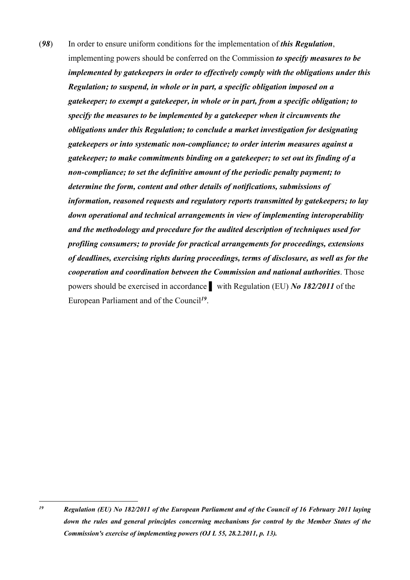(*98*) In order to ensure uniform conditions for the implementation of *this Regulation*, implementing powers should be conferred on the Commission *to specify measures to be implemented by gatekeepers in order to effectively comply with the obligations under this Regulation; to suspend, in whole or in part, a specific obligation imposed on a gatekeeper; to exempt a gatekeeper, in whole or in part, from a specific obligation; to specify the measures to be implemented by a gatekeeper when it circumvents the obligations under this Regulation; to conclude a market investigation for designating gatekeepers or into systematic non-compliance; to order interim measures against a gatekeeper; to make commitments binding on a gatekeeper; to set out its finding of a non-compliance; to set the definitive amount of the periodic penalty payment; to determine the form, content and other details of notifications, submissions of information, reasoned requests and regulatory reports transmitted by gatekeepers; to lay down operational and technical arrangements in view of implementing interoperability and the methodology and procedure for the audited description of techniques used for profiling consumers; to provide for practical arrangements for proceedings, extensions of deadlines, exercising rights during proceedings, terms of disclosure, as well as for the cooperation and coordination between the Commission and national authorities*. Those powers should be exercised in accordance ▌ with Regulation (EU) *No 182/2011* of the European Parliament and of the Council*<sup>19</sup>* .

 $19$ *<sup>19</sup> Regulation (EU) No 182/2011 of the European Parliament and of the Council of 16 February 2011 laying down the rules and general principles concerning mechanisms for control by the Member States of the Commission's exercise of implementing powers (OJ L 55, 28.2.2011, p. 13).*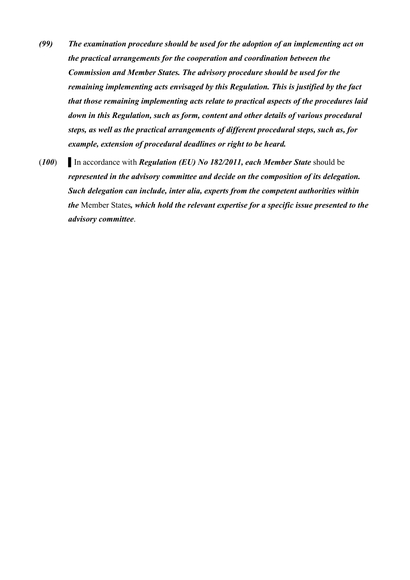- *(99) The examination procedure should be used for the adoption of an implementing act on the practical arrangements for the cooperation and coordination between the Commission and Member States. The advisory procedure should be used for the remaining implementing acts envisaged by this Regulation. This is justified by the fact that those remaining implementing acts relate to practical aspects of the procedures laid down in this Regulation, such as form, content and other details of various procedural steps, as well as the practical arrangements of different procedural steps, such as, for example, extension of procedural deadlines or right to be heard.*
- (*100*) ▌In accordance with *Regulation (EU) No 182/2011, each Member State* should be *represented in the advisory committee and decide on the composition of its delegation. Such delegation can include, inter alia, experts from the competent authorities within the* Member States*, which hold the relevant expertise for a specific issue presented to the advisory committee*.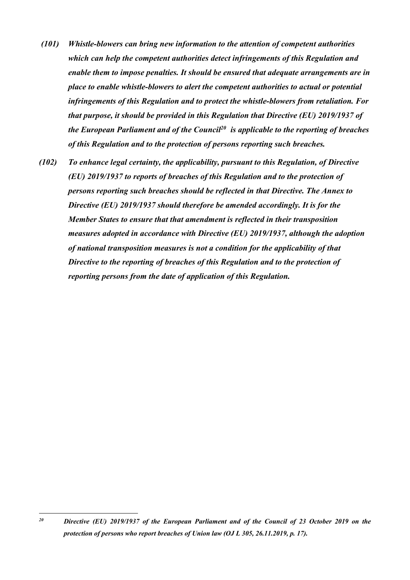- *(101) Whistle-blowers can bring new information to the attention of competent authorities which can help the competent authorities detect infringements of this Regulation and enable them to impose penalties. It should be ensured that adequate arrangements are in place to enable whistle-blowers to alert the competent authorities to actual or potential infringements of this Regulation and to protect the whistle-blowers from retaliation. For that purpose, it should be provided in this Regulation that Directive (EU) 2019/1937 of the European Parliament and of the Council<sup>20</sup> is applicable to the reporting of breaches of this Regulation and to the protection of persons reporting such breaches.*
- *(102) To enhance legal certainty, the applicability, pursuant to this Regulation, of Directive (EU) 2019/1937 to reports of breaches of this Regulation and to the protection of persons reporting such breaches should be reflected in that Directive. The Annex to Directive (EU) 2019/1937 should therefore be amended accordingly. It is for the Member States to ensure that that amendment is reflected in their transposition measures adopted in accordance with Directive (EU) 2019/1937, although the adoption of national transposition measures is not a condition for the applicability of that Directive to the reporting of breaches of this Regulation and to the protection of reporting persons from the date of application of this Regulation.*

1

*<sup>20</sup> Directive (EU) 2019/1937 of the European Parliament and of the Council of 23 October 2019 on the protection of persons who report breaches of Union law (OJ L 305, 26.11.2019, p. 17).*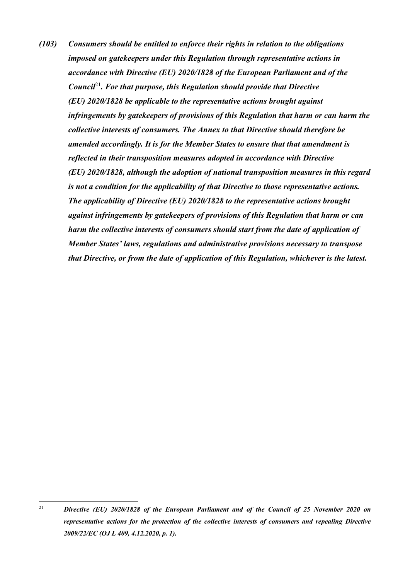*(103) Consumers should be entitled to enforce their rights in relation to the obligations imposed on gatekeepers under this Regulation through representative actions in accordance with Directive (EU) 2020/1828 of the European Parliament and of the Council*<sup>21</sup>*. For that purpose, this Regulation should provide that Directive (EU) 2020/1828 be applicable to the representative actions brought against infringements by gatekeepers of provisions of this Regulation that harm or can harm the collective interests of consumers. The Annex to that Directive should therefore be amended accordingly. It is for the Member States to ensure that that amendment is reflected in their transposition measures adopted in accordance with Directive (EU) 2020/1828, although the adoption of national transposition measures in this regard is not a condition for the applicability of that Directive to those representative actions. The applicability of Directive (EU) 2020/1828 to the representative actions brought against infringements by gatekeepers of provisions of this Regulation that harm or can harm the collective interests of consumers should start from the date of application of Member States' laws, regulations and administrative provisions necessary to transpose that Directive, or from the date of application of this Regulation, whichever is the latest.*

<sup>21</sup> <sup>21</sup> *Directive (EU) 2020/1828 of the European Parliament and of the Council of 25 November 2020 on representative actions for the protection of the collective interests of consumers and repealing Directive 2009/22/EC (OJ L 409, 4.12.2020, p. 1).*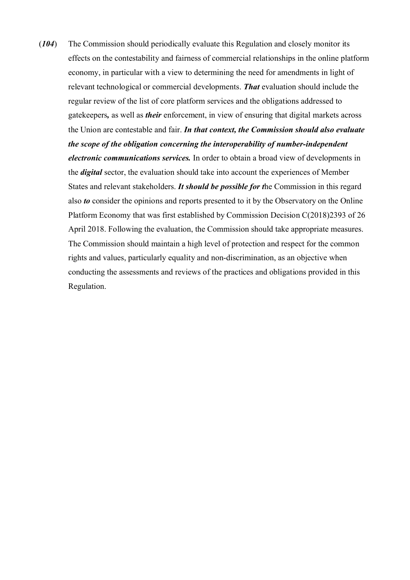(*104*) The Commission should periodically evaluate this Regulation and closely monitor its effects on the contestability and fairness of commercial relationships in the online platform economy, in particular with a view to determining the need for amendments in light of relevant technological or commercial developments. *That* evaluation should include the regular review of the list of core platform services and the obligations addressed to gatekeepers*,* as well as *their* enforcement, in view of ensuring that digital markets across the Union are contestable and fair. *In that context, the Commission should also evaluate the scope of the obligation concerning the interoperability of number-independent electronic communications services.* In order to obtain a broad view of developments in the *digital* sector, the evaluation should take into account the experiences of Member States and relevant stakeholders. *It should be possible for t*he Commission in this regard also *to* consider the opinions and reports presented to it by the Observatory on the Online Platform Economy that was first established by Commission Decision C(2018)2393 of 26 April 2018. Following the evaluation, the Commission should take appropriate measures. The Commission should maintain a high level of protection and respect for the common rights and values, particularly equality and non-discrimination, as an objective when conducting the assessments and reviews of the practices and obligations provided in this Regulation.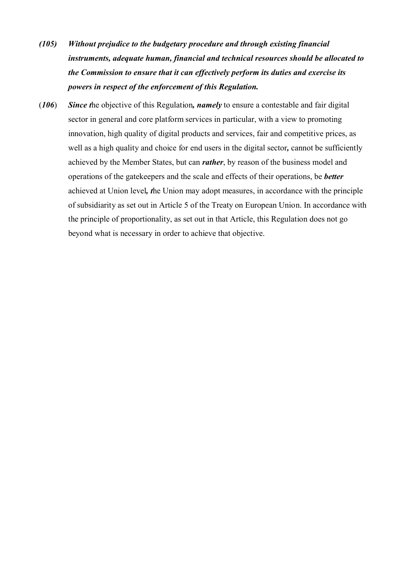- *(105) Without prejudice to the budgetary procedure and through existing financial instruments, adequate human, financial and technical resources should be allocated to the Commission to ensure that it can effectively perform its duties and exercise its powers in respect of the enforcement of this Regulation.*
- (*106*) *Since t*he objective of this Regulation*, namely* to ensure a contestable and fair digital sector in general and core platform services in particular, with a view to promoting innovation, high quality of digital products and services, fair and competitive prices, as well as a high quality and choice for end users in the digital sector*,* cannot be sufficiently achieved by the Member States, but can *rather*, by reason of the business model and operations of the gatekeepers and the scale and effects of their operations, be *better*  achieved at Union level*, t*he Union may adopt measures, in accordance with the principle of subsidiarity as set out in Article 5 of the Treaty on European Union. In accordance with the principle of proportionality, as set out in that Article, this Regulation does not go beyond what is necessary in order to achieve that objective.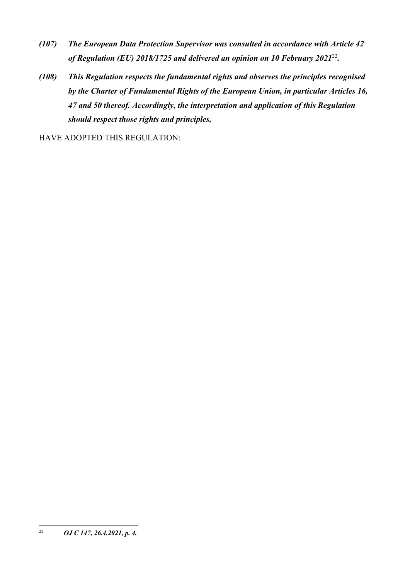- *(107) The European Data Protection Supervisor was consulted in accordance with Article 42 of Regulation (EU) 2018/1725 and delivered an opinion on 10 February 2021*<sup>22</sup> *.*
- *(108) This Regulation respects the fundamental rights and observes the principles recognised by the Charter of Fundamental Rights of the European Union, in particular Articles 16, 47 and 50 thereof. Accordingly, the interpretation and application of this Regulation should respect those rights and principles,*

HAVE ADOPTED THIS REGULATION:

 $22\,$ <sup>22</sup> *OJ C 147, 26.4.2021, p. 4.*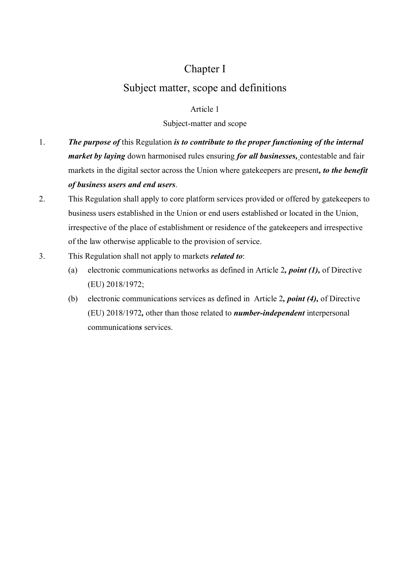## Chapter I

# Subject matter, scope and definitions

### Article 1

## Subject-matter and scope

- 1. *The purpose of* this Regulation *is to contribute to the proper functioning of the internal market by laying* down harmonised rules ensuring *for all businesses,* contestable and fair markets in the digital sector across the Union where gatekeepers are present*, to the benefit of business users and end users*.
- 2. This Regulation shall apply to core platform services provided or offered by gatekeepers to business users established in the Union or end users established or located in the Union, irrespective of the place of establishment or residence of the gatekeepers and irrespective of the law otherwise applicable to the provision of service.
- 3. This Regulation shall not apply to markets *related to*:
	- (a) electronic communications networks as defined in Article 2*, point (1),* of Directive (EU) 2018/1972;
	- (b) electronic communications services as defined in Article 2*, point (4),* of Directive (EU) 2018/1972*,* other than those related to *number-independent* interpersonal communication*s* services.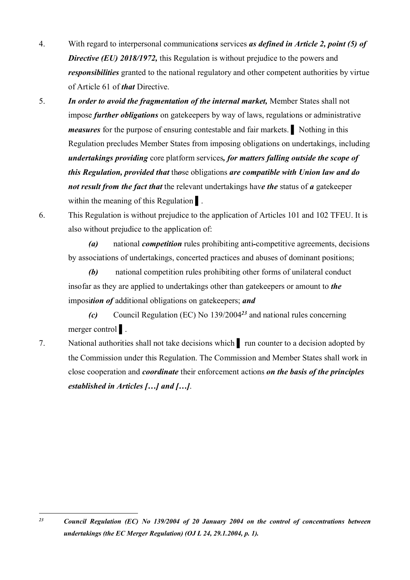- 4. With regard to interpersonal communication*s* services *as defined in Article 2, point (5) of Directive (EU) 2018/1972,* this Regulation is without prejudice to the powers and *responsibilities* granted to the national regulatory and other competent authorities by virtue of Article 61 of *that* Directive.
- 5. *In order to avoid the fragmentation of the internal market,* Member States shall not impose *further obligations* on gatekeepers by way of laws, regulations or administrative *measures* for the purpose of ensuring contestable and fair markets. Nothing in this Regulation precludes Member States from imposing obligations on undertakings, including *undertakings providing* core platform services*, for matters falling outside the scope of this Regulation, provided that* th*o*se obligations *are compatible with Union law and do not result from the fact that* the relevant undertakings hav*e the* status of *a* gatekeeper within the meaning of this Regulation .
- 6. This Regulation is without prejudice to the application of Articles 101 and 102 TFEU. It is also without prejudice to the application of:

*(a)* national *competition* rules prohibiting anti*-*competitive agreements, decisions by associations of undertakings, concerted practices and abuses of dominant positions;

*(b)* national competition rules prohibiting other forms of unilateral conduct insofar as they are applied to undertakings other than gatekeepers or amount to *the*  imposi*tion of* additional obligations on gatekeepers; *and* 

*(c)* Council Regulation (EC) No 139/2004*<sup>23</sup>* and national rules concerning merger control |

7. National authorities shall not take decisions which ▌ run counter to a decision adopted by the Commission under this Regulation. The Commission and Member States shall work in close cooperation and *coordinate* their enforcement actions *on the basis of the principles established in Articles […] and […]*.

 $23$ *<sup>23</sup> Council Regulation (EC) No 139/2004 of 20 January 2004 on the control of concentrations between undertakings (the EC Merger Regulation) (OJ L 24, 29.1.2004, p. 1).*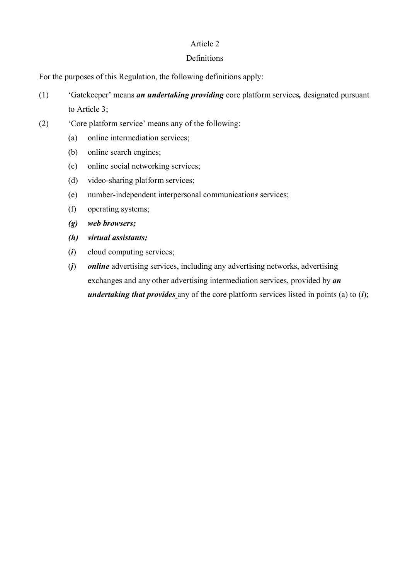## Article 2

### **Definitions**

For the purposes of this Regulation, the following definitions apply:

- (1) 'Gatekeeper' means *an undertaking providing* core platform services*,* designated pursuant to Article 3;
- (2) 'Core platform service' means any of the following:
	- (a) online intermediation services;
	- (b) online search engines;
	- (c) online social networking services;
	- (d) video-sharing platform services;
	- (e) number-independent interpersonal communication*s* services;
	- (f) operating systems;
	- *(g) web browsers;*
	- *(h) virtual assistants;*
	- (*i*) cloud computing services;
	- (*j*) *online* advertising services, including any advertising networks, advertising exchanges and any other advertising intermediation services, provided by *an undertaking that provides* any of the core platform services listed in points (a) to (*i*);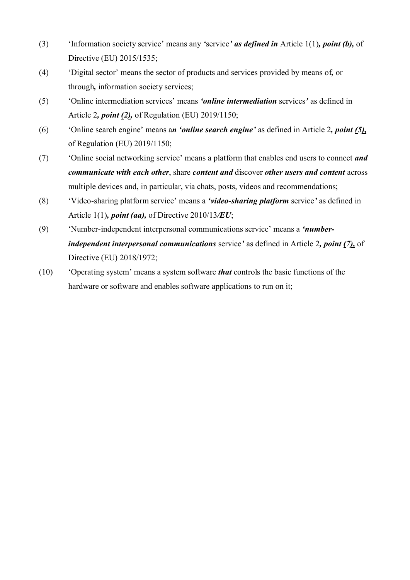- (3) 'Information society service' means any *'*service*' as defined in* Article 1(1)*, point (b),* of Directive (EU) 2015/1535;
- (4) 'Digital sector' means the sector of products and services provided by means of*,* or through*,* information society services;
- (5) 'Online intermediation services' means *'online intermediation* services*'* as defined in Article 2*, point (2),* of Regulation (EU) 2019/1150;
- (6) 'Online search engine' means a*n 'online search engine'* as defined in Article 2*, point (5),* of Regulation (EU) 2019/1150;
- (7) 'Online social networking service' means a platform that enables end users to connect *and communicate with each other*, share *content and* discover *other users and content* across multiple devices and, in particular, via chats, posts, videos and recommendations;
- (8) 'Video-sharing platform service' means a *'video-sharing platform* service*'* as defined in Article 1(1)*, point (aa),* of Directive 2010/13*/EU*;
- (9) 'Number-independent interpersonal communications service' means a *'numberindependent interpersonal communications* service*'* as defined in Article 2*, point (7),* of Directive (EU) 2018/1972;
- (10) 'Operating system' means a system software *that* controls the basic functions of the hardware or software and enables software applications to run on it;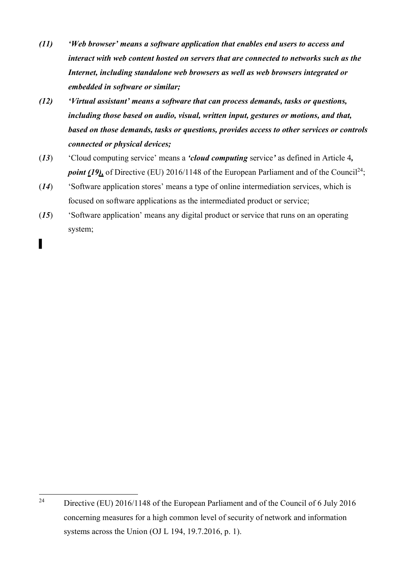- *(11) 'Web browser' means a software application that enables end users to access and interact with web content hosted on servers that are connected to networks such as the Internet, including standalone web browsers as well as web browsers integrated or embedded in software or similar;*
- *(12) 'Virtual assistant' means a software that can process demands, tasks or questions, including those based on audio, visual, written input, gestures or motions, and that, based on those demands, tasks or questions, provides access to other services or controls connected or physical devices;*
- (*13*) 'Cloud computing service' means a *'cloud computing* service*'* as defined in Article 4*, point* (19), of Directive (EU) 2016/1148 of the European Parliament and of the Council<sup>24</sup>;
- (*14*) 'Software application stores' means a type of online intermediation services, which is focused on software applications as the intermediated product or service;
- (*15*) 'Software application' means any digital product or service that runs on an operating system;

<sup>▌</sup>

 $24$ <sup>24</sup> Directive (EU) 2016/1148 of the European Parliament and of the Council of 6 July 2016 concerning measures for a high common level of security of network and information systems across the Union (OJ L 194, 19.7.2016, p. 1).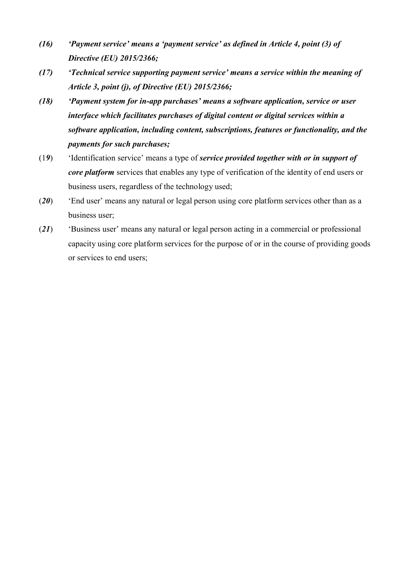- *(16) 'Payment service' means a 'payment service' as defined in Article 4, point (3) of Directive (EU) 2015/2366;*
- *(17) 'Technical service supporting payment service' means a service within the meaning of Article 3, point (j), of Directive (EU) 2015/2366;*
- *(18) 'Payment system for in-app purchases' means a software application, service or user interface which facilitates purchases of digital content or digital services within a software application, including content, subscriptions, features or functionality, and the payments for such purchases;*
- (1*9*) 'Identification service' means a type of *service provided together with or in support of core platform* services that enables any type of verification of the identity of end users or business users, regardless of the technology used;
- (*20*) 'End user' means any natural or legal person using core platform services other than as a business user;
- (*21*) 'Business user' means any natural or legal person acting in a commercial or professional capacity using core platform services for the purpose of or in the course of providing goods or services to end users;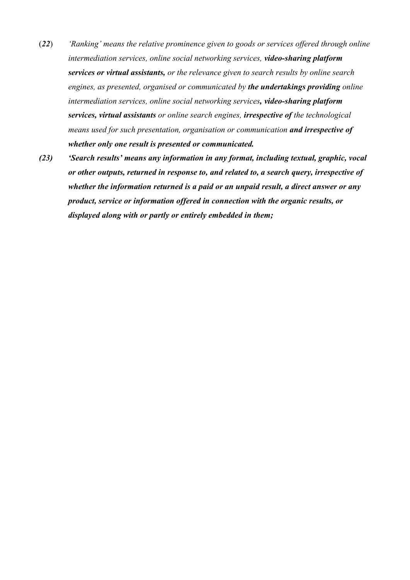- (*22*) *'Ranking' means the relative prominence given to goods or services offered through online intermediation services, online social networking services, video-sharing platform services or virtual assistants, or the relevance given to search results by online search engines, as presented, organised or communicated by the undertakings providing online intermediation services, online social networking services, video-sharing platform services, virtual assistants or online search engines, irrespective of the technological means used for such presentation, organisation or communication and irrespective of whether only one result is presented or communicated.*
- *(23) 'Search results' means any information in any format, including textual, graphic, vocal or other outputs, returned in response to, and related to, a search query, irrespective of whether the information returned is a paid or an unpaid result, a direct answer or any product, service or information offered in connection with the organic results, or displayed along with or partly or entirely embedded in them;*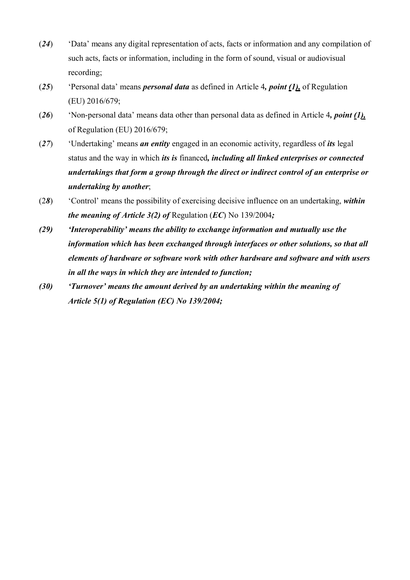- (*24*) 'Data' means any digital representation of acts, facts or information and any compilation of such acts, facts or information, including in the form of sound, visual or audiovisual recording;
- (*25*) 'Personal data' means *personal data* as defined in Article 4*, point (1),* of Regulation (EU) 2016/679;
- (*26*) 'Non-personal data' means data other than personal data as defined in Article 4*, point (1),* of Regulation (EU) 2016/679;
- (*27*) 'Undertaking' means *an entity* engaged in an economic activity, regardless of *its* legal status and the way in which *its is* financed*, including all linked enterprises or connected undertakings that form a group through the direct or indirect control of an enterprise or undertaking by another*;
- (2*8*) 'Control' means the possibility of exercising decisive influence on an undertaking, *within the meaning of Article 3(2) of* Regulation (*EC*) No 139/2004*;*
- *(29) 'Interoperability' means the ability to exchange information and mutually use the information which has been exchanged through interfaces or other solutions, so that all elements of hardware or software work with other hardware and software and with users in all the ways in which they are intended to function;*
- *(30) 'Turnover' means the amount derived by an undertaking within the meaning of Article 5(1) of Regulation (EC) No 139/2004;*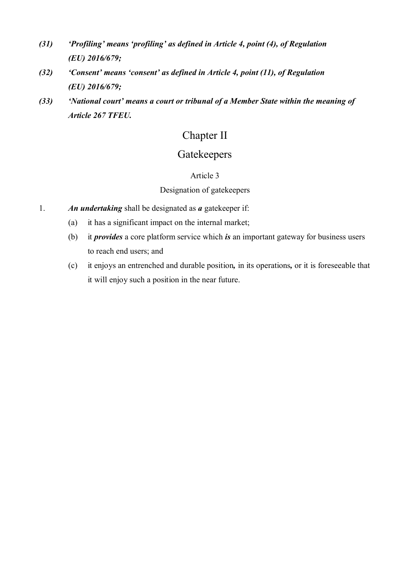- *(31) 'Profiling' means 'profiling' as defined in Article 4, point (4), of Regulation (EU) 2016/679;*
- *(32) 'Consent' means 'consent' as defined in Article 4, point (11), of Regulation (EU) 2016/679;*
- *(33) 'National court' means a court or tribunal of a Member State within the meaning of Article 267 TFEU.*

# Chapter II

## **Gatekeepers**

## Article 3

## Designation of gatekeepers

- 1. *An undertaking* shall be designated as *a* gatekeeper if:
	- (a) it has a significant impact on the internal market;
	- (b) it *provides* a core platform service which *is* an important gateway for business users to reach end users; and
	- (c) it enjoys an entrenched and durable position*,* in its operations*,* or it is foreseeable that it will enjoy such a position in the near future.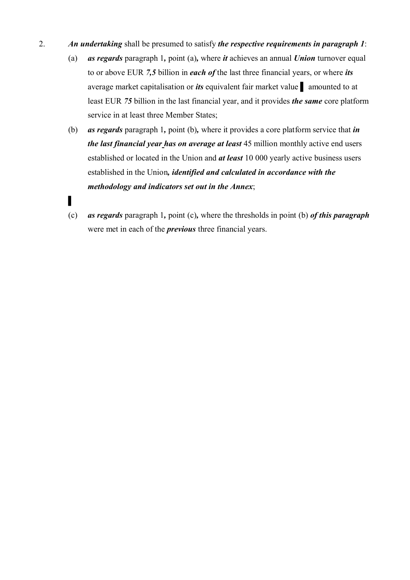- 2. *An undertaking* shall be presumed to satisfy *the respective requirements in paragraph 1*:
	- (a) *as regards* paragraph 1*,* point (a)*,* where *it* achieves an annual *Union* turnover equal to or above EUR *7,5* billion in *each of* the last three financial years, or where *its* average market capitalisation or *its* equivalent fair market value ▌ amounted to at least EUR *75* billion in the last financial year, and it provides *the same* core platform service in at least three Member States;
	- (b) *as regards* paragraph 1*,* point (b)*,* where it provides a core platform service that *in the last financial year has on average at least* 45 million monthly active end users established or located in the Union and *at least* 10 000 yearly active business users established in the Union*, identified and calculated in accordance with the methodology and indicators set out in the Annex*;
	- (c) *as regards* paragraph 1*,* point (c)*,* where the thresholds in point (b) *of this paragraph*  were met in each of the *previous* three financial years.

▌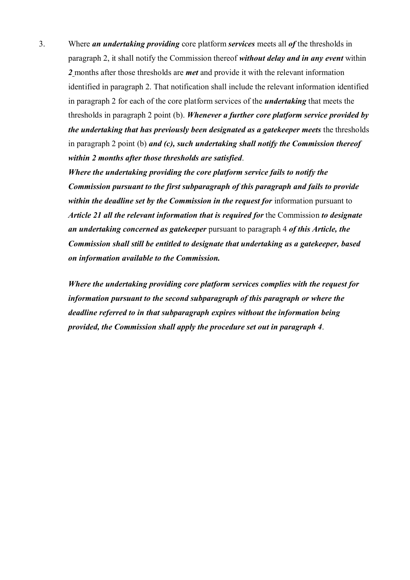3. Where *an undertaking providing* core platform *services* meets all *of* the thresholds in paragraph 2, it shall notify the Commission thereof *without delay and in any event* within *2* months after those thresholds are *met* and provide it with the relevant information identified in paragraph 2. That notification shall include the relevant information identified in paragraph 2 for each of the core platform services of the *undertaking* that meets the thresholds in paragraph 2 point (b). *Whenever a further core platform service provided by the undertaking that has previously been designated as a gatekeeper meets the thresholds* in paragraph 2 point (b) *and (c), such undertaking shall notify the Commission thereof within 2 months after those thresholds are satisfied*.

*Where the undertaking providing the core platform service fails to notify the Commission pursuant to the first subparagraph of this paragraph and fails to provide within the deadline set by the Commission in the request for* information pursuant to *Article 21 all the relevant information that is required for* the Commission *to designate an undertaking concerned as gatekeeper* pursuant to paragraph 4 *of this Article, the Commission shall still be entitled to designate that undertaking as a gatekeeper, based on information available to the Commission.*

*Where the undertaking providing core platform services complies with the request for information pursuant to the second subparagraph of this paragraph or where the deadline referred to in that subparagraph expires without the information being provided, the Commission shall apply the procedure set out in paragraph 4*.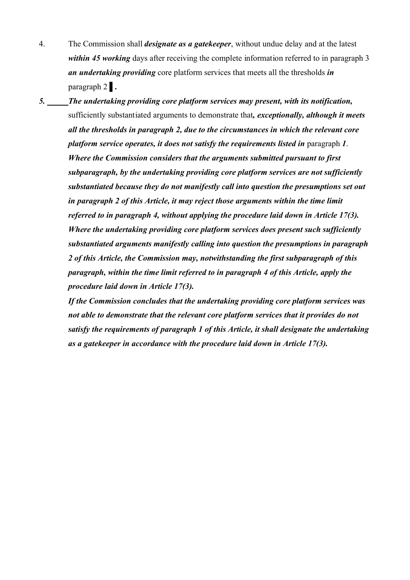- 4. The Commission shall *designate as a gatekeeper*, without undue delay and at the latest *within 45 working* days after receiving the complete information referred to in paragraph 3 *an undertaking providing* core platform services that meets all the thresholds *in*  paragraph 2 ▌*.*
- *5. The undertaking providing core platform services may present, with its notification,* sufficiently substantiated arguments to demonstrate that*, exceptionally, although it meets all the thresholds in paragraph 2, due to the circumstances in which the relevant core platform service operates, it does not satisfy the requirements listed in* paragraph *1*. *Where the Commission considers that the arguments submitted pursuant to first subparagraph, by the undertaking providing core platform services are not sufficiently substantiated because they do not manifestly call into question the presumptions set out in paragraph 2 of this Article, it may reject those arguments within the time limit referred to in paragraph 4, without applying the procedure laid down in Article 17(3). Where the undertaking providing core platform services does present such sufficiently substantiated arguments manifestly calling into question the presumptions in paragraph 2 of this Article, the Commission may, notwithstanding the first subparagraph of this paragraph, within the time limit referred to in paragraph 4 of this Article, apply the procedure laid down in Article 17(3).*

*If the Commission concludes that the undertaking providing core platform services was not able to demonstrate that the relevant core platform services that it provides do not satisfy the requirements of paragraph 1 of this Article, it shall designate the undertaking as a gatekeeper in accordance with the procedure laid down in Article 17(3).*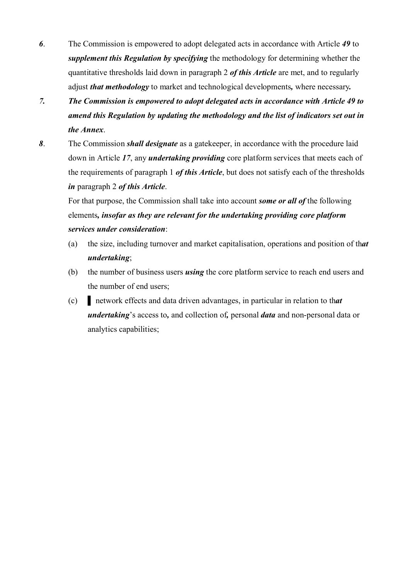- *6*. The Commission is empowered to adopt delegated acts in accordance with Article *49* to *supplement this Regulation by specifying* the methodology for determining whether the quantitative thresholds laid down in paragraph 2 *of this Article* are met, and to regularly adjust *that methodology* to market and technological developments*,* where necessary*.*
- *7. The Commission is empowered to adopt delegated acts in accordance with Article 49 to amend this Regulation by updating the methodology and the list of indicators set out in the Annex*.
- *8*. The Commission *shall designate* as a gatekeeper, in accordance with the procedure laid down in Article *17*, any *undertaking providing* core platform services that meets each of the requirements of paragraph 1 *of this Article*, but does not satisfy each of the thresholds *in* paragraph 2 *of this Article*.

For that purpose, the Commission shall take into account *some or all of* the following elements*, insofar as they are relevant for the undertaking providing core platform services under consideration*:

- (a) the size, including turnover and market capitalisation, operations and position of th*at undertaking*;
- (b) the number of business users *using* the core platform service to reach end users and the number of end users;
- (c) ▌ network effects and data driven advantages, in particular in relation to th*at undertaking*'s access to*,* and collection of*,* personal *data* and non-personal data or analytics capabilities;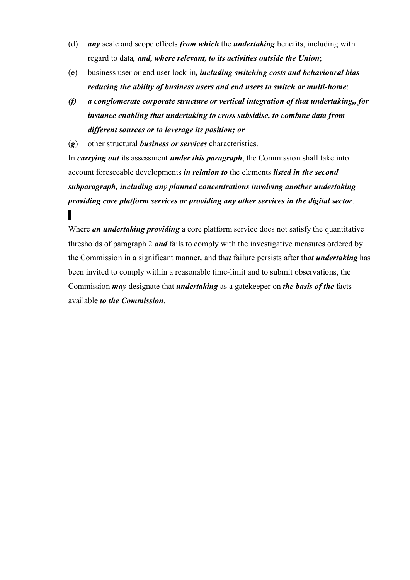- (d) *any* scale and scope effects *from which* the *undertaking* benefits, including with regard to data*, and, where relevant, to its activities outside the Union*;
- (e) business user or end user lock-in*, including switching costs and behavioural bias reducing the ability of business users and end users to switch or multi-home*;
- *(f) a conglomerate corporate structure or vertical integration of that undertaking,, for instance enabling that undertaking to cross subsidise, to combine data from different sources or to leverage its position; or*

(*g*) other structural *business or services* characteristics.

▌

In *carrying out* its assessment *under this paragraph*, the Commission shall take into account foreseeable developments *in relation to* the elements *listed in the second subparagraph, including any planned concentrations involving another undertaking providing core platform services or providing any other services in the digital sector*.

Where *an undertaking providing* a core platform service does not satisfy the quantitative thresholds of paragraph 2 *and* fails to comply with the investigative measures ordered by the Commission in a significant manner*,* and th*at* failure persists after th*at undertaking* has been invited to comply within a reasonable time-limit and to submit observations, the Commission *may* designate that *undertaking* as a gatekeeper on *the basis of the* facts available *to the Commission*.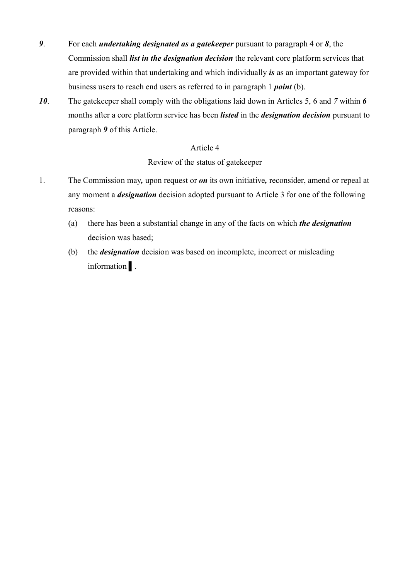- *9*. For each *undertaking designated as a gatekeeper* pursuant to paragraph 4 or *8*, the Commission shall *list in the designation decision* the relevant core platform services that are provided within that undertaking and which individually *is* as an important gateway for business users to reach end users as referred to in paragraph 1 *point* (b).
- *10*. The gatekeeper shall comply with the obligations laid down in Articles 5, 6 and *7* within *6*  months after a core platform service has been *listed* in the *designation decision* pursuant to paragraph *9* of this Article.

### Article 4

Review of the status of gatekeeper

- 1. The Commission may*,* upon request or *on* its own initiative*,* reconsider, amend or repeal at any moment a *designation* decision adopted pursuant to Article 3 for one of the following reasons:
	- (a) there has been a substantial change in any of the facts on which *the designation* decision was based;
	- (b) the *designation* decision was based on incomplete, incorrect or misleading information ▌.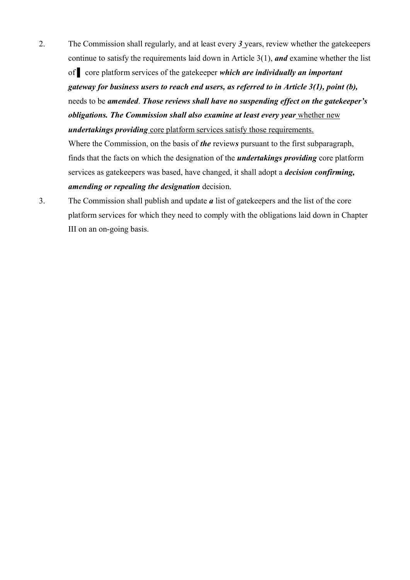- 2. The Commission shall regularly, and at least every *3* years, review whether the gatekeepers continue to satisfy the requirements laid down in Article 3(1), *and* examine whether the list of ▌ core platform services of the gatekeeper *which are individually an important gateway for business users to reach end users, as referred to in Article 3(1), point (b),* needs to be *amended*. *Those reviews shall have no suspending effect on the gatekeeper's obligations. The Commission shall also examine at least every year* whether new *undertakings providing* core platform services satisfy those requirements. Where the Commission, on the basis of *the* review*s* pursuant to the first subparagraph, finds that the facts on which the designation of the *undertakings providing* core platform services as gatekeepers was based, have changed, it shall adopt a *decision confirming,*
- *amending or repealing the designation* decision. 3. The Commission shall publish and update *a* list of gatekeepers and the list of the core platform services for which they need to comply with the obligations laid down in Chapter

III on an on-going basis.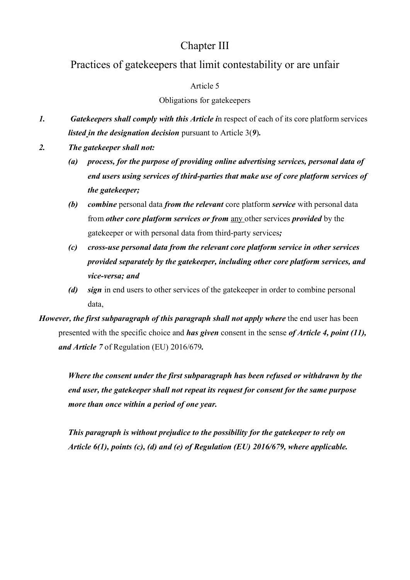## Chapter III

## Practices of gatekeepers that limit contestability or are unfair

## Article 5

### Obligations for gatekeepers

- *1. Gatekeepers shall comply with this Article i*n respect of each of its core platform services *listed in the designation decision* pursuant to Article 3(*9*)*.*
- *2. The gatekeeper shall not:*
	- *(a) process, for the purpose of providing online advertising services, personal data of end users using services of third-parties that make use of core platform services of the gatekeeper;*
	- *(b) combine* personal data *from the relevant* core platform *service* with personal data from *other core platform services or from* any other services *provided* by the gatekeeper or with personal data from third-party services*;*
	- *(c) cross-use personal data from the relevant core platform service in other services provided separately by the gatekeeper, including other core platform services, and vice-versa; and*
	- *(d) sign* in end users to other services of the gatekeeper in order to combine personal data,

*However, the first subparagraph of this paragraph shall not apply where the end user has been* presented with the specific choice and *has given* consent in the sense *of Article 4, point (11), and Article 7* of Regulation (EU) 2016/679*.* 

*Where the consent under the first subparagraph has been refused or withdrawn by the end user, the gatekeeper shall not repeat its request for consent for the same purpose more than once within a period of one year.* 

*This paragraph is without prejudice to the possibility for the gatekeeper to rely on Article 6(1), points (c), (d) and (e) of Regulation (EU) 2016/679, where applicable.*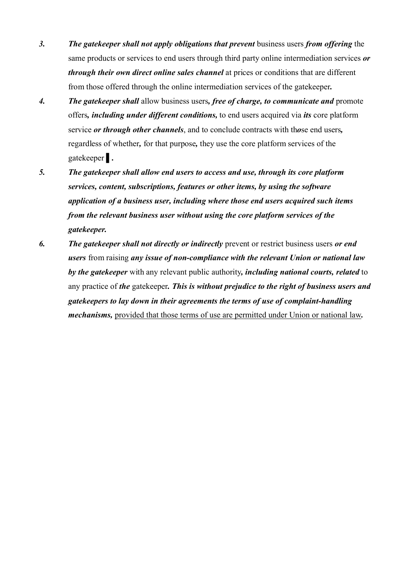- *3. The gatekeeper shall not apply obligations that prevent* business users *from offering* the same products or services to end users through third party online intermediation services *or through their own direct online sales channel* at prices or conditions that are different from those offered through the online intermediation services of the gatekeeper*.*
- *4. The gatekeeper shall* allow business users*, free of charge, to communicate and* promote offers*, including under different conditions,* to end users acquired via *its* core platform service *or through other channels*, and to conclude contracts with th*o*se end users*,* regardless of whether*,* for that purpose*,* they use the core platform services of the gatekeeper ▌*.*
- *5. The gatekeeper shall allow end users to access and use, through its core platform services, content, subscriptions, features or other items, by using the software application of a business user, including where those end users acquired such items from the relevant business user without using the core platform services of the gatekeeper.*
- *6. The gatekeeper shall not directly or indirectly* prevent or restrict business users *or end users* from raising *any issue of non-compliance with the relevant Union or national law by the gatekeeper* with any relevant public authority*, including national courts, related* to any practice of *the* gatekeeper*. This is without prejudice to the right of business users and gatekeepers to lay down in their agreements the terms of use of complaint-handling mechanisms,* provided that those terms of use are permitted under Union or national law*.*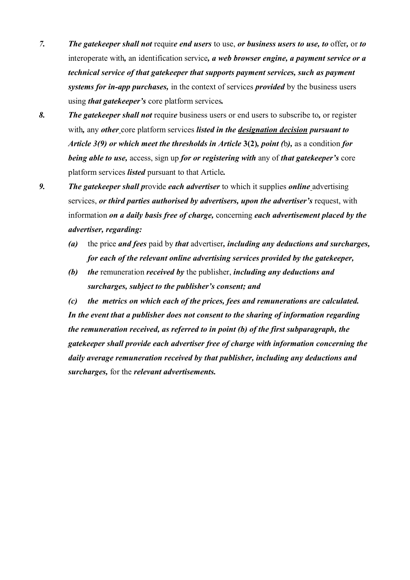- *7. The gatekeeper shall not* requir*e end users* to use, *or business users to use, to* offer*,* or *to* interoperate with*,* an identification service*, a web browser engine, a payment service or a technical service of that gatekeeper that supports payment services, such as payment systems for in-app purchases,* in the context of services *provided* by the business users using *that gatekeeper's* core platform services*.*
- *8. The gatekeeper shall not* requir*e* business users or end users to subscribe to*,* or register with*,* any *other* core platform services *listed in the designation decision pursuant to Article 3(9) or which meet the thresholds in Article* **3(2)***, point (*b*),* as a condition *for being able to use,* access, sign up *for or registering with* any of *that gatekeeper's* core platform services *listed* pursuant to that Article*.*
- *9. The gatekeeper shall p*rovide *each advertiser* to which it supplies *online* advertising services, *or third parties authorised by advertisers, upon the advertiser's* request, with information *on a daily basis free of charge,* concerning *each advertisement placed by the advertiser, regarding:*
	- *(a)* the price *and fees* paid by *that* advertiser*, including any deductions and surcharges, for each of the relevant online advertising services provided by the gatekeeper,*
	- *(b) the* remuneration *received by* the publisher, *including any deductions and surcharges, subject to the publisher's consent; and*

*(c) the metrics on which each of the prices, fees and remunerations are calculated. In the event that a publisher does not consent to the sharing of information regarding the remuneration received, as referred to in point (b) of the first subparagraph, the gatekeeper shall provide each advertiser free of charge with information concerning the daily average remuneration received by that publisher, including any deductions and surcharges,* for the *relevant advertisements.*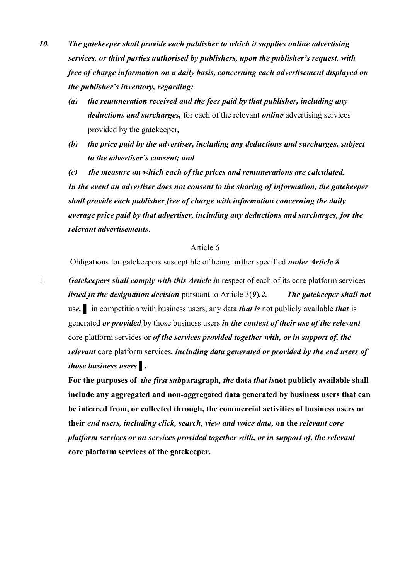- *10. The gatekeeper shall provide each publisher to which it supplies online advertising services, or third parties authorised by publishers, upon the publisher's request, with free of charge information on a daily basis, concerning each advertisement displayed on the publisher's inventory, regarding:*
	- *(a) the remuneration received and the fees paid by that publisher, including any deductions and surcharges,* for each of the relevant *online* advertising services provided by the gatekeeper*,*
	- *(b) the price paid by the advertiser, including any deductions and surcharges, subject to the advertiser's consent; and*

*(c) the measure on which each of the prices and remunerations are calculated. In the event an advertiser does not consent to the sharing of information, the gatekeeper shall provide each publisher free of charge with information concerning the daily average price paid by that advertiser, including any deductions and surcharges, for the relevant advertisements*.

#### Article 6

Obligations for gatekeepers susceptible of being further specified *under Article 8*

1. *Gatekeepers shall comply with this Article i*n respect of each of its core platform services *listed in the designation decision* pursuant to Article 3(*9*)*.2. The gatekeeper shall not* us*e,* ▌ in competition with business users, any data *that is* not publicly available *that* is generated *or provided* by those business users *in the context of their use of the relevant* core platform services or *of the services provided together with, or in support of, the relevant* core platform services*, including data generated or provided by the end users of those business users* ▌*.*

**For the purposes of** *the first sub***paragraph***, the* **data** *that is***not publicly available shall include any aggregated and non-aggregated data generated by business users that can be inferred from, or collected through, the commercial activities of business users or their** *end users, including click, search, view and voice data,* **on the** *relevant core platform services or on services provided together with, or in support of, the relevant* **core platform service***s* **of the gatekeeper.**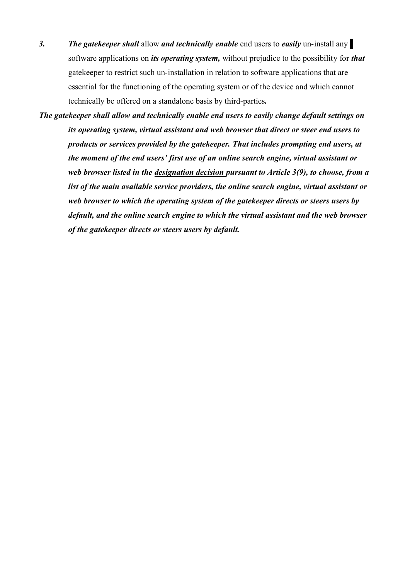- 3. **The gatekeeper shall** allow **and technically enable** end users to **easily** un-install any software applications on *its operating system,* without prejudice to the possibility for *that*  gatekeeper to restrict such un-installation in relation to software applications that are essential for the functioning of the operating system or of the device and which cannot technically be offered on a standalone basis by third-parties*.*
- *The gatekeeper shall allow and technically enable end users to easily change default settings on its operating system, virtual assistant and web browser that direct or steer end users to products or services provided by the gatekeeper. That includes prompting end users, at the moment of the end users' first use of an online search engine, virtual assistant or web browser listed in the designation decision pursuant to Article 3(9), to choose, from a list of the main available service providers, the online search engine, virtual assistant or web browser to which the operating system of the gatekeeper directs or steers users by default, and the online search engine to which the virtual assistant and the web browser of the gatekeeper directs or steers users by default.*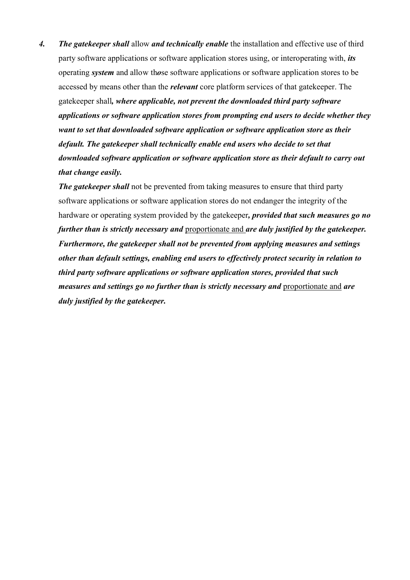*4. The gatekeeper shall* allow *and technically enable* the installation and effective use of third party software applications or software application stores using, or interoperating with, *its* operating *system* and allow th*o*se software applications or software application stores to be accessed by means other than the *relevant* core platform services of that gatekeeper. The gatekeeper shall*, where applicable, not prevent the downloaded third party software applications or software application stores from prompting end users to decide whether they want to set that downloaded software application or software application store as their default. The gatekeeper shall technically enable end users who decide to set that downloaded software application or software application store as their default to carry out that change easily.* 

*The gatekeeper shall* not be prevented from taking measures to ensure that third party software applications or software application stores do not endanger the integrity of the hardware or operating system provided by the gatekeeper*, provided that such measures go no further than is strictly necessary and* proportionate and *are duly justified by the gatekeeper. Furthermore, the gatekeeper shall not be prevented from applying measures and settings other than default settings, enabling end users to effectively protect security in relation to third party software applications or software application stores, provided that such measures and settings go no further than is strictly necessary and* proportionate and *are duly justified by the gatekeeper.*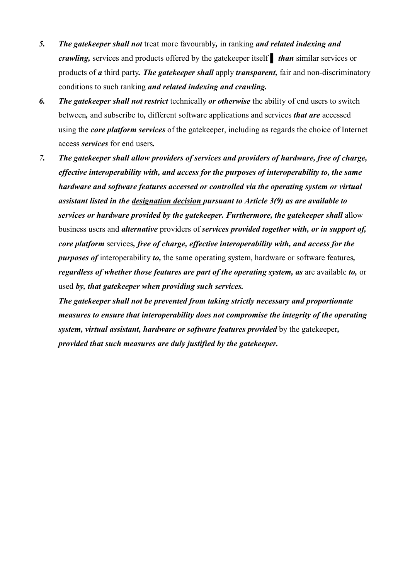- *5. The gatekeeper shall not* treat more favourably*,* in ranking *and related indexing and crawling,* services and products offered by the gatekeeper itself ▌ *than* similar services or products of *a* third party*. The gatekeeper shall* apply *transparent,* fair and non-discriminatory conditions to such ranking *and related indexing and crawling.*
- *6. The gatekeeper shall not restrict* technically *or otherwise* the ability of end users to switch between*,* and subscribe to*,* different software applications and services *that are* accessed using the *core platform services* of the gatekeeper, including as regards the choice of Internet access *services* for end users*.*
- *7. The gatekeeper shall allow providers of services and providers of hardware, free of charge, effective interoperability with, and access for the purposes of interoperability to, the same hardware and software features accessed or controlled via the operating system or virtual assistant listed in the designation decision pursuant to Article 3(9) as are available to services or hardware provided by the gatekeeper. Furthermore, the gatekeeper shall* allow business users and *alternative* providers of *services provided together with, or in support of, core platform* services*, free of charge, effective interoperability with, and access for the purposes of* interoperability *to,* the same operating system, hardware or software features*, regardless of whether those features are part of the operating system, as are available to, or* used *by, that gatekeeper when providing such services.*

*The gatekeeper shall not be prevented from taking strictly necessary and proportionate measures to ensure that interoperability does not compromise the integrity of the operating system, virtual assistant, hardware or software features provided* by the gatekeeper*, provided that such measures are duly justified by the gatekeeper.*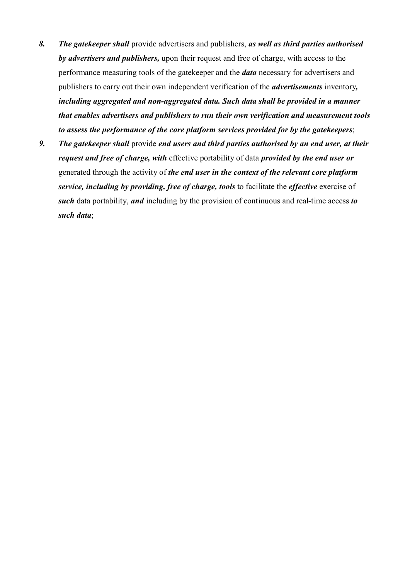- *8. The gatekeeper shall* provide advertisers and publishers, *as well as third parties authorised by advertisers and publishers,* upon their request and free of charge, with access to the performance measuring tools of the gatekeeper and the *data* necessary for advertisers and publishers to carry out their own independent verification of the *advertisements* inventory*, including aggregated and non-aggregated data. Such data shall be provided in a manner that enables advertisers and publishers to run their own verification and measurement tools to assess the performance of the core platform services provided for by the gatekeepers*;
- *9. The gatekeeper shall* provide *end users and third parties authorised by an end user, at their request and free of charge, with* effective portability of data *provided by the end user or*  generated through the activity of *the end user in the context of the relevant core platform service, including by providing, free of charge, tools* to facilitate the *effective* exercise of *such* data portability, *and* including by the provision of continuous and real-time access *to such data*;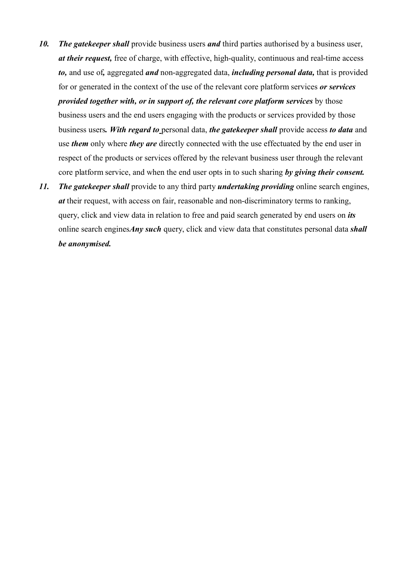- *10. The gatekeeper shall* provide business users *and* third parties authorised by a business user, *at their request,* free of charge, with effective, high-quality, continuous and real-time access *to,* and use of*,* aggregated *and* non-aggregated data, *including personal data,* that is provided for or generated in the context of the use of the relevant core platform services *or services provided together with, or in support of, the relevant core platform services* by those business users and the end users engaging with the products or services provided by those business users*. With regard to* personal data, *the gatekeeper shall* provide access *to data* and use *them* only where *they are* directly connected with the use effectuated by the end user in respect of the products or services offered by the relevant business user through the relevant core platform service, and when the end user opts in to such sharing *by giving their consent.*
- *11. The gatekeeper shall* provide to any third party *undertaking providing* online search engines, *at* their request, with access on fair, reasonable and non-discriminatory terms to ranking, query, click and view data in relation to free and paid search generated by end users on *its*  online search engines*Any such* query, click and view data that constitutes personal data *shall be anonymised.*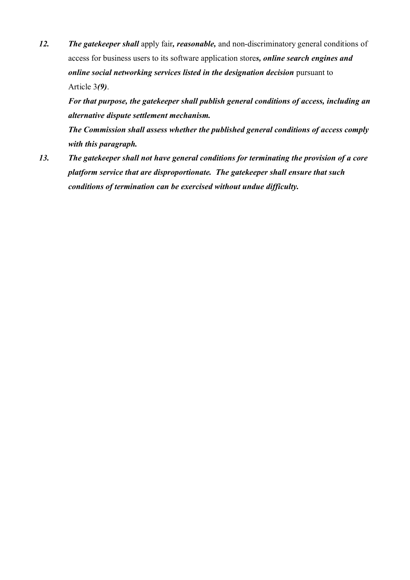*12. The gatekeeper shall* apply fair*, reasonable,* and non-discriminatory general conditions of access for business users to its software application store*s, online search engines and online social networking services listed in the designation decision* pursuant to Article 3*(9)*.

*For that purpose, the gatekeeper shall publish general conditions of access, including an alternative dispute settlement mechanism.*

*The Commission shall assess whether the published general conditions of access comply with this paragraph.*

*13. The gatekeeper shall not have general conditions for terminating the provision of a core platform service that are disproportionate. The gatekeeper shall ensure that such conditions of termination can be exercised without undue difficulty.*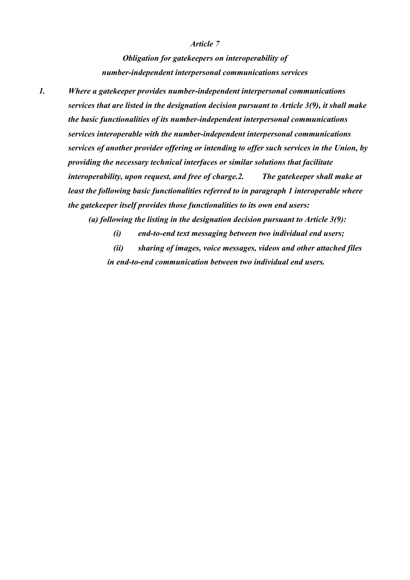#### *Article 7*

*Obligation for gatekeepers on interoperability of number-independent interpersonal communications services*

*1. Where a gatekeeper provides number-independent interpersonal communications services that are listed in the designation decision pursuant to Article 3(9), it shall make the basic functionalities of its number-independent interpersonal communications services interoperable with the number-independent interpersonal communications services of another provider offering or intending to offer such services in the Union, by providing the necessary technical interfaces or similar solutions that facilitate interoperability, upon request, and free of charge.2. The gatekeeper shall make at least the following basic functionalities referred to in paragraph 1 interoperable where the gatekeeper itself provides those functionalities to its own end users:*

*(a) following the listing in the designation decision pursuant to Article 3(9):*

*(i) end-to-end text messaging between two individual end users;*

*(ii) sharing of images, voice messages, videos and other attached files in end-to-end communication between two individual end users.*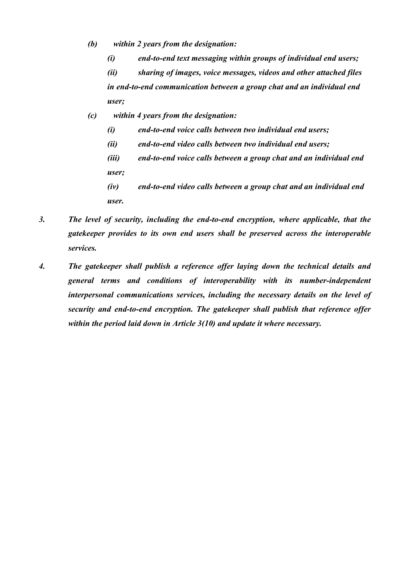- *(b) within 2 years from the designation:*
	- *(i) end-to-end text messaging within groups of individual end users;*

*(ii) sharing of images, voice messages, videos and other attached files in end-to-end communication between a group chat and an individual end user;*

- *(c) within 4 years from the designation:*
	- *(i) end-to-end voice calls between two individual end users;*
	- *(ii) end-to-end video calls between two individual end users;*
	- *(iii) end-to-end voice calls between a group chat and an individual end user;*
	- *(iv) end-to-end video calls between a group chat and an individual end user.*
- *3. The level of security, including the end-to-end encryption, where applicable, that the gatekeeper provides to its own end users shall be preserved across the interoperable services.*
- *4. The gatekeeper shall publish a reference offer laying down the technical details and general terms and conditions of interoperability with its number-independent interpersonal communications services, including the necessary details on the level of security and end-to-end encryption. The gatekeeper shall publish that reference offer within the period laid down in Article 3(10) and update it where necessary.*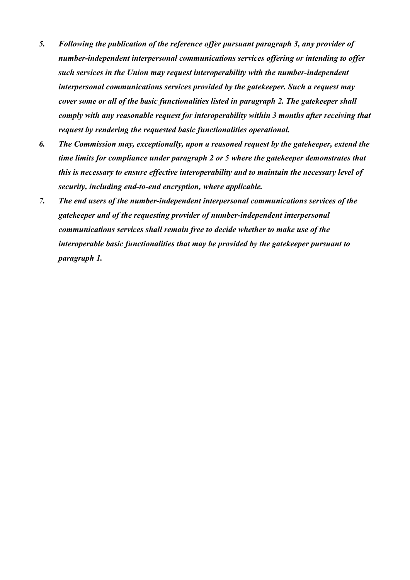- *5. Following the publication of the reference offer pursuant paragraph 3, any provider of number-independent interpersonal communications services offering or intending to offer such services in the Union may request interoperability with the number-independent interpersonal communications services provided by the gatekeeper. Such a request may cover some or all of the basic functionalities listed in paragraph 2. The gatekeeper shall comply with any reasonable request for interoperability within 3 months after receiving that request by rendering the requested basic functionalities operational.*
- *6. The Commission may, exceptionally, upon a reasoned request by the gatekeeper, extend the time limits for compliance under paragraph 2 or 5 where the gatekeeper demonstrates that this is necessary to ensure effective interoperability and to maintain the necessary level of security, including end-to-end encryption, where applicable.*
- *7. The end users of the number-independent interpersonal communications services of the gatekeeper and of the requesting provider of number-independent interpersonal communications services shall remain free to decide whether to make use of the interoperable basic functionalities that may be provided by the gatekeeper pursuant to paragraph 1.*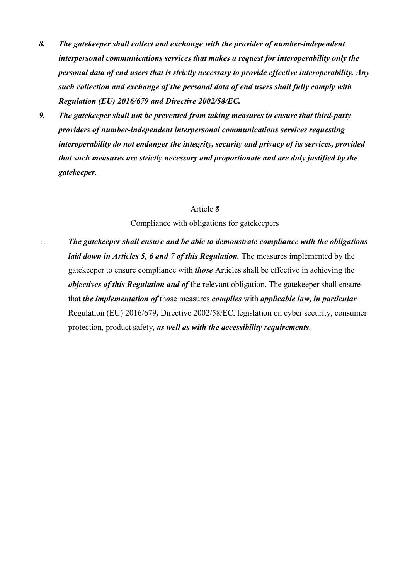- *8. The gatekeeper shall collect and exchange with the provider of number-independent interpersonal communications services that makes a request for interoperability only the personal data of end users that is strictly necessary to provide effective interoperability. Any such collection and exchange of the personal data of end users shall fully comply with Regulation (EU) 2016/679 and Directive 2002/58/EC.*
- *9. The gatekeeper shall not be prevented from taking measures to ensure that third-party providers of number-independent interpersonal communications services requesting interoperability do not endanger the integrity, security and privacy of its services, provided that such measures are strictly necessary and proportionate and are duly justified by the gatekeeper.*

Compliance with obligations for gatekeepers

1. *The gatekeeper shall ensure and be able to demonstrate compliance with the obligations laid down in Articles 5, 6 and 7 of this Regulation.* The measures implemented by the gatekeeper to ensure compliance with *those* Articles shall be effective in achieving the *objectives of this Regulation and of* the relevant obligation. The gatekeeper shall ensure that *the implementation of* th*o*se measures *complies* with *applicable law, in particular* Regulation (EU) 2016/679*,* Directive 2002/58/EC, legislation on cyber security, consumer protection*,* product safety*, as well as with the accessibility requirements*.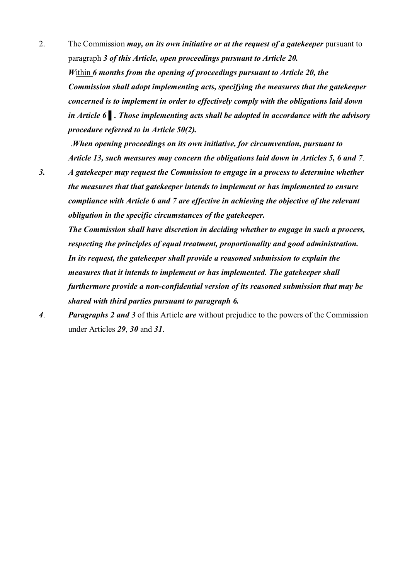2. The Commission *may, on its own initiative or at the request of a gatekeeper* pursuant to paragraph *3 of this Article, open proceedings pursuant to Article 20. W*ithin *6 months from the opening of proceedings pursuant to Article 20, the Commission shall adopt implementing acts, specifying the measures that the gatekeeper concerned is to implement in order to effectively comply with the obligations laid down in Article 6 ▌. Those implementing acts shall be adopted in accordance with the advisory procedure referred to in Article 50(2).* 

.*When opening proceedings on its own initiative, for circumvention, pursuant to Article 13, such measures may concern the obligations laid down in Articles 5, 6 and 7*.

*3. A gatekeeper may request the Commission to engage in a process to determine whether the measures that that gatekeeper intends to implement or has implemented to ensure compliance with Article 6 and 7 are effective in achieving the objective of the relevant obligation in the specific circumstances of the gatekeeper.*

*The Commission shall have discretion in deciding whether to engage in such a process, respecting the principles of equal treatment, proportionality and good administration. In its request, the gatekeeper shall provide a reasoned submission to explain the measures that it intends to implement or has implemented. The gatekeeper shall furthermore provide a non-confidential version of its reasoned submission that may be shared with third parties pursuant to paragraph 6.*

*4*. *Paragraphs 2 and 3* of this Article *are* without prejudice to the powers of the Commission under Articles *29*, *30* and *31*.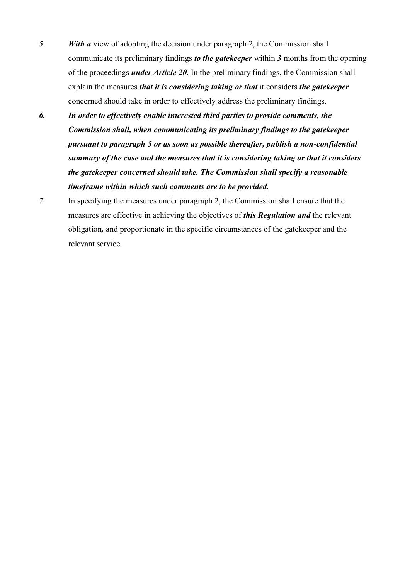- *5*. *With a* view of adopting the decision under paragraph 2, the Commission shall communicate its preliminary findings *to the gatekeeper* within *3* months from the opening of the proceedings *under Article 20*. In the preliminary findings, the Commission shall explain the measures *that it is considering taking or that* it considers *the gatekeeper* concerned should take in order to effectively address the preliminary findings.
- *6. In order to effectively enable interested third parties to provide comments, the Commission shall, when communicating its preliminary findings to the gatekeeper pursuant to paragraph 5 or as soon as possible thereafter, publish a non-confidential summary of the case and the measures that it is considering taking or that it considers the gatekeeper concerned should take. The Commission shall specify a reasonable timeframe within which such comments are to be provided.*
- *7*. In specifying the measures under paragraph 2, the Commission shall ensure that the measures are effective in achieving the objectives of *this Regulation and* the relevant obligation*,* and proportionate in the specific circumstances of the gatekeeper and the relevant service.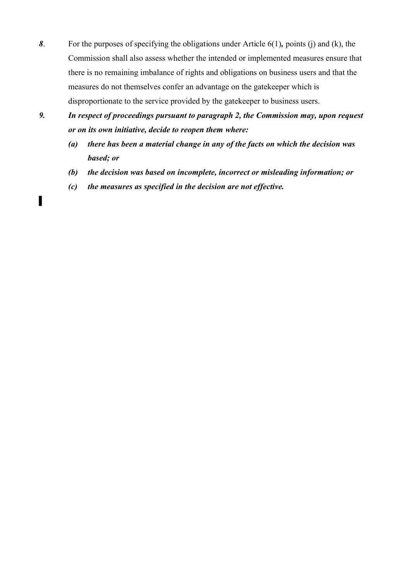- *8*. For the purposes of specifying the obligations under Article 6(1)*,* points (j) and (k), the Commission shall also assess whether the intended or implemented measures ensure that there is no remaining imbalance of rights and obligations on business users and that the measures do not themselves confer an advantage on the gatekeeper which is disproportionate to the service provided by the gatekeeper to business users.
- *9. In respect of proceedings pursuant to paragraph 2, the Commission may, upon request or on its own initiative, decide to reopen them where:*
	- *(a) there has been a material change in any of the facts on which the decision was based; or*
	- *(b) the decision was based on incomplete, incorrect or misleading information; or*
	- *(c) the measures as specified in the decision are not effective.*

▌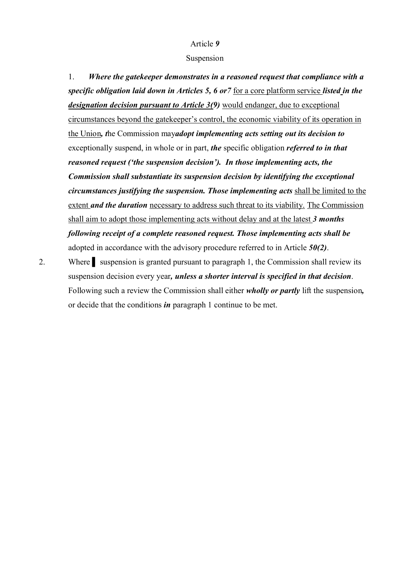#### Suspension

1. *Where the gatekeeper demonstrates in a reasoned request that compliance with a specific obligation laid down in Articles 5, 6 or7* for a core platform service *listed in the designation decision pursuant to Article 3(9)* would endanger, due to exceptional circumstances beyond the gatekeeper's control, the economic viability of its operation in the Union*, t*he Commission may*adopt implementing acts setting out its decision to*  exceptionally suspend, in whole or in part, *the* specific obligation *referred to in that reasoned request ('the suspension decision'). In those implementing acts, the Commission shall substantiate its suspension decision by identifying the exceptional circumstances justifying the suspension. Those implementing acts* shall be limited to the extent *and the duration* necessary to address such threat to its viability. The Commission shall aim to adopt those implementing acts without delay and at the latest *3 months following receipt of a complete reasoned request. Those implementing acts shall be* adopted in accordance with the advisory procedure referred to in Article *50(2)*.

2. Where suspension is granted pursuant to paragraph 1, the Commission shall review its suspension decision every year*, unless a shorter interval is specified in that decision*. Following such a review the Commission shall either *wholly or partly* lift the suspension*,* or decide that the conditions *in* paragraph 1 continue to be met.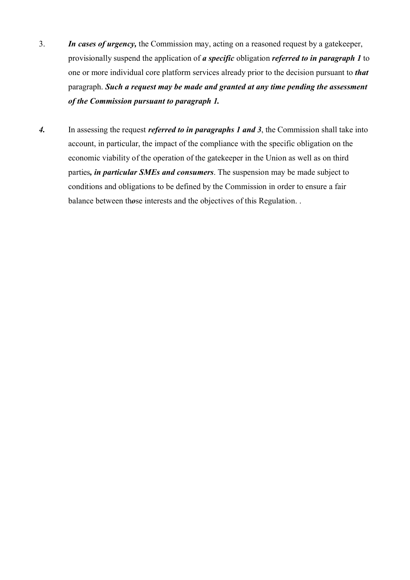- 3. *In cases of urgency,* the Commission may, acting on a reasoned request by a gatekeeper, provisionally suspend the application of *a specific* obligation *referred to in paragraph 1* to one or more individual core platform services already prior to the decision pursuant to *that*  paragraph. *Such a request may be made and granted at any time pending the assessment of the Commission pursuant to paragraph 1.*
- *4.* In assessing the request *referred to in paragraphs 1 and 3*, the Commission shall take into account, in particular, the impact of the compliance with the specific obligation on the economic viability of the operation of the gatekeeper in the Union as well as on third parties*, in particular SMEs and consumers*. The suspension may be made subject to conditions and obligations to be defined by the Commission in order to ensure a fair balance between th*o*se interests and the objectives of this Regulation. .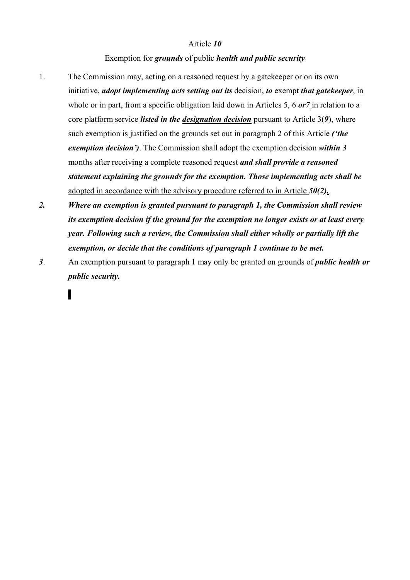## Exemption for *grounds* of public *health and public security*

- 1. The Commission may, acting on a reasoned request by a gatekeeper or on its own initiative, *adopt implementing acts setting out its* decision, *to* exempt *that gatekeeper*, in whole or in part, from a specific obligation laid down in Articles 5, 6 *or7* in relation to a core platform service *listed in the designation decision* pursuant to Article 3(*9*), where such exemption is justified on the grounds set out in paragraph 2 of this Article *('the exemption decision')*. The Commission shall adopt the exemption decision *within 3* months after receiving a complete reasoned request *and shall provide a reasoned statement explaining the grounds for the exemption. Those implementing acts shall be*  adopted in accordance with the advisory procedure referred to in Article *50(2).*
- *2. Where an exemption is granted pursuant to paragraph 1, the Commission shall review its exemption decision if the ground for the exemption no longer exists or at least every year. Following such a review, the Commission shall either wholly or partially lift the exemption, or decide that the conditions of paragraph 1 continue to be met.*
- *3*. An exemption pursuant to paragraph 1 may only be granted on grounds of *public health or public security.*

▌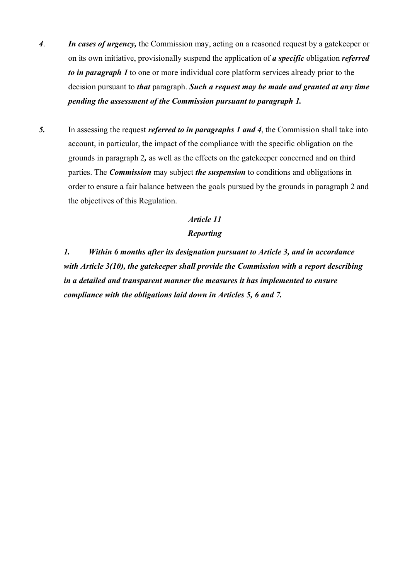- *4*. *In cases of urgency,* the Commission may, acting on a reasoned request by a gatekeeper or on its own initiative, provisionally suspend the application of *a specific* obligation *referred to in paragraph 1* to one or more individual core platform services already prior to the decision pursuant to *that* paragraph. *Such a request may be made and granted at any time pending the assessment of the Commission pursuant to paragraph 1.*
- *5.* In assessing the request *referred to in paragraphs 1 and 4*, the Commission shall take into account, in particular, the impact of the compliance with the specific obligation on the grounds in paragraph 2*,* as well as the effects on the gatekeeper concerned and on third parties. The *Commission* may subject *the suspension* to conditions and obligations in order to ensure a fair balance between the goals pursued by the grounds in paragraph 2 and the objectives of this Regulation.

# *Article 11 Reporting*

*1. Within 6 months after its designation pursuant to Article 3, and in accordance with Article 3(10), the gatekeeper shall provide the Commission with a report describing in a detailed and transparent manner the measures it has implemented to ensure compliance with the obligations laid down in Articles 5, 6 and 7.*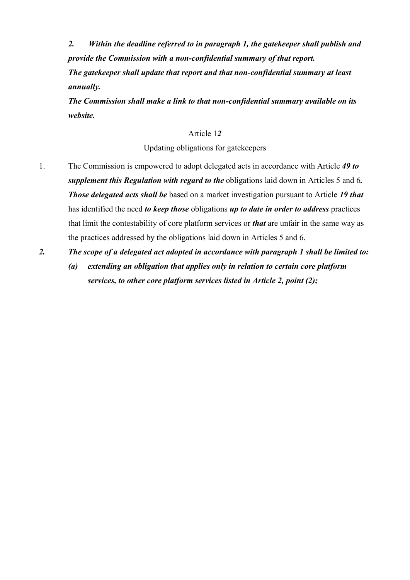*2. Within the deadline referred to in paragraph 1, the gatekeeper shall publish and provide the Commission with a non-confidential summary of that report. The gatekeeper shall update that report and that non-confidential summary at least annually.*

*The Commission shall make a link to that non-confidential summary available on its website.*

### Article 1*2*

Updating obligations for gatekeepers

- 1. The Commission is empowered to adopt delegated acts in accordance with Article *49 to supplement this Regulation with regard to the* obligations laid down in Articles 5 and 6*. Those delegated acts shall be* based on a market investigation pursuant to Article *19 that* has identified the need *to keep those* obligations *up to date in order to address* practices that limit the contestability of core platform services or *that* are unfair in the same way as the practices addressed by the obligations laid down in Articles 5 and 6.
- *2. The scope of a delegated act adopted in accordance with paragraph 1 shall be limited to:*
	- *(a) extending an obligation that applies only in relation to certain core platform services, to other core platform services listed in Article 2, point (2);*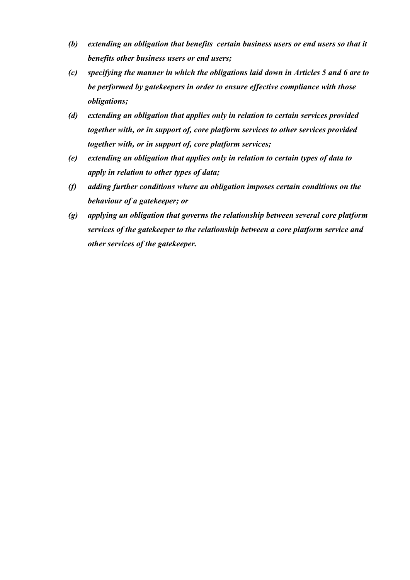- *(b) extending an obligation that benefits certain business users or end users so that it benefits other business users or end users;*
- *(c) specifying the manner in which the obligations laid down in Articles 5 and 6 are to be performed by gatekeepers in order to ensure effective compliance with those obligations;*
- *(d) extending an obligation that applies only in relation to certain services provided together with, or in support of, core platform services to other services provided together with, or in support of, core platform services;*
- *(e) extending an obligation that applies only in relation to certain types of data to apply in relation to other types of data;*
- *(f) adding further conditions where an obligation imposes certain conditions on the behaviour of a gatekeeper; or*
- *(g) applying an obligation that governs the relationship between several core platform services of the gatekeeper to the relationship between a core platform service and other services of the gatekeeper.*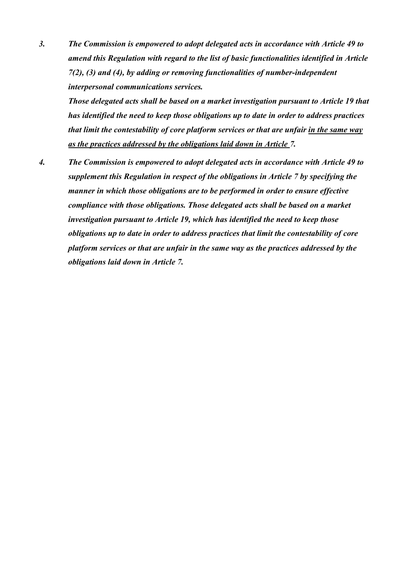*3. The Commission is empowered to adopt delegated acts in accordance with Article 49 to amend this Regulation with regard to the list of basic functionalities identified in Article 7(2), (3) and (4), by adding or removing functionalities of number-independent interpersonal communications services.* 

*Those delegated acts shall be based on a market investigation pursuant to Article 19 that has identified the need to keep those obligations up to date in order to address practices that limit the contestability of core platform services or that are unfair in the same way as the practices addressed by the obligations laid down in Article 7.*

*4. The Commission is empowered to adopt delegated acts in accordance with Article 49 to supplement this Regulation in respect of the obligations in Article 7 by specifying the manner in which those obligations are to be performed in order to ensure effective compliance with those obligations. Those delegated acts shall be based on a market investigation pursuant to Article 19, which has identified the need to keep those obligations up to date in order to address practices that limit the contestability of core platform services or that are unfair in the same way as the practices addressed by the obligations laid down in Article 7.*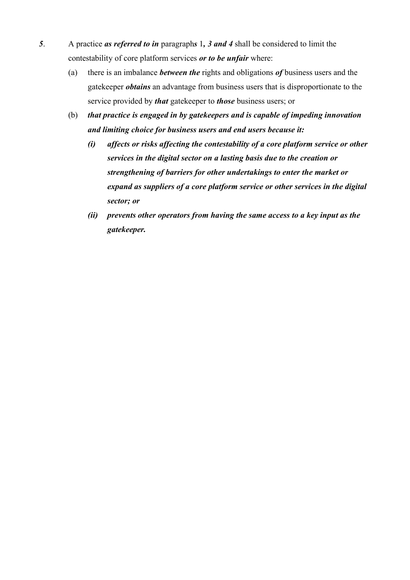- *5*. A practice *as referred to in* paragraph*s* 1*, 3 and 4* shall be considered to limit the contestability of core platform services *or to be unfair* where:
	- (a) there is an imbalance *between the* rights and obligations *of* business users and the gatekeeper *obtains* an advantage from business users that is disproportionate to the service provided by *that* gatekeeper to *those* business users; or
	- (b) *that practice is engaged in by gatekeepers and is capable of impeding innovation and limiting choice for business users and end users because it:*
		- *(i) affects or risks affecting the contestability of a core platform service or other services in the digital sector on a lasting basis due to the creation or strengthening of barriers for other undertakings to enter the market or expand as suppliers of a core platform service or other services in the digital sector; or*
		- *(ii) prevents other operators from having the same access to a key input as the gatekeeper.*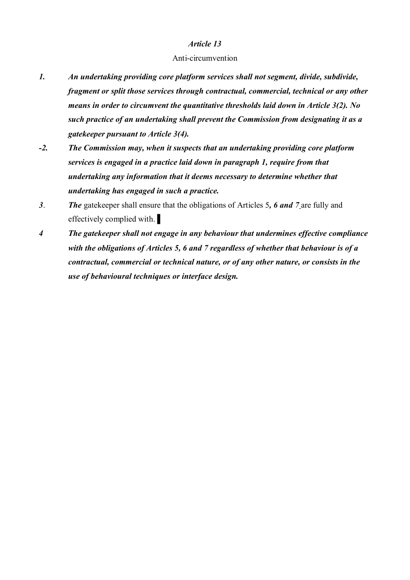### Anti-circumvention

- *1. An undertaking providing core platform services shall not segment, divide, subdivide, fragment or split those services through contractual, commercial, technical or any other means in order to circumvent the quantitative thresholds laid down in Article 3(2). No such practice of an undertaking shall prevent the Commission from designating it as a gatekeeper pursuant to Article 3(4).*
- *-2. The Commission may, when it suspects that an undertaking providing core platform services is engaged in a practice laid down in paragraph 1, require from that undertaking any information that it deems necessary to determine whether that undertaking has engaged in such a practice.*
- *3*. *The* gatekeeper shall ensure that the obligations of Articles 5*, 6 and 7* are fully and effectively complied with.
- *4 The gatekeeper shall not engage in any behaviour that undermines effective compliance with the obligations of Articles 5, 6 and 7 regardless of whether that behaviour is of a contractual, commercial or technical nature, or of any other nature, or consists in the use of behavioural techniques or interface design.*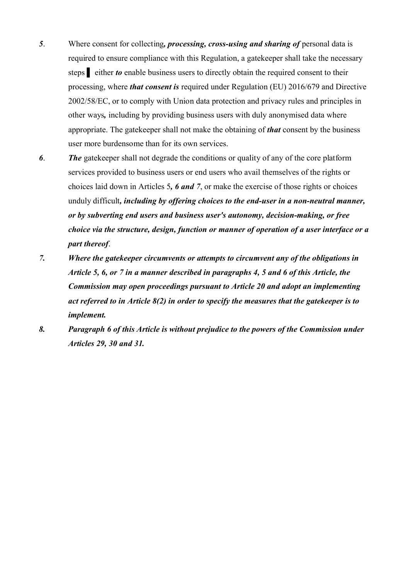- *5*. Where consent for collecting*, processing, cross-using and sharing of* personal data is required to ensure compliance with this Regulation, a gatekeeper shall take the necessary steps ▌ either *to* enable business users to directly obtain the required consent to their processing, where *that consent is* required under Regulation (EU) 2016/679 and Directive 2002/58/EC, or to comply with Union data protection and privacy rules and principles in other ways*,* including by providing business users with duly anonymised data where appropriate. The gatekeeper shall not make the obtaining of *that* consent by the business user more burdensome than for its own services.
- *6*. *The* gatekeeper shall not degrade the conditions or quality of any of the core platform services provided to business users or end users who avail themselves of the rights or choices laid down in Articles 5*, 6 and 7*, or make the exercise of those rights or choices unduly difficult*, including by offering choices to the end-user in a non-neutral manner, or by subverting end users and business user's autonomy, decision-making, or free choice via the structure, design, function or manner of operation of a user interface or a part thereof*.
- *7. Where the gatekeeper circumvents or attempts to circumvent any of the obligations in Article 5, 6, or 7 in a manner described in paragraphs 4, 5 and 6 of this Article, the Commission may open proceedings pursuant to Article 20 and adopt an implementing act referred to in Article 8(2) in order to specify the measures that the gatekeeper is to implement.*
- *8. Paragraph 6 of this Article is without prejudice to the powers of the Commission under Articles 29, 30 and 31.*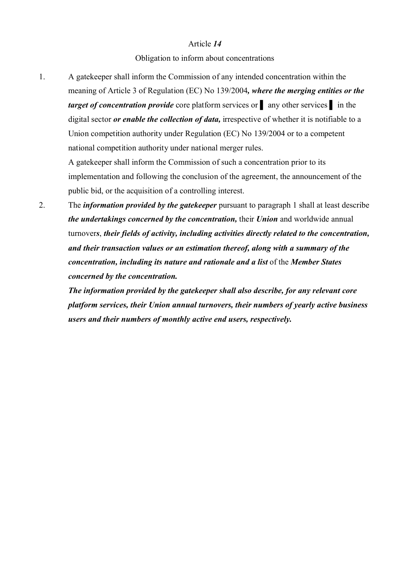Obligation to inform about concentrations

1. A gatekeeper shall inform the Commission of any intended concentration within the meaning of Article 3 of Regulation (EC) No 139/2004*, where the merging entities or the target of concentration provide* core platform services or ▌ any other services ▌ in the digital sector *or enable the collection of data,* irrespective of whether it is notifiable to a Union competition authority under Regulation (EC) No 139/2004 or to a competent national competition authority under national merger rules.

A gatekeeper shall inform the Commission of such a concentration prior to its implementation and following the conclusion of the agreement, the announcement of the public bid, or the acquisition of a controlling interest.

2. The *information provided by the gatekeeper* pursuant to paragraph 1 shall at least describe *the undertakings concerned by the concentration,* their *Union* and worldwide annual turnover*s*, *their fields of activity, including activities directly related to the concentration, and their transaction values or an estimation thereof, along with a summary of the concentration, including its nature and rationale and a list* of the *Member States concerned by the concentration.*

*The information provided by the gatekeeper shall also describe, for any relevant core platform services, their Union annual turnovers, their numbers of yearly active business users and their numbers of monthly active end users, respectively.*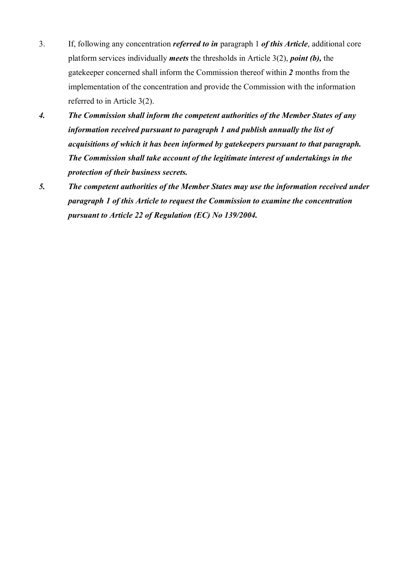- 3. If, following any concentration *referred to in* paragraph 1 *of this Article*, additional core platform services individually *meets* the thresholds in Article 3(2), *point (b),* the gatekeeper concerned shall inform the Commission thereof within *2* months from the implementation of the concentration and provide the Commission with the information referred to in Article 3(2).
- *4. The Commission shall inform the competent authorities of the Member States of any information received pursuant to paragraph 1 and publish annually the list of acquisitions of which it has been informed by gatekeepers pursuant to that paragraph. The Commission shall take account of the legitimate interest of undertakings in the protection of their business secrets.*
- *5. The competent authorities of the Member States may use the information received under paragraph 1 of this Article to request the Commission to examine the concentration pursuant to Article 22 of Regulation (EC) No 139/2004.*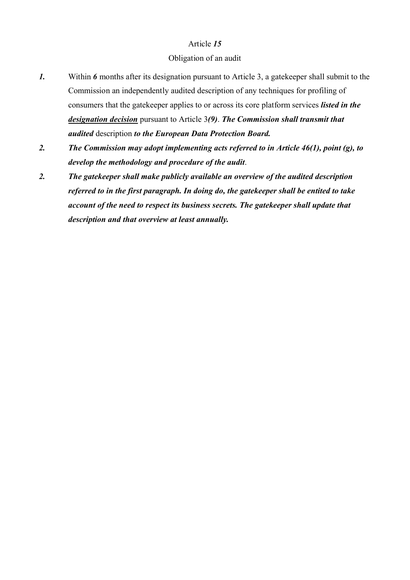## Obligation of an audit

- *1.* Within 6 months after its designation pursuant to Article 3, a gatekeeper shall submit to the Commission an independently audited description of any techniques for profiling of consumers that the gatekeeper applies to or across its core platform services *listed in the designation decision* pursuant to Article 3*(9)*. *The Commission shall transmit that audited* description *to the European Data Protection Board.*
- *2. The Commission may adopt implementing acts referred to in Article 46(1), point (g), to develop the methodology and procedure of the audit*.
- *2. The gatekeeper shall make publicly available an overview of the audited description referred to in the first paragraph. In doing do, the gatekeeper shall be entited to take account of the need to respect its business secrets. The gatekeeper shall update that description and that overview at least annually.*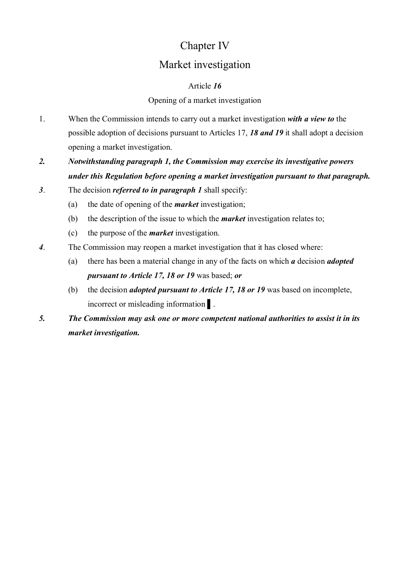# Chapter IV

# Market investigation

# Article *16*

# Opening of a market investigation

- 1. When the Commission intends to carry out a market investigation *with a view to* the possible adoption of decisions pursuant to Articles 17, *18 and 19* it shall adopt a decision opening a market investigation.
- *2. Notwithstanding paragraph 1, the Commission may exercise its investigative powers under this Regulation before opening a market investigation pursuant to that paragraph.*
- *3*. The decision *referred to in paragraph 1* shall specify:
	- (a) the date of opening of the *market* investigation;
	- (b) the description of the issue to which the *market* investigation relates to;
	- (c) the purpose of the *market* investigation.
- *4*. The Commission may reopen a market investigation that it has closed where:
	- (a) there has been a material change in any of the facts on which *a* decision *adopted pursuant to Article 17, 18 or 19* was based; *or*
	- (b) the decision *adopted pursuant to Article 17, 18 or 19* was based on incomplete, incorrect or misleading information ▌.
- *5. The Commission may ask one or more competent national authorities to assist it in its market investigation.*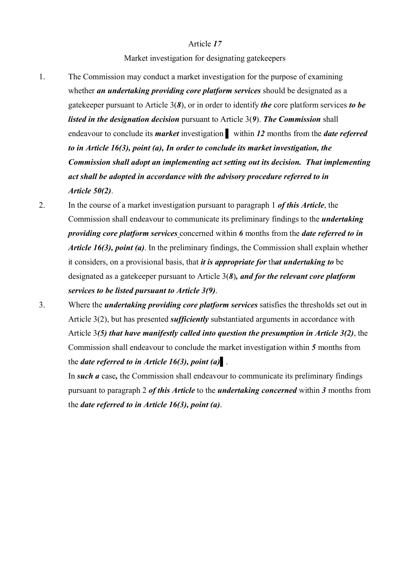Market investigation for designating gatekeepers

- 1. The Commission may conduct a market investigation for the purpose of examining whether *an undertaking providing core platform services* should be designated as a gatekeeper pursuant to Article 3(*8*), or in order to identify *the* core platform services *to be listed in the designation decision* pursuant to Article 3(*9*). *The Commission* shall endeavour to conclude its *market* investigation ▌ within *12* months from the *date referred to in Article 16(3), point (a), In order to conclude its market investigation, the Commission shall adopt an implementing act setting out its decision. That implementing act shall be adopted in accordance with the advisory procedure referred to in Article 50(2)*.
- 2. In the course of a market investigation pursuant to paragraph 1 *of this Article*, the Commission shall endeavour to communicate its preliminary findings to the *undertaking providing core platform services* concerned within *6* months from the *date referred to in Article 16(3), point (a)*. In the preliminary findings, the Commission shall explain whether it considers, on a provisional basis, that *it is appropriate for* th*at undertaking to* be designated as a gatekeeper pursuant to Article 3(*8*)*, and for the relevant core platform services to be listed pursuant to Article 3(9)*.
- 3. Where the *undertaking providing core platform services* satisfies the thresholds set out in Article 3(2), but has presented *sufficiently* substantiated arguments in accordance with Article 3*(5) that have manifestly called into question the presumption in Article 3(2)*, the Commission shall endeavour to conclude the market investigation within *5* months from the *date referred to in Article 16(3), point (a)*▌.

In *such a* case*,* the Commission shall endeavour to communicate its preliminary findings pursuant to paragraph 2 *of this Article* to the *undertaking concerned* within *3* months from the *date referred to in Article 16(3), point (a)*.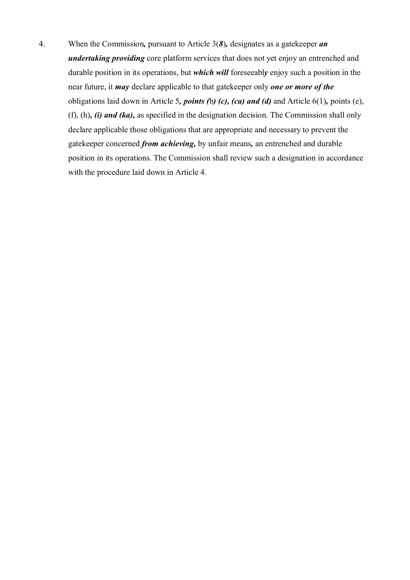4. When the Commission*,* pursuant to Article 3(*8*)*,* designates as a gatekeeper *an undertaking providing* core platform services that does not yet enjoy an entrenched and durable position in its operations, but *which will* foreseeabl*y* enjoy such a position in the near future, it *may* declare applicable to that gatekeeper only *one or more of the*  obligations laid down in Article 5*, points (*b*) (c), (ca) and (d)* and Article 6(1)*,* points (e), (f), (h)*, (i) and (ka),* as specified in the designation decision. The Commission shall only declare applicable those obligations that are appropriate and necessary to prevent the gatekeeper concerned *from achieving,* by unfair means*,* an entrenched and durable position in its operations. The Commission shall review such a designation in accordance with the procedure laid down in Article 4.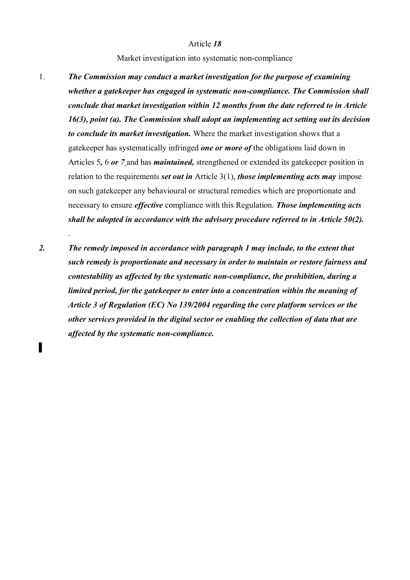#### Market investigation into systematic non-compliance

- 1. *The Commission may conduct a market investigation for the purpose of examining whether a gatekeeper has engaged in systematic non-compliance. The Commission shall conclude that market investigation within 12 months from the date referred to in Article 16(3), point (a). The Commission shall adopt an implementing act setting out its decision to conclude its market investigation.* Where the market investigation shows that a gatekeeper has systematically infringed *one or more of* the obligations laid down in Articles 5*,* 6 *or 7* and has *maintained,* strengthened or extended its gatekeeper position in relation to the requirements *set out in* Article 3(1), *those implementing acts may* impose on such gatekeeper any behavioural or structural remedies which are proportionate and necessary to ensure *effective* compliance with this Regulation. *Those implementing acts shall be adopted in accordance with the advisory procedure referred to in Article 50(2).*
- *2. The remedy imposed in accordance with paragraph 1 may include, to the extent that such remedy is proportionate and necessary in order to maintain or restore fairness and contestability as affected by the systematic non-compliance, the prohibition, during a limited period, for the gatekeeper to enter into a concentration within the meaning of Article 3 of Regulation (EC) No 139/2004 regarding the core platform services or the other services provided in the digital sector or enabling the collection of data that are affected by the systematic non-compliance.*

.

▌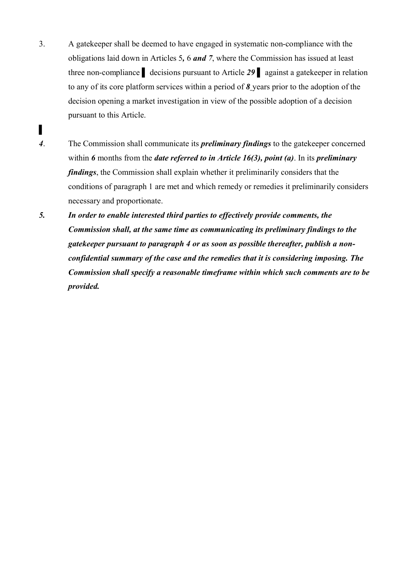- 3. A gatekeeper shall be deemed to have engaged in systematic non-compliance with the obligations laid down in Articles 5*,* 6 *and 7*, where the Commission has issued at least three non-compliance ▌ decisions pursuant to Article *29* ▌ against a gatekeeper in relation to any of its core platform services within a period of *8* years prior to the adoption of the decision opening a market investigation in view of the possible adoption of a decision pursuant to this Article.
- *4*. The Commission shall communicate its *preliminary findings* to the gatekeeper concerned within *6* months from the *date referred to in Article 16(3), point (a)*. In its *preliminary findings*, the Commission shall explain whether it preliminarily considers that the conditions of paragraph 1 are met and which remedy or remedies it preliminarily considers necessary and proportionate.

▌

*5. In order to enable interested third parties to effectively provide comments, the Commission shall, at the same time as communicating its preliminary findings to the gatekeeper pursuant to paragraph 4 or as soon as possible thereafter, publish a nonconfidential summary of the case and the remedies that it is considering imposing. The Commission shall specify a reasonable timeframe within which such comments are to be provided.*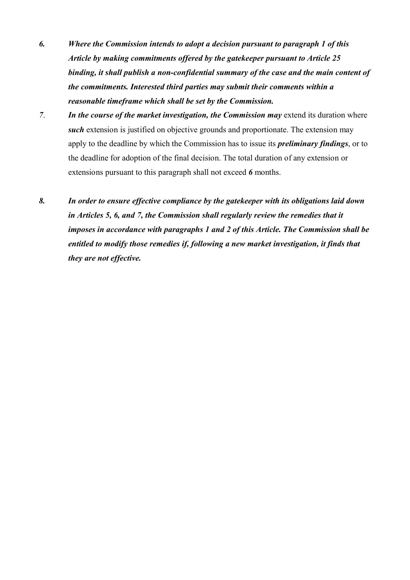- *6. Where the Commission intends to adopt a decision pursuant to paragraph 1 of this Article by making commitments offered by the gatekeeper pursuant to Article 25 binding, it shall publish a non-confidential summary of the case and the main content of the commitments. Interested third parties may submit their comments within a reasonable timeframe which shall be set by the Commission.*
- *7. In the course of the market investigation, the Commission may extend its duration where such* extension is justified on objective grounds and proportionate. The extension may apply to the deadline by which the Commission has to issue its *preliminary findings*, or to the deadline for adoption of the final decision. The total duration of any extension or extensions pursuant to this paragraph shall not exceed *6* months.
- *8. In order to ensure effective compliance by the gatekeeper with its obligations laid down in Articles 5, 6, and 7, the Commission shall regularly review the remedies that it imposes in accordance with paragraphs 1 and 2 of this Article. The Commission shall be entitled to modify those remedies if, following a new market investigation, it finds that they are not effective.*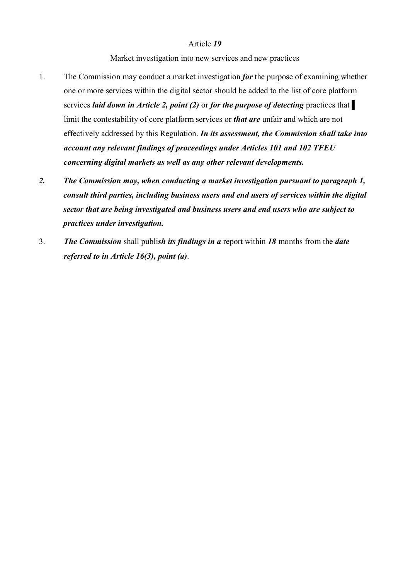Market investigation into new services and new practices

- 1. The Commission may conduct a market investigation *for* the purpose of examining whether one or more services within the digital sector should be added to the list of core platform services *laid down in Article 2, point (2)* or *for the purpose of detecting* practices that limit the contestability of core platform services or *that are* unfair and which are not effectively addressed by this Regulation. *In its assessment, the Commission shall take into account any relevant findings of proceedings under Articles 101 and 102 TFEU concerning digital markets as well as any other relevant developments.*
- *2. The Commission may, when conducting a market investigation pursuant to paragraph 1, consult third parties, including business users and end users of services within the digital sector that are being investigated and business users and end users who are subject to practices under investigation.*
- 3. *The Commission* shall publi*sh its findings in a* report within *18* months from the *date referred to in Article 16(3), point (a)*.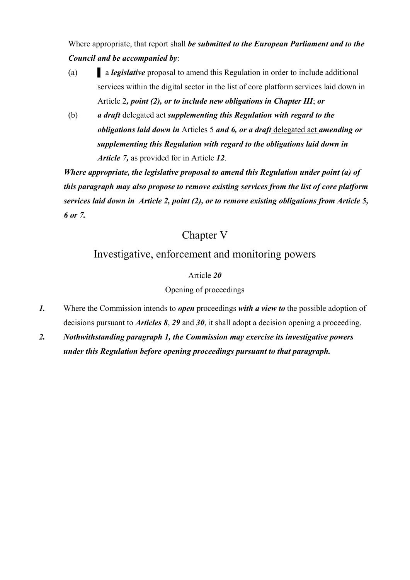Where appropriate, that report shall *be submitted to the European Parliament and to the Council and be accompanied by*:

- (a) ▌ a *legislative* proposal to amend this Regulation in order to include additional services within the digital sector in the list of core platform services laid down in Article 2*, point (2), or to include new obligations in Chapter III*; *or*
- (b) *a draft* delegated act *supplementing this Regulation with regard to the obligations laid down in* Articles 5 *and 6, or a draft* delegated act *amending or supplementing this Regulation with regard to the obligations laid down in Article 7,* as provided for in Article *12*.

*Where appropriate, the legislative proposal to amend this Regulation under point (a) of this paragraph may also propose to remove existing services from the list of core platform services laid down in Article 2, point (2), or to remove existing obligations from Article 5, 6 or 7.*

# Chapter V

# Investigative, enforcement and monitoring powers

# Article *20*

# Opening of proceedings

- *1.* Where the Commission intends to *open* proceedings *with a view to* the possible adoption of decisions pursuant to *Articles 8*, *29* and *30*, it shall adopt a decision opening a proceeding.
- *2. Nothwithstanding paragraph 1, the Commission may exercise its investigative powers under this Regulation before opening proceedings pursuant to that paragraph.*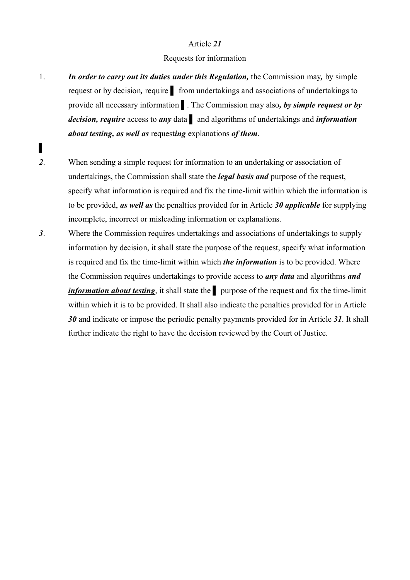## Requests for information

1. *In order to carry out its duties under this Regulation,* the Commission may*,* by simple request or by decision*,* require ▌ from undertakings and associations of undertakings to provide all necessary information ▌. The Commission may also*, by simple request or by decision, require* access to *any* data ▌ and algorithms of undertakings and *information about testing, as well as* request*ing* explanations *of them*.

▌

- *2*. When sending a simple request for information to an undertaking or association of undertakings, the Commission shall state the *legal basis and* purpose of the request, specify what information is required and fix the time-limit within which the information is to be provided, *as well as* the penalties provided for in Article *30 applicable* for supplying incomplete, incorrect or misleading information or explanations.
- *3*. Where the Commission requires undertakings and associations of undertakings to supply information by decision, it shall state the purpose of the request, specify what information is required and fix the time-limit within which *the information* is to be provided. Where the Commission requires undertakings to provide access to *any data* and algorithms *and information about testing*, it shall state the <u>Ⅰ</u> purpose of the request and fix the time-limit within which it is to be provided. It shall also indicate the penalties provided for in Article *30* and indicate or impose the periodic penalty payments provided for in Article *31*. It shall further indicate the right to have the decision reviewed by the Court of Justice.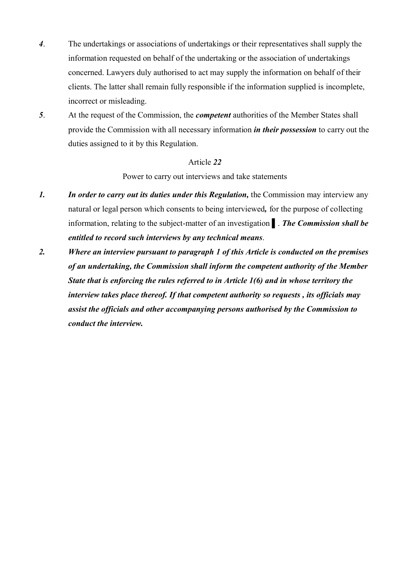- *4*. The undertakings or associations of undertakings or their representatives shall supply the information requested on behalf of the undertaking or the association of undertakings concerned. Lawyers duly authorised to act may supply the information on behalf of their clients. The latter shall remain fully responsible if the information supplied is incomplete, incorrect or misleading.
- *5*. At the request of the Commission, the *competent* authorities of the Member States shall provide the Commission with all necessary information *in their possession* to carry out the duties assigned to it by this Regulation.

Power to carry out interviews and take statements

- *1. In order to carry out its duties under this Regulation,* the Commission may interview any natural or legal person which consents to being interviewed*,* for the purpose of collecting information, relating to the subject-matter of an investigation ▌. *The Commission shall be entitled to record such interviews by any technical means*.
- *2. Where an interview pursuant to paragraph 1 of this Article is conducted on the premises of an undertaking, the Commission shall inform the competent authority of the Member State that is enforcing the rules referred to in Article 1(6) and in whose territory the interview takes place thereof. If that competent authority so requests , its officials may assist the officials and other accompanying persons authorised by the Commission to conduct the interview.*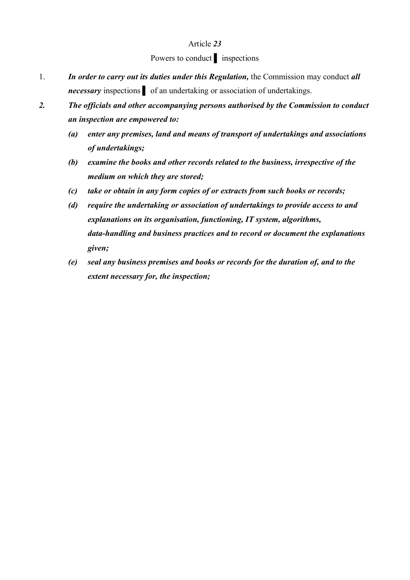# Powers to conduct ▌ inspections

- 1. *In order to carry out its duties under this Regulation,* the Commission may conduct *all necessary* inspections of an undertaking or association of undertakings.
- *2. The officials and other accompanying persons authorised by the Commission to conduct an inspection are empowered to:*
	- *(a) enter any premises, land and means of transport of undertakings and associations of undertakings;*
	- *(b) examine the books and other records related to the business, irrespective of the medium on which they are stored;*
	- *(c) take or obtain in any form copies of or extracts from such books or records;*
	- *(d) require the undertaking or association of undertakings to provide access to and explanations on its organisation, functioning, IT system, algorithms, data-handling and business practices and to record or document the explanations given;*
	- *(e) seal any business premises and books or records for the duration of, and to the extent necessary for, the inspection;*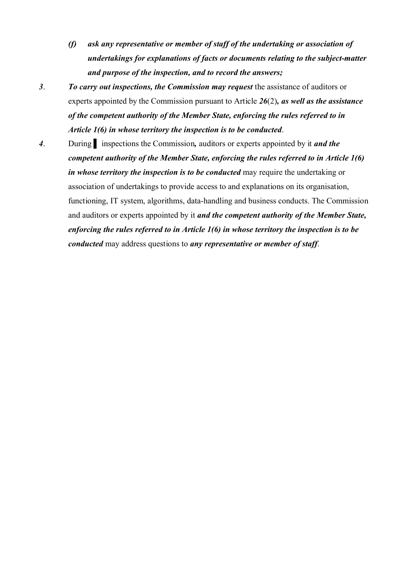- *(f) ask any representative or member of staff of the undertaking or association of undertakings for explanations of facts or documents relating to the subject-matter and purpose of the inspection, and to record the answers;*
- *3*. *To carry out inspections, the Commission may request* the assistance of auditors or experts appointed by the Commission pursuant to Article *26*(2)*, as well as the assistance of the competent authority of the Member State, enforcing the rules referred to in Article 1(6) in whose territory the inspection is to be conducted*.
- *4*. During ▌ inspections the Commission*,* auditors or experts appointed by it *and the competent authority of the Member State, enforcing the rules referred to in Article 1(6) in whose territory the inspection is to be conducted* may require the undertaking or association of undertakings to provide access to and explanations on its organisation, functioning, IT system, algorithms, data-handling and business conducts. The Commission and auditors or experts appointed by it *and the competent authority of the Member State, enforcing the rules referred to in Article 1(6) in whose territory the inspection is to be conducted* may address questions to *any representative or member of staff*.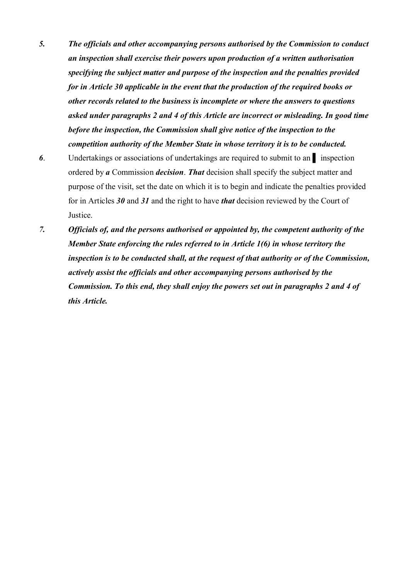- *5. The officials and other accompanying persons authorised by the Commission to conduct an inspection shall exercise their powers upon production of a written authorisation specifying the subject matter and purpose of the inspection and the penalties provided for in Article 30 applicable in the event that the production of the required books or other records related to the business is incomplete or where the answers to questions asked under paragraphs 2 and 4 of this Article are incorrect or misleading. In good time before the inspection, the Commission shall give notice of the inspection to the competition authority of the Member State in whose territory it is to be conducted.*
- **6.** Undertakings or associations of undertakings are required to submit to an all inspection ordered by *a* Commission *decision*. *That* decision shall specify the subject matter and purpose of the visit, set the date on which it is to begin and indicate the penalties provided for in Articles *30* and *31* and the right to have *that* decision reviewed by the Court of Justice.
- *7. Officials of, and the persons authorised or appointed by, the competent authority of the Member State enforcing the rules referred to in Article 1(6) in whose territory the inspection is to be conducted shall, at the request of that authority or of the Commission, actively assist the officials and other accompanying persons authorised by the Commission. To this end, they shall enjoy the powers set out in paragraphs 2 and 4 of this Article.*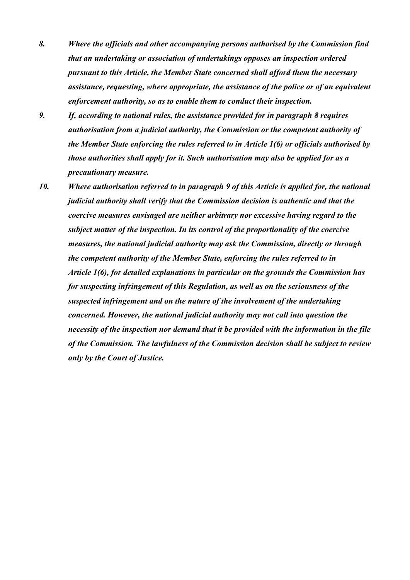- *8. Where the officials and other accompanying persons authorised by the Commission find that an undertaking or association of undertakings opposes an inspection ordered pursuant to this Article, the Member State concerned shall afford them the necessary assistance, requesting, where appropriate, the assistance of the police or of an equivalent enforcement authority, so as to enable them to conduct their inspection.*
- *9. If, according to national rules, the assistance provided for in paragraph 8 requires authorisation from a judicial authority, the Commission or the competent authority of the Member State enforcing the rules referred to in Article 1(6) or officials authorised by those authorities shall apply for it. Such authorisation may also be applied for as a precautionary measure.*
- *10. Where authorisation referred to in paragraph 9 of this Article is applied for, the national judicial authority shall verify that the Commission decision is authentic and that the coercive measures envisaged are neither arbitrary nor excessive having regard to the subject matter of the inspection. In its control of the proportionality of the coercive measures, the national judicial authority may ask the Commission, directly or through the competent authority of the Member State, enforcing the rules referred to in Article 1(6), for detailed explanations in particular on the grounds the Commission has for suspecting infringement of this Regulation, as well as on the seriousness of the suspected infringement and on the nature of the involvement of the undertaking concerned. However, the national judicial authority may not call into question the necessity of the inspection nor demand that it be provided with the information in the file of the Commission. The lawfulness of the Commission decision shall be subject to review only by the Court of Justice.*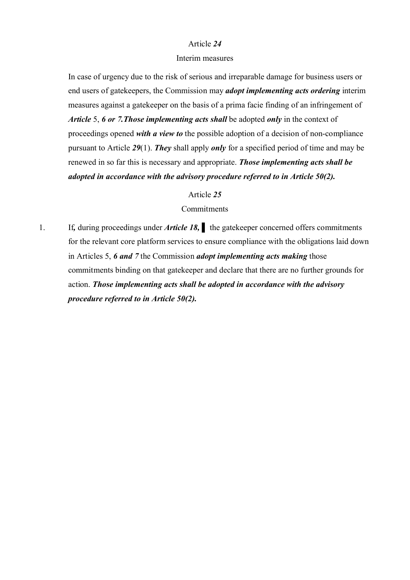#### Interim measures

In case of urgency due to the risk of serious and irreparable damage for business users or end users of gatekeepers, the Commission may *adopt implementing acts ordering* interim measures against a gatekeeper on the basis of a prima facie finding of an infringement of *Article* 5, *6 or 7.Those implementing acts shall* be adopted *only* in the context of proceedings opened *with a view to* the possible adoption of a decision of non-compliance pursuant to Article *29*(1). *They* shall apply *only* for a specified period of time and may be renewed in so far this is necessary and appropriate. *Those implementing acts shall be adopted in accordance with the advisory procedure referred to in Article 50(2).*

#### Article *25*

### **Commitments**

1. If, during proceedings under *Article 18*, the gatekeeper concerned offers commitments for the relevant core platform services to ensure compliance with the obligations laid down in Articles 5, *6 and 7* the Commission *adopt implementing acts making* those commitments binding on that gatekeeper and declare that there are no further grounds for action. *Those implementing acts shall be adopted in accordance with the advisory procedure referred to in Article 50(2).*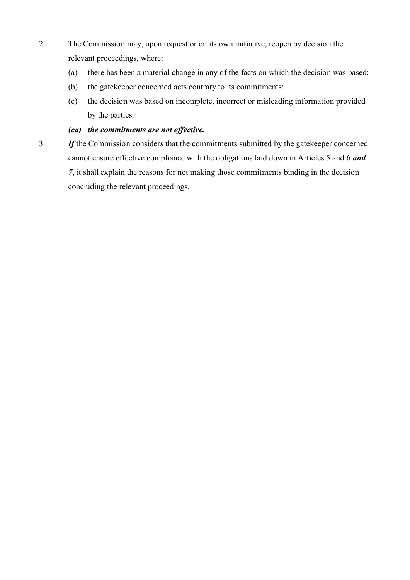- 2. The Commission may, upon request or on its own initiative, reopen by decision the relevant proceedings, where:
	- (a) there has been a material change in any of the facts on which the decision was based;
	- (b) the gatekeeper concerned acts contrary to its commitments;
	- (c) the decision was based on incomplete, incorrect or misleading information provided by the parties.

# *(ca) the commitments are not effective.*

3. *If* the Commission consider*s* that the commitments submitted by the gatekeeper concerned cannot ensure effective compliance with the obligations laid down in Articles 5 and 6 *and 7*, it shall explain the reasons for not making those commitments binding in the decision concluding the relevant proceedings.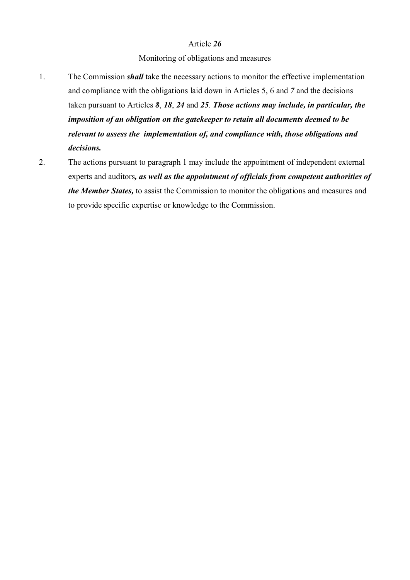## Monitoring of obligations and measures

- 1. The Commission *shall* take the necessary actions to monitor the effective implementation and compliance with the obligations laid down in Articles 5, 6 and *7* and the decisions taken pursuant to Articles *8*, *18*, *24* and *25*. *Those actions may include, in particular, the imposition of an obligation on the gatekeeper to retain all documents deemed to be relevant to assess the implementation of, and compliance with, those obligations and decisions.*
- 2. The actions pursuant to paragraph 1 may include the appointment of independent external experts and auditors*, as well as the appointment of officials from competent authorities of the Member States,* to assist the Commission to monitor the obligations and measures and to provide specific expertise or knowledge to the Commission.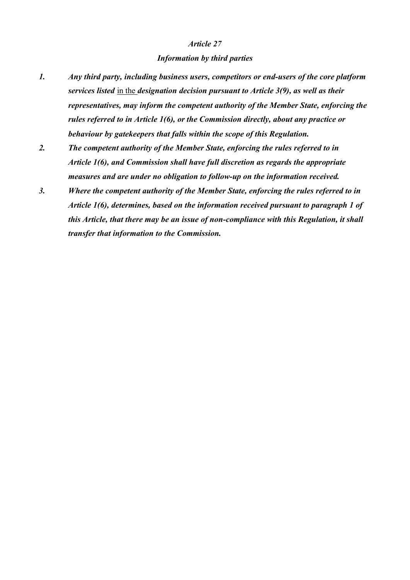### *Information by third parties*

- *1. Any third party, including business users, competitors or end-users of the core platform services listed* in the *designation decision pursuant to Article 3(9), as well as their representatives, may inform the competent authority of the Member State, enforcing the rules referred to in Article 1(6), or the Commission directly, about any practice or behaviour by gatekeepers that falls within the scope of this Regulation.*
- *2. The competent authority of the Member State, enforcing the rules referred to in Article 1(6), and Commission shall have full discretion as regards the appropriate measures and are under no obligation to follow-up on the information received.*
- *3. Where the competent authority of the Member State, enforcing the rules referred to in Article 1(6), determines, based on the information received pursuant to paragraph 1 of this Article, that there may be an issue of non-compliance with this Regulation, it shall transfer that information to the Commission.*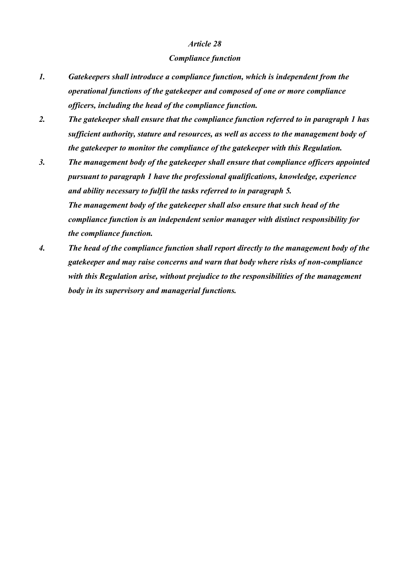#### *Compliance function*

- *1. Gatekeepers shall introduce a compliance function, which is independent from the operational functions of the gatekeeper and composed of one or more compliance officers, including the head of the compliance function.*
- *2. The gatekeeper shall ensure that the compliance function referred to in paragraph 1 has sufficient authority, stature and resources, as well as access to the management body of the gatekeeper to monitor the compliance of the gatekeeper with this Regulation.*
- *3. The management body of the gatekeeper shall ensure that compliance officers appointed pursuant to paragraph 1 have the professional qualifications, knowledge, experience and ability necessary to fulfil the tasks referred to in paragraph 5. The management body of the gatekeeper shall also ensure that such head of the compliance function is an independent senior manager with distinct responsibility for the compliance function.*
- *4. The head of the compliance function shall report directly to the management body of the gatekeeper and may raise concerns and warn that body where risks of non-compliance with this Regulation arise, without prejudice to the responsibilities of the management body in its supervisory and managerial functions.*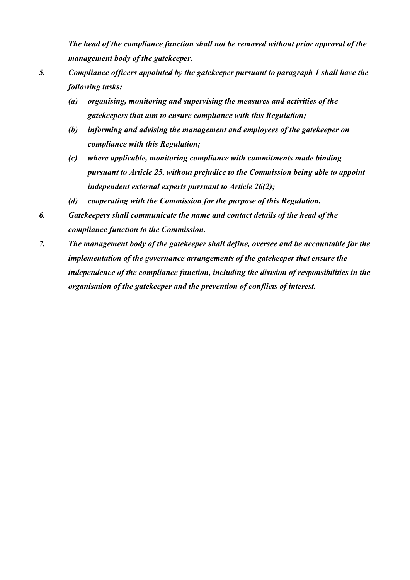*The head of the compliance function shall not be removed without prior approval of the management body of the gatekeeper.*

- *5. Compliance officers appointed by the gatekeeper pursuant to paragraph 1 shall have the following tasks:*
	- *(a) organising, monitoring and supervising the measures and activities of the gatekeepers that aim to ensure compliance with this Regulation;*
	- *(b) informing and advising the management and employees of the gatekeeper on compliance with this Regulation;*
	- *(c) where applicable, monitoring compliance with commitments made binding pursuant to Article 25, without prejudice to the Commission being able to appoint independent external experts pursuant to Article 26(2);*
	- *(d) cooperating with the Commission for the purpose of this Regulation.*
- *6. Gatekeepers shall communicate the name and contact details of the head of the compliance function to the Commission.*
- *7. The management body of the gatekeeper shall define, oversee and be accountable for the implementation of the governance arrangements of the gatekeeper that ensure the independence of the compliance function, including the division of responsibilities in the organisation of the gatekeeper and the prevention of conflicts of interest.*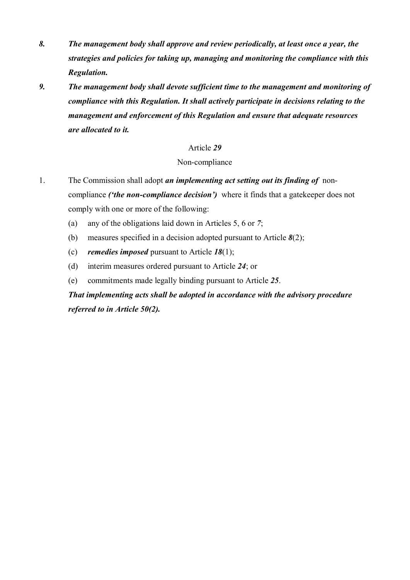- *8. The management body shall approve and review periodically, at least once a year, the strategies and policies for taking up, managing and monitoring the compliance with this Regulation.*
- *9. The management body shall devote sufficient time to the management and monitoring of compliance with this Regulation. It shall actively participate in decisions relating to the management and enforcement of this Regulation and ensure that adequate resources are allocated to it.*

## Non-compliance

- 1. The Commission shall adopt *an implementing act setting out its finding of* noncompliance *('the non-compliance decision')* where it finds that a gatekeeper does not comply with one or more of the following:
	- (a) any of the obligations laid down in Articles 5, 6 or *7*;
	- (b) measures specified in a decision adopted pursuant to Article *8*(2);
	- (c) *remedies imposed* pursuant to Article *18*(1);
	- (d) interim measures ordered pursuant to Article *24*; or
	- (e) commitments made legally binding pursuant to Article *25*.

*That implementing acts shall be adopted in accordance with the advisory procedure referred to in Article 50(2).*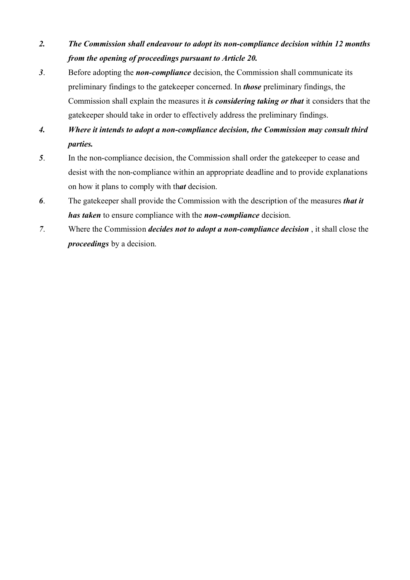- *2. The Commission shall endeavour to adopt its non-compliance decision within 12 months from the opening of proceedings pursuant to Article 20.*
- *3*. Before adopting the *non-compliance* decision, the Commission shall communicate its preliminary findings to the gatekeeper concerned. In *those* preliminary findings, the Commission shall explain the measures it *is considering taking or that* it considers that the gatekeeper should take in order to effectively address the preliminary findings.
- *4. Where it intends to adopt a non-compliance decision, the Commission may consult third parties.*
- *5*. In the non-compliance decision, the Commission shall order the gatekeeper to cease and desist with the non-compliance within an appropriate deadline and to provide explanations on how it plans to comply with th*at* decision.
- *6*. The gatekeeper shall provide the Commission with the description of the measures *that it has taken* to ensure compliance with the *non-compliance* decision.
- *7*. Where the Commission *decides not to adopt a non-compliance decision* , it shall close the *proceedings* by a decision.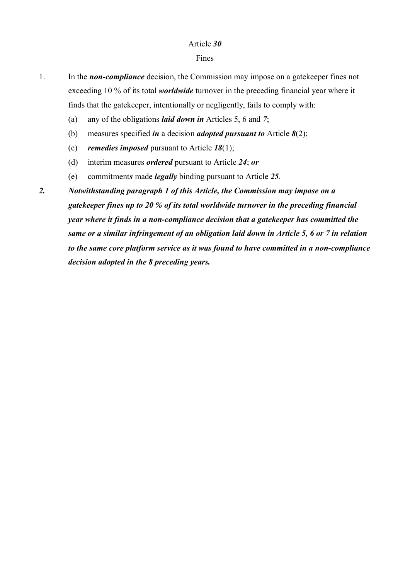#### Fines

- 1. In the *non-compliance* decision, the Commission may impose on a gatekeeper fines not exceeding 10 % of its total *worldwide* turnover in the preceding financial year where it finds that the gatekeeper, intentionally or negligently, fails to comply with:
	- (a) any of the obligations *laid down in* Articles 5, 6 and *7*;
	- (b) measures specified *in* a decision *adopted pursuant to* Article *8*(2);
	- (c) *remedies imposed* pursuant to Article *18*(1);
	- (d) interim measures *ordered* pursuant to Article *24*; *or*
	- (e) commitment*s* made *legally* binding pursuant to Article *25*.
- *2. Notwithstanding paragraph 1 of this Article, the Commission may impose on a gatekeeper fines up to 20 % of its total worldwide turnover in the preceding financial year where it finds in a non-compliance decision that a gatekeeper has committed the same or a similar infringement of an obligation laid down in Article 5, 6 or 7 in relation to the same core platform service as it was found to have committed in a non-compliance decision adopted in the 8 preceding years.*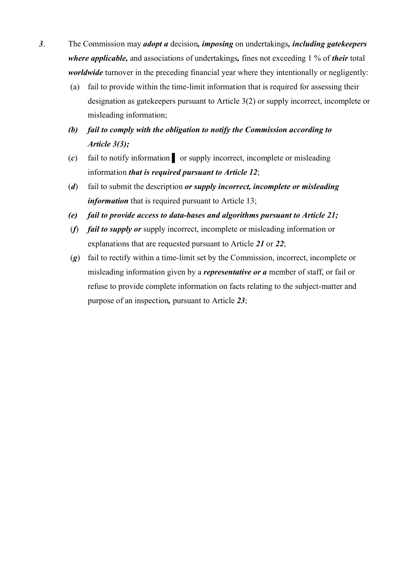- *3*. The Commission may *adopt a* decision*, imposing* on undertakings*, including gatekeepers where applicable,* and associations of undertakings*,* fines not exceeding 1 % of *their* total *worldwide* turnover in the preceding financial year where they intentionally or negligently:
	- (a) fail to provide within the time-limit information that is required for assessing their designation as gatekeepers pursuant to Article 3(2) or supply incorrect, incomplete or misleading information;
	- *(b) fail to comply with the obligation to notify the Commission according to Article 3(3);*
	- (*c*) fail to notify information ▌ or supply incorrect, incomplete or misleading information *that is required pursuant to Article 12*;
	- (*d*) fail to submit the description *or supply incorrect, incomplete or misleading information* that is required pursuant to Article 13;
	- *(e) fail to provide access to data-bases and algorithms pursuant to Article 21;*
	- (*f*) *fail to supply or* supply incorrect, incomplete or misleading information or explanations that are requested pursuant to Article *21* or *22*;
	- (*g*) fail to rectify within a time-limit set by the Commission, incorrect, incomplete or misleading information given by a *representative or a* member of staff, or fail or refuse to provide complete information on facts relating to the subject-matter and purpose of an inspection*,* pursuant to Article *23*;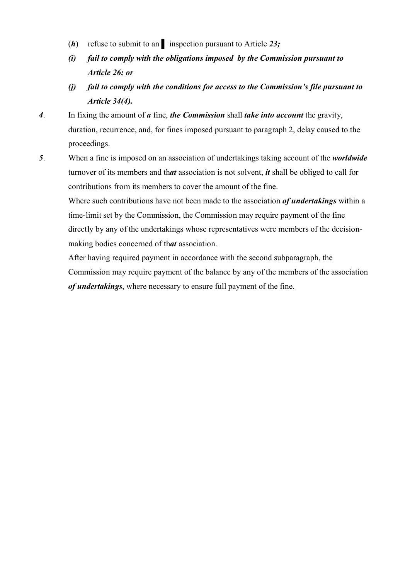- (*h*) refuse to submit to an ▌ inspection pursuant to Article *23;*
- *(i) fail to comply with the obligations imposed by the Commission pursuant to Article 26; or*
- *(j) fail to comply with the conditions for access to the Commission's file pursuant to Article 34(4).*
- *4*. In fixing the amount of *a* fine, *the Commission* shall *take into account* the gravity, duration, recurrence, and, for fines imposed pursuant to paragraph 2, delay caused to the proceedings.
- *5*. When a fine is imposed on an association of undertakings taking account of the *worldwide* turnover of its members and th*at* association is not solvent, *it* shall be obliged to call for contributions from its members to cover the amount of the fine.

Where such contributions have not been made to the association *of undertakings* within a time-limit set by the Commission, the Commission may require payment of the fine directly by any of the undertakings whose representatives were members of the decisionmaking bodies concerned of th*at* association.

After having required payment in accordance with the second subparagraph, the Commission may require payment of the balance by any of the members of the association *of undertakings*, where necessary to ensure full payment of the fine.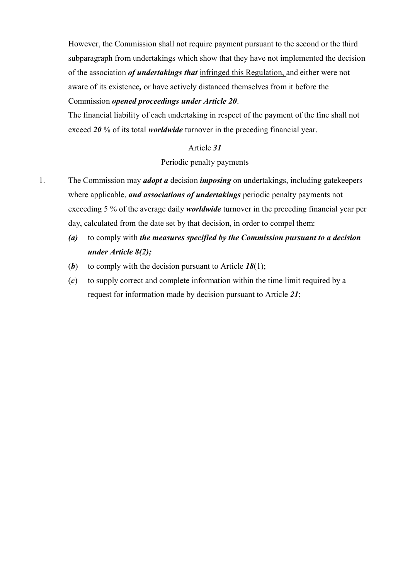However, the Commission shall not require payment pursuant to the second or the third subparagraph from undertakings which show that they have not implemented the decision of the association *of undertakings that* infringed this Regulation, and either were not aware of its existence*,* or have actively distanced themselves from it before the

## Commission *opened proceedings under Article 20*.

The financial liability of each undertaking in respect of the payment of the fine shall not exceed *20* % of its total *worldwide* turnover in the preceding financial year.

## Article *31*

## Periodic penalty payments

- 1. The Commission may *adopt a* decision *imposing* on undertakings, including gatekeepers where applicable, *and associations of undertakings* periodic penalty payments not exceeding 5 % of the average daily *worldwide* turnover in the preceding financial year per day, calculated from the date set by that decision, in order to compel them:
	- *(a)* to comply with *the measures specified by the Commission pursuant to a decision under Article 8(2);*
	- (*b*) to comply with the decision pursuant to Article *18*(1);
	- (*c*) to supply correct and complete information within the time limit required by a request for information made by decision pursuant to Article *21*;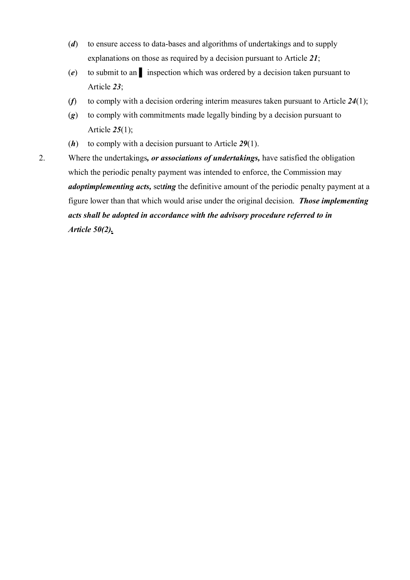- (*d*) to ensure access to data-bases and algorithms of undertakings and to supply explanations on those as required by a decision pursuant to Article *21*;
- (*e*) to submit to an ▌ inspection which was ordered by a decision taken pursuant to Article *23*;
- (*f*) to comply with a decision ordering interim measures taken pursuant to Article *24*(1);
- (*g*) to comply with commitments made legally binding by a decision pursuant to Article *25*(1);
- (*h*) to comply with a decision pursuant to Article *29*(1).
- 2. Where the undertakings*, or associations of undertakings,* have satisfied the obligation which the periodic penalty payment was intended to enforce, the Commission may *adoptimplementing acts,* set*ting* the definitive amount of the periodic penalty payment at a figure lower than that which would arise under the original decision. *Those implementing acts shall be adopted in accordance with the advisory procedure referred to in Article 50(2).*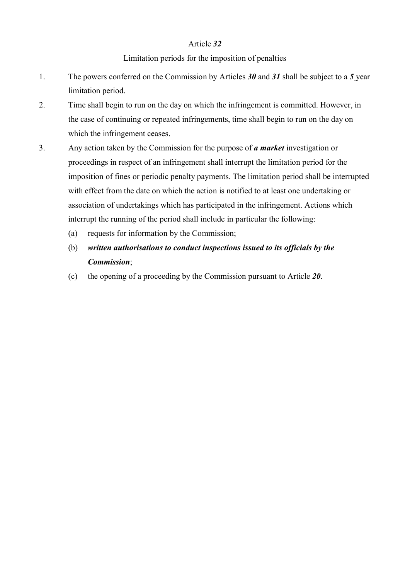## Limitation periods for the imposition of penalties

- 1. The powers conferred on the Commission by Articles *30* and *31* shall be subject to a *5* year limitation period.
- 2. Time shall begin to run on the day on which the infringement is committed. However, in the case of continuing or repeated infringements, time shall begin to run on the day on which the infringement ceases.
- 3. Any action taken by the Commission for the purpose of *a market* investigation or proceedings in respect of an infringement shall interrupt the limitation period for the imposition of fines or periodic penalty payments. The limitation period shall be interrupted with effect from the date on which the action is notified to at least one undertaking or association of undertakings which has participated in the infringement. Actions which interrupt the running of the period shall include in particular the following:
	- (a) requests for information by the Commission;
	- (b) *written authorisations to conduct inspections issued to its officials by the Commission*;
	- (c) the opening of a proceeding by the Commission pursuant to Article *20*.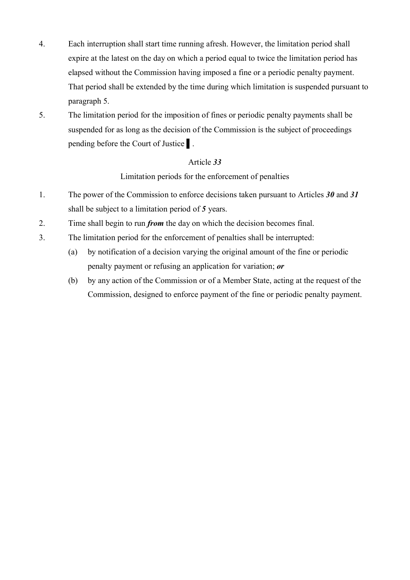- 4. Each interruption shall start time running afresh. However, the limitation period shall expire at the latest on the day on which a period equal to twice the limitation period has elapsed without the Commission having imposed a fine or a periodic penalty payment. That period shall be extended by the time during which limitation is suspended pursuant to paragraph 5.
- 5. The limitation period for the imposition of fines or periodic penalty payments shall be suspended for as long as the decision of the Commission is the subject of proceedings pending before the Court of Justice ▌.

Limitation periods for the enforcement of penalties

- 1. The power of the Commission to enforce decisions taken pursuant to Articles *30* and *31*  shall be subject to a limitation period of *5* years.
- 2. Time shall begin to run *from* the day on which the decision becomes final.
- 3. The limitation period for the enforcement of penalties shall be interrupted:
	- (a) by notification of a decision varying the original amount of the fine or periodic penalty payment or refusing an application for variation; *or*
	- (b) by any action of the Commission or of a Member State, acting at the request of the Commission, designed to enforce payment of the fine or periodic penalty payment.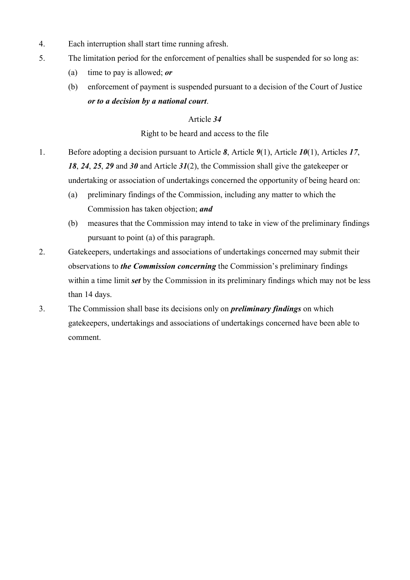- 4. Each interruption shall start time running afresh.
- 5. The limitation period for the enforcement of penalties shall be suspended for so long as:
	- (a) time to pay is allowed; *or*
	- (b) enforcement of payment is suspended pursuant to a decision of the Court of Justice *or to a decision by a national court*.

## Right to be heard and access to the file

- 1. Before adopting a decision pursuant to Article *8*, Article *9*(1), Article *10*(1), Articles *17*, *18*, *24*, *25*, *29* and *30* and Article *31*(2), the Commission shall give the gatekeeper or undertaking or association of undertakings concerned the opportunity of being heard on:
	- (a) preliminary findings of the Commission, including any matter to which the Commission has taken objection; *and*
	- (b) measures that the Commission may intend to take in view of the preliminary findings pursuant to point (a) of this paragraph.
- 2. Gatekeepers, undertakings and associations of undertakings concerned may submit their observations to *the Commission concerning* the Commission's preliminary findings within a time limit *set* by the Commission in its preliminary findings which may not be less than 14 days.
- 3. The Commission shall base its decisions only on *preliminary findings* on which gatekeepers, undertakings and associations of undertakings concerned have been able to comment.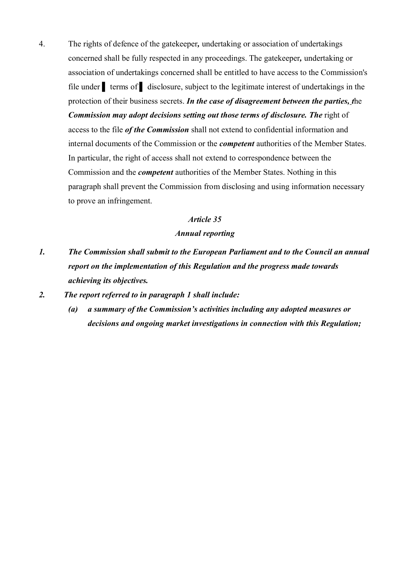4. The rights of defence of the gatekeeper*,* undertaking or association of undertakings concerned shall be fully respected in any proceedings. The gatekeeper*,* undertaking or association of undertakings concerned shall be entitled to have access to the Commission's file under terms of disclosure, subject to the legitimate interest of undertakings in the protection of their business secrets. *In the case of disagreement between the parties, t*he *Commission may adopt decisions setting out those terms of disclosure. The* right of access to the file *of the Commission* shall not extend to confidential information and internal documents of the Commission or the *competent* authorities of the Member States. In particular, the right of access shall not extend to correspondence between the Commission and the *competent* authorities of the Member States. Nothing in this paragraph shall prevent the Commission from disclosing and using information necessary to prove an infringement.

#### *Article 35*

#### *Annual reporting*

*1. The Commission shall submit to the European Parliament and to the Council an annual report on the implementation of this Regulation and the progress made towards achieving its objectives.*

#### *2. The report referred to in paragraph 1 shall include:*

*(a) a summary of the Commission's activities including any adopted measures or decisions and ongoing market investigations in connection with this Regulation;*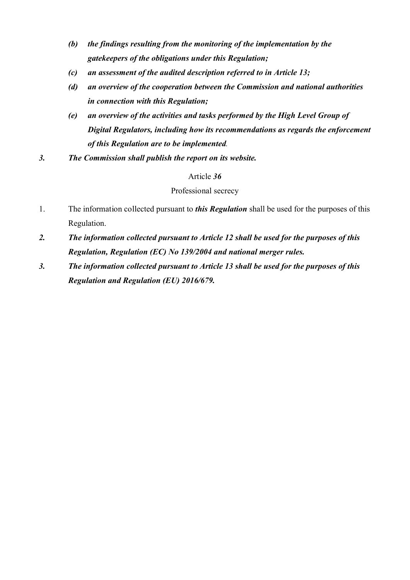- *(b) the findings resulting from the monitoring of the implementation by the gatekeepers of the obligations under this Regulation;*
- *(c) an assessment of the audited description referred to in Article 13;*
- *(d) an overview of the cooperation between the Commission and national authorities in connection with this Regulation;*
- *(e) an overview of the activities and tasks performed by the High Level Group of Digital Regulators, including how its recommendations as regards the enforcement of this Regulation are to be implemented.*
- *3. The Commission shall publish the report on its website.*

## Professional secrecy

- 1. The information collected pursuant to *this Regulation* shall be used for the purposes of this Regulation.
- *2. The information collected pursuant to Article 12 shall be used for the purposes of this Regulation, Regulation (EC) No 139/2004 and national merger rules.*
- *3. The information collected pursuant to Article 13 shall be used for the purposes of this Regulation and Regulation (EU) 2016/679.*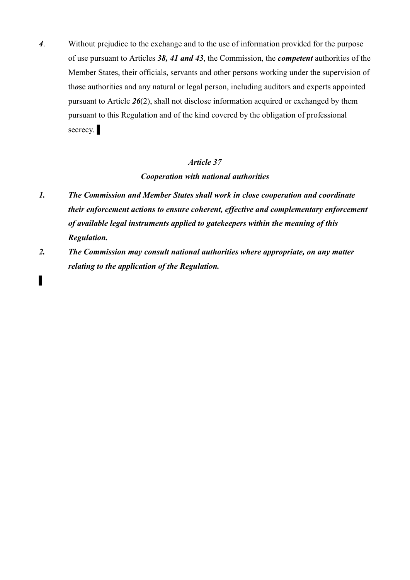*4*. Without prejudice to the exchange and to the use of information provided for the purpose of use pursuant to Articles *38, 41 and 43*, the Commission, the *competent* authorities of the Member States, their officials, servants and other persons working under the supervision of th*o*se authorities and any natural or legal person, including auditors and experts appointed pursuant to Article *26*(2), shall not disclose information acquired or exchanged by them pursuant to this Regulation and of the kind covered by the obligation of professional secrecy.

## *Article 37*

#### *Cooperation with national authorities*

- *1. The Commission and Member States shall work in close cooperation and coordinate their enforcement actions to ensure coherent, effective and complementary enforcement of available legal instruments applied to gatekeepers within the meaning of this Regulation.*
- *2. The Commission may consult national authorities where appropriate, on any matter relating to the application of the Regulation.*

▌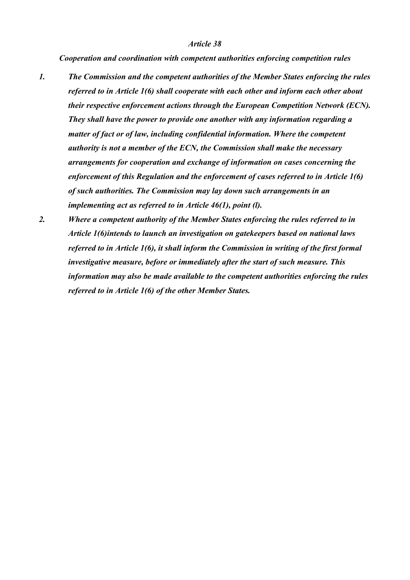*Cooperation and coordination with competent authorities enforcing competition rules*

- *1. The Commission and the competent authorities of the Member States enforcing the rules referred to in Article 1(6) shall cooperate with each other and inform each other about their respective enforcement actions through the European Competition Network (ECN). They shall have the power to provide one another with any information regarding a matter of fact or of law, including confidential information. Where the competent authority is not a member of the ECN, the Commission shall make the necessary arrangements for cooperation and exchange of information on cases concerning the enforcement of this Regulation and the enforcement of cases referred to in Article 1(6) of such authorities. The Commission may lay down such arrangements in an implementing act as referred to in Article 46(1), point (l).*
- *2. Where a competent authority of the Member States enforcing the rules referred to in Article 1(6)intends to launch an investigation on gatekeepers based on national laws referred to in Article 1(6), it shall inform the Commission in writing of the first formal investigative measure, before or immediately after the start of such measure. This information may also be made available to the competent authorities enforcing the rules referred to in Article 1(6) of the other Member States.*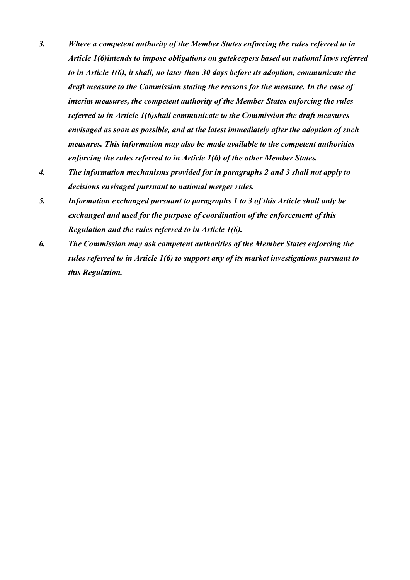- *3. Where a competent authority of the Member States enforcing the rules referred to in Article 1(6)intends to impose obligations on gatekeepers based on national laws referred to in Article 1(6), it shall, no later than 30 days before its adoption, communicate the draft measure to the Commission stating the reasons for the measure. In the case of interim measures, the competent authority of the Member States enforcing the rules referred to in Article 1(6)shall communicate to the Commission the draft measures envisaged as soon as possible, and at the latest immediately after the adoption of such measures. This information may also be made available to the competent authorities enforcing the rules referred to in Article 1(6) of the other Member States.*
- *4. The information mechanisms provided for in paragraphs 2 and 3 shall not apply to decisions envisaged pursuant to national merger rules.*
- *5. Information exchanged pursuant to paragraphs 1 to 3 of this Article shall only be exchanged and used for the purpose of coordination of the enforcement of this Regulation and the rules referred to in Article 1(6).*
- *6. The Commission may ask competent authorities of the Member States enforcing the rules referred to in Article 1(6) to support any of its market investigations pursuant to this Regulation.*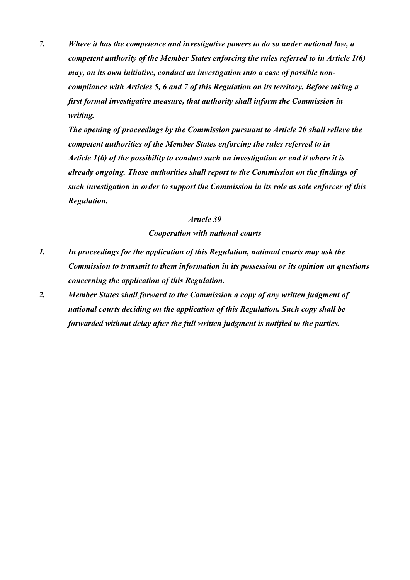*7. Where it has the competence and investigative powers to do so under national law, a competent authority of the Member States enforcing the rules referred to in Article 1(6) may, on its own initiative, conduct an investigation into a case of possible noncompliance with Articles 5, 6 and 7 of this Regulation on its territory. Before taking a first formal investigative measure, that authority shall inform the Commission in writing.* 

*The opening of proceedings by the Commission pursuant to Article 20 shall relieve the competent authorities of the Member States enforcing the rules referred to in Article 1(6) of the possibility to conduct such an investigation or end it where it is already ongoing. Those authorities shall report to the Commission on the findings of such investigation in order to support the Commission in its role as sole enforcer of this Regulation.*

#### *Article 39*

*Cooperation with national courts*

- *1. In proceedings for the application of this Regulation, national courts may ask the Commission to transmit to them information in its possession or its opinion on questions concerning the application of this Regulation.*
- *2. Member States shall forward to the Commission a copy of any written judgment of national courts deciding on the application of this Regulation. Such copy shall be forwarded without delay after the full written judgment is notified to the parties.*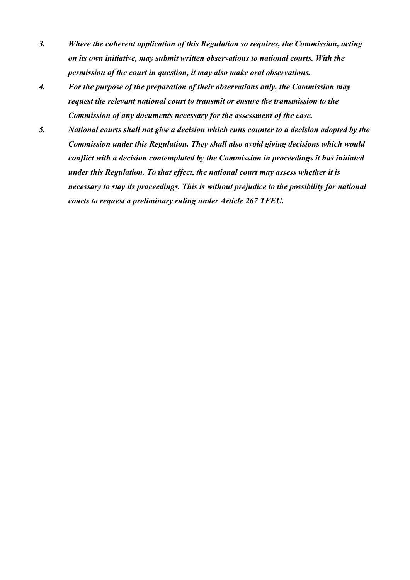- *3. Where the coherent application of this Regulation so requires, the Commission, acting on its own initiative, may submit written observations to national courts. With the permission of the court in question, it may also make oral observations.*
- *4. For the purpose of the preparation of their observations only, the Commission may request the relevant national court to transmit or ensure the transmission to the Commission of any documents necessary for the assessment of the case.*
- *5. National courts shall not give a decision which runs counter to a decision adopted by the Commission under this Regulation. They shall also avoid giving decisions which would conflict with a decision contemplated by the Commission in proceedings it has initiated under this Regulation. To that effect, the national court may assess whether it is necessary to stay its proceedings. This is without prejudice to the possibility for national courts to request a preliminary ruling under Article 267 TFEU.*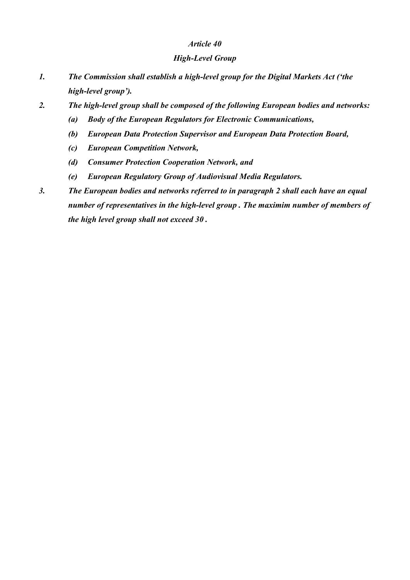## *High-Level Group*

- *1. The Commission shall establish a high-level group for the Digital Markets Act ('the high-level group').*
- *2. The high-level group shall be composed of the following European bodies and networks:*
	- *(a) Body of the European Regulators for Electronic Communications,*
	- *(b) European Data Protection Supervisor and European Data Protection Board,*
	- *(c) European Competition Network,*
	- *(d) Consumer Protection Cooperation Network, and*
	- *(e) European Regulatory Group of Audiovisual Media Regulators.*
- *3. The European bodies and networks referred to in paragraph 2 shall each have an equal number of representatives in the high-level group . The maximim number of members of the high level group shall not exceed 30 .*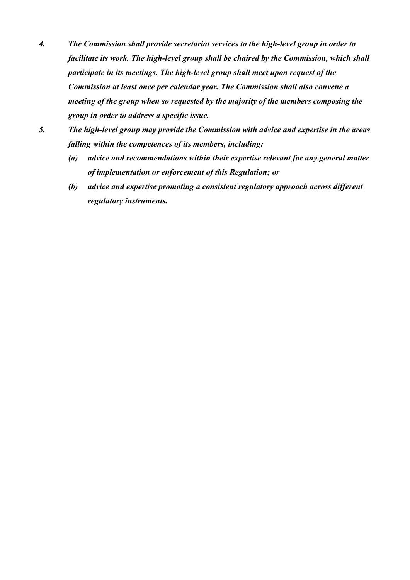- *4. The Commission shall provide secretariat services to the high-level group in order to facilitate its work. The high-level group shall be chaired by the Commission, which shall participate in its meetings. The high-level group shall meet upon request of the Commission at least once per calendar year. The Commission shall also convene a meeting of the group when so requested by the majority of the members composing the group in order to address a specific issue.*
- *5. The high-level group may provide the Commission with advice and expertise in the areas falling within the competences of its members, including:*
	- *(a) advice and recommendations within their expertise relevant for any general matter of implementation or enforcement of this Regulation; or*
	- *(b) advice and expertise promoting a consistent regulatory approach across different regulatory instruments.*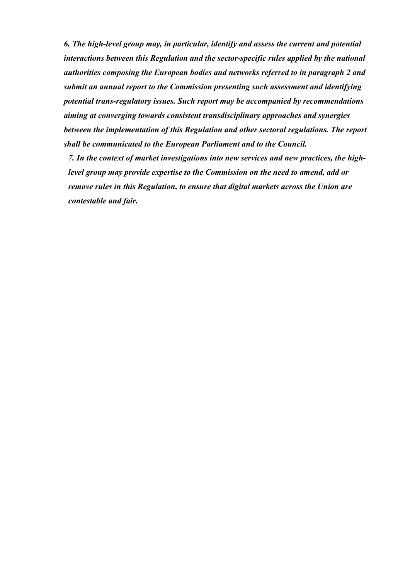*6. The high-level group may, in particular, identify and assess the current and potential interactions between this Regulation and the sector-specific rules applied by the national authorities composing the European bodies and networks referred to in paragraph 2 and submit an annual report to the Commission presenting such assessment and identifying potential trans-regulatory issues. Such report may be accompanied by recommendations aiming at converging towards consistent transdisciplinary approaches and synergies between the implementation of this Regulation and other sectoral regulations. The report shall be communicated to the European Parliament and to the Council.*

*7. In the context of market investigations into new services and new practices, the highlevel group may provide expertise to the Commission on the need to amend, add or remove rules in this Regulation, to ensure that digital markets across the Union are contestable and fair.*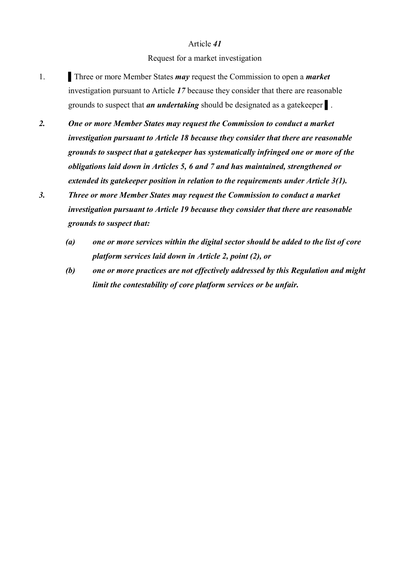#### Request for a market investigation

- 1. Three or more Member States *may* request the Commission to open a *market* investigation pursuant to Article *17* because they consider that there are reasonable grounds to suspect that *an undertaking* should be designated as a gatekeeper ▌.
- *2. One or more Member States may request the Commission to conduct a market investigation pursuant to Article 18 because they consider that there are reasonable grounds to suspect that a gatekeeper has systematically infringed one or more of the obligations laid down in Articles 5, 6 and 7 and has maintained, strengthened or extended its gatekeeper position in relation to the requirements under Article 3(1).*
- *3. Three or more Member States may request the Commission to conduct a market investigation pursuant to Article 19 because they consider that there are reasonable grounds to suspect that:*
	- *(a) one or more services within the digital sector should be added to the list of core platform services laid down in Article 2, point (2), or*
	- *(b) one or more practices are not effectively addressed by this Regulation and might limit the contestability of core platform services or be unfair.*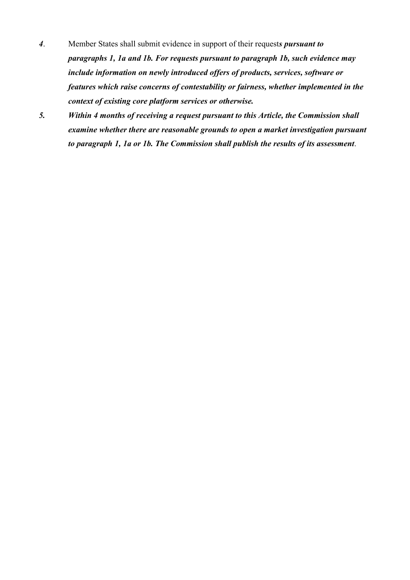- *4*. Member States shall submit evidence in support of their request*s pursuant to paragraphs 1, 1a and 1b. For requests pursuant to paragraph 1b, such evidence may include information on newly introduced offers of products, services, software or features which raise concerns of contestability or fairness, whether implemented in the context of existing core platform services or otherwise.*
- *5. Within 4 months of receiving a request pursuant to this Article, the Commission shall examine whether there are reasonable grounds to open a market investigation pursuant to paragraph 1, 1a or 1b. The Commission shall publish the results of its assessment*.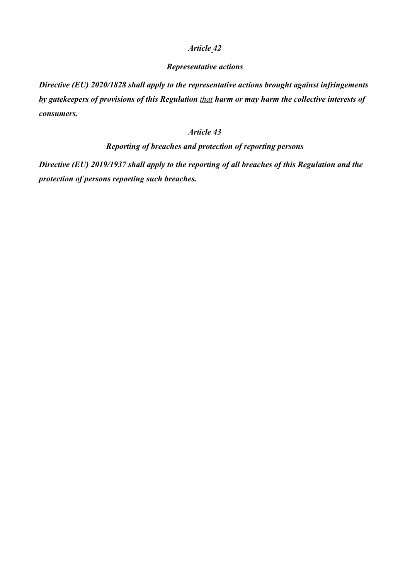#### *Representative actions*

*Directive (EU) 2020/1828 shall apply to the representative actions brought against infringements by gatekeepers of provisions of this Regulation that harm or may harm the collective interests of consumers.*

## *Article 43*

## *Reporting of breaches and protection of reporting persons*

*Directive (EU) 2019/1937 shall apply to the reporting of all breaches of this Regulation and the protection of persons reporting such breaches.*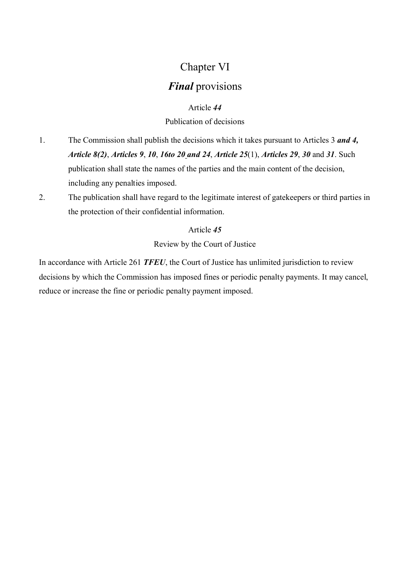# Chapter VI

# *Final* provisions

## Article *44*

## Publication of decisions

- 1. The Commission shall publish the decisions which it takes pursuant to Articles 3 *and 4, Article 8(2)*, *Articles 9*, *10*, *16to 20 and 24*, *Article 25*(1), *Articles 29*, *30* and *31*. Such publication shall state the names of the parties and the main content of the decision, including any penalties imposed.
- 2. The publication shall have regard to the legitimate interest of gatekeepers or third parties in the protection of their confidential information.

## Article *45*

Review by the Court of Justice

In accordance with Article 261 *TFEU*, the Court of Justice has unlimited jurisdiction to review decisions by which the Commission has imposed fines or periodic penalty payments. It may cancel, reduce or increase the fine or periodic penalty payment imposed.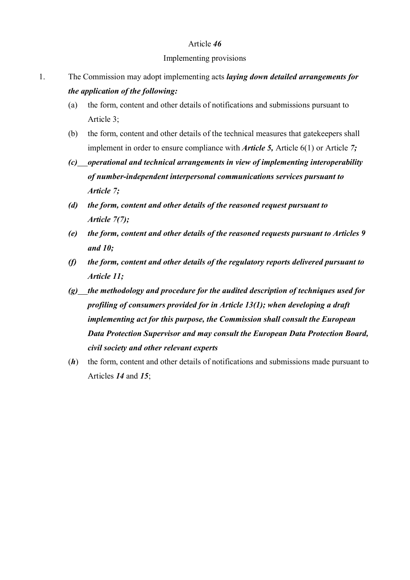#### Implementing provisions

- 1. The Commission may adopt implementing acts *laying down detailed arrangements for the application of the following:*
	- (a) the form, content and other details of notifications and submissions pursuant to Article 3;
	- (b) the form, content and other details of the technical measures that gatekeepers shall implement in order to ensure compliance with *Article 5,* Article 6(1) or Article *7;*
	- *(c) operational and technical arrangements in view of implementing interoperability of number-independent interpersonal communications services pursuant to Article 7;*
	- *(d) the form, content and other details of the reasoned request pursuant to Article 7(7);*
	- *(e) the form, content and other details of the reasoned requests pursuant to Articles 9 and 10;*
	- *(f) the form, content and other details of the regulatory reports delivered pursuant to Article 11;*
	- *(g) the methodology and procedure for the audited description of techniques used for profiling of consumers provided for in Article 13(1); when developing a draft implementing act for this purpose, the Commission shall consult the European Data Protection Supervisor and may consult the European Data Protection Board, civil society and other relevant experts*
	- (*h*) the form, content and other details of notifications and submissions made pursuant to Articles *14* and *15*;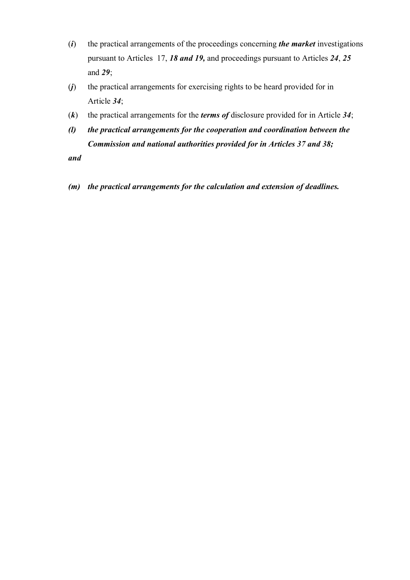- (*i*) the practical arrangements of the proceedings concerning *the market* investigations pursuant to Articles 17, *18 and 19,* and proceedings pursuant to Articles *24*, *25*  and *29*;
- (*j*) the practical arrangements for exercising rights to be heard provided for in Article *34*;
- (*k*) the practical arrangements for the *terms of* disclosure provided for in Article *34*;
- *(l) the practical arrangements for the cooperation and coordination between the Commission and national authorities provided for in Articles 37 and 38;*

*and*

*(m) the practical arrangements for the calculation and extension of deadlines.*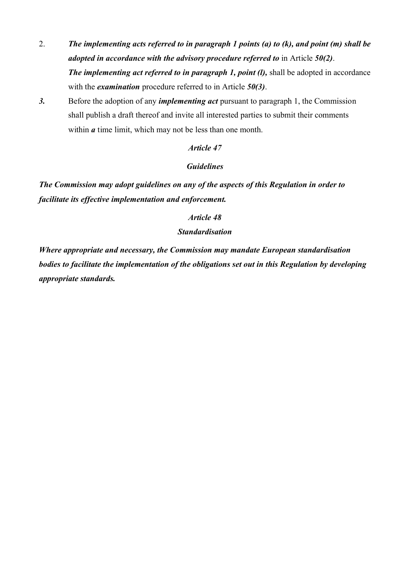- 2. *The implementing acts referred to in paragraph 1 points (a) to (k), and point (m) shall be adopted in accordance with the advisory procedure referred to* in Article *50(2)*. *The implementing act referred to in paragraph 1, point (l),* shall be adopted in accordance with the *examination* procedure referred to in Article *50(3)*.
- *3.* Before the adoption of any *implementing act* pursuant to paragraph 1, the Commission shall publish a draft thereof and invite all interested parties to submit their comments within *a* time limit, which may not be less than one month.

#### *Guidelines*

*The Commission may adopt guidelines on any of the aspects of this Regulation in order to facilitate its effective implementation and enforcement.*

#### *Article 48*

## *Standardisation*

*Where appropriate and necessary, the Commission may mandate European standardisation bodies to facilitate the implementation of the obligations set out in this Regulation by developing appropriate standards.*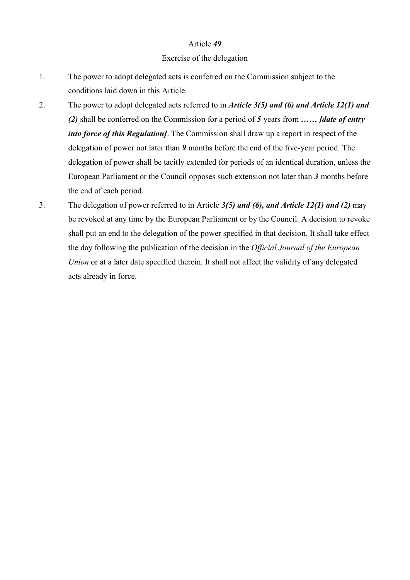#### Exercise of the delegation

- 1. The power to adopt delegated acts is conferred on the Commission subject to the conditions laid down in this Article.
- 2. The power to adopt delegated acts referred to in *Article 3(5) and (6) and Article 12(1) and (2)* shall be conferred on the Commission for a period of *5* years from *…… [date of entry into force of this Regulation]*. The Commission shall draw up a report in respect of the delegation of power not later than *9* months before the end of the five-year period. The delegation of power shall be tacitly extended for periods of an identical duration, unless the European Parliament or the Council opposes such extension not later than *3* months before the end of each period.
- 3. The delegation of power referred to in Article *3(5) and (6), and Article 12(1) and (2)* may be revoked at any time by the European Parliament or by the Council. A decision to revoke shall put an end to the delegation of the power specified in that decision. It shall take effect the day following the publication of the decision in the *Official Journal of the European Union* or at a later date specified therein. It shall not affect the validity of any delegated acts already in force.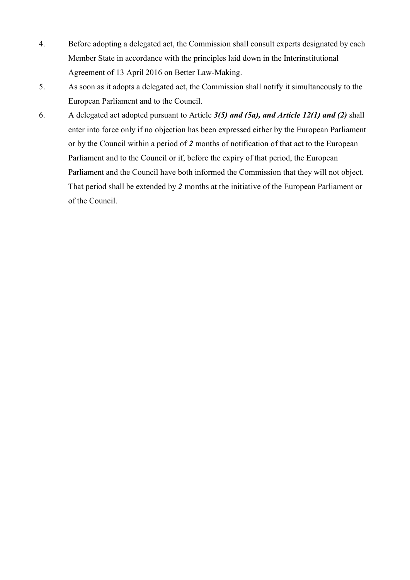- 4. Before adopting a delegated act, the Commission shall consult experts designated by each Member State in accordance with the principles laid down in the Interinstitutional Agreement of 13 April 2016 on Better Law-Making.
- 5. As soon as it adopts a delegated act, the Commission shall notify it simultaneously to the European Parliament and to the Council.
- 6. A delegated act adopted pursuant to Article *3(5) and (5a), and Article 12(1) and (2)* shall enter into force only if no objection has been expressed either by the European Parliament or by the Council within a period of *2* months of notification of that act to the European Parliament and to the Council or if, before the expiry of that period, the European Parliament and the Council have both informed the Commission that they will not object. That period shall be extended by *2* months at the initiative of the European Parliament or of the Council.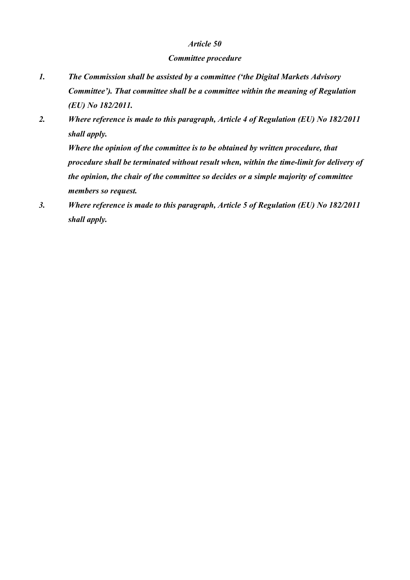#### *Committee procedure*

- *1. The Commission shall be assisted by a committee ('the Digital Markets Advisory Committee'). That committee shall be a committee within the meaning of Regulation (EU) No 182/2011.*
- *2. Where reference is made to this paragraph, Article 4 of Regulation (EU) No 182/2011 shall apply.*

*Where the opinion of the committee is to be obtained by written procedure, that procedure shall be terminated without result when, within the time-limit for delivery of the opinion, the chair of the committee so decides or a simple majority of committee members so request.*

*3. Where reference is made to this paragraph, Article 5 of Regulation (EU) No 182/2011 shall apply.*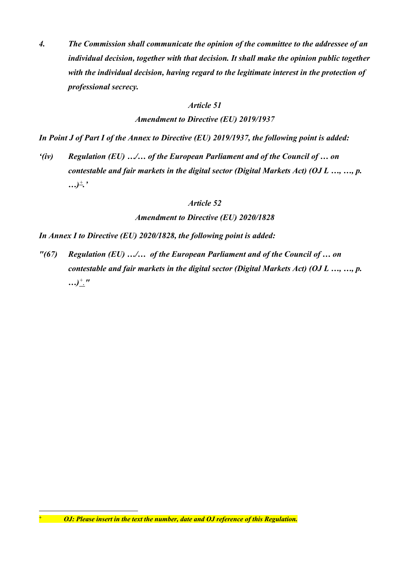*4. The Commission shall communicate the opinion of the committee to the addressee of an individual decision, together with that decision. It shall make the opinion public together with the individual decision, having regard to the legitimate interest in the protection of professional secrecy.*

#### *Article 51*

*Amendment to Directive (EU) 2019/1937*

*In Point J of Part I of the Annex to Directive (EU) 2019/1937, the following point is added:*

*'(iv) Regulation (EU) …/… of the European Parliament and of the Council of … on contestable and fair markets in the digital sector (Digital Markets Act) (OJ L …, …, p. …)<sup>+</sup> .'*

#### *Article 52*

*Amendment to Directive (EU) 2020/1828* 

*In Annex I to Directive (EU) 2020/1828, the following point is added:*

*"(67) Regulation (EU) …/… of the European Parliament and of the Council of … on contestable and fair markets in the digital sector (Digital Markets Act) (OJ L …, …, p. …)<sup>+</sup> ."*

<u>.</u>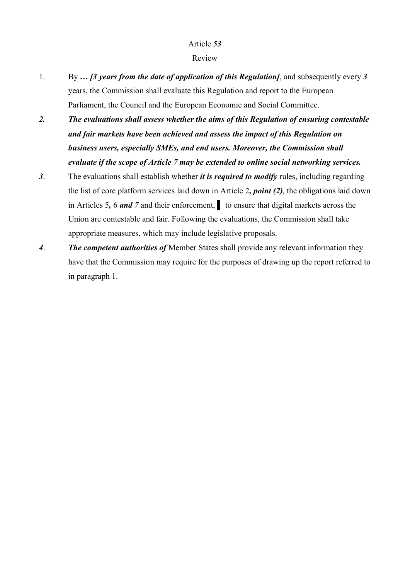#### Review

- 1. By *… [3 years from the date of application of this Regulation]*, and subsequently every *3*  years, the Commission shall evaluate this Regulation and report to the European Parliament, the Council and the European Economic and Social Committee.
- *2. The evaluations shall assess whether the aims of this Regulation of ensuring contestable and fair markets have been achieved and assess the impact of this Regulation on business users, especially SMEs, and end users. Moreover, the Commission shall evaluate if the scope of Article 7 may be extended to online social networking services.*
- *3*. The evaluations shall establish whether *it is required to modify* rules, including regarding the list of core platform services laid down in Article 2*, point (2)*, the obligations laid down in Articles 5*,* 6 *and 7* and their enforcement, ▌ to ensure that digital markets across the Union are contestable and fair. Following the evaluations, the Commission shall take appropriate measures, which may include legislative proposals.
- *4*. *The competent authorities of* Member States shall provide any relevant information they have that the Commission may require for the purposes of drawing up the report referred to in paragraph 1.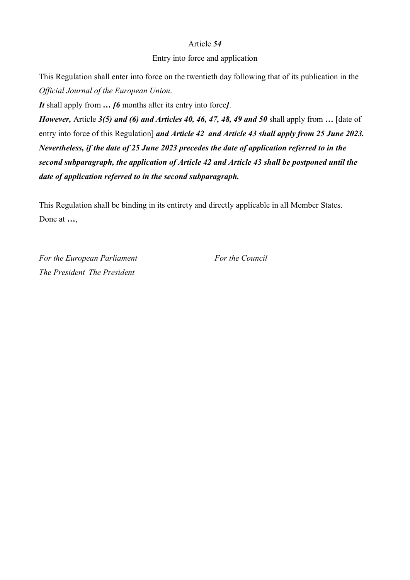#### Entry into force and application

This Regulation shall enter into force on the twentieth day following that of its publication in the *Official Journal of the European Union*.

*It* shall apply from *… [6* months after its entry into force*]*.

*However,* Article *3(5) and (6) and Articles 40, 46, 47, 48, 49 and 50* shall apply from *…* [date of entry into force of this Regulation] *and Article 42 and Article 43 shall apply from 25 June 2023. Nevertheless, if the date of 25 June 2023 precedes the date of application referred to in the second subparagraph, the application of Article 42 and Article 43 shall be postponed until the date of application referred to in the second subparagraph.*

This Regulation shall be binding in its entirety and directly applicable in all Member States. Done at *…*,

*For the European Parliament For the Council The President The President*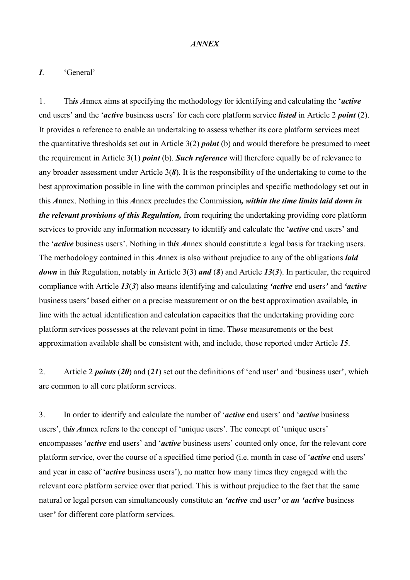#### *ANNEX*

#### *I*. 'General'

1. Th*is A*nnex aims at specifying the methodology for identifying and calculating the '*active* end users' and the '*active* business users' for each core platform service *listed* in Article 2 *point* (2). It provides a reference to enable an undertaking to assess whether its core platform services meet the quantitative thresholds set out in Article 3(2) *point* (b) and would therefore be presumed to meet the requirement in Article 3(1) *point* (b). *Such reference* will therefore equally be of relevance to any broader assessment under Article 3(*8*). It is the responsibility of the undertaking to come to the best approximation possible in line with the common principles and specific methodology set out in this *A*nnex. Nothing in this *A*nnex precludes the Commission*, within the time limits laid down in the relevant provisions of this Regulation,* from requiring the undertaking providing core platform services to provide any information necessary to identify and calculate the '*active* end users' and the '*active* business users'. Nothing in th*is A*nnex should constitute a legal basis for tracking users. The methodology contained in this *A*nnex is also without prejudice to any of the obligations *laid down* in th*is* Regulation, notably in Article 3(3) *and* (*8*) and Article *13*(*3*). In particular, the required compliance with Article *13*(*3*) also means identifying and calculating *'active* end users*'* and *'active* business users*'* based either on a precise measurement or on the best approximation available*,* in line with the actual identification and calculation capacities that the undertaking providing core platform services possesses at the relevant point in time. Th*o*se measurements or the best approximation available shall be consistent with, and include, those reported under Article *15*.

2. Article 2 *points* (*20*) and (*21*) set out the definitions of 'end user' and 'business user', which are common to all core platform services.

3. In order to identify and calculate the number of '*active* end users' and '*active* business users', th*is A*nnex refers to the concept of 'unique users'. The concept of 'unique users' encompasses '*active* end users' and '*active* business users' counted only once, for the relevant core platform service, over the course of a specified time period (i.e. month in case of '*active* end users' and year in case of '*active* business users'), no matter how many times they engaged with the relevant core platform service over that period. This is without prejudice to the fact that the same natural or legal person can simultaneously constitute an *'active* end user*'* or *an 'active* business user*'* for different core platform services.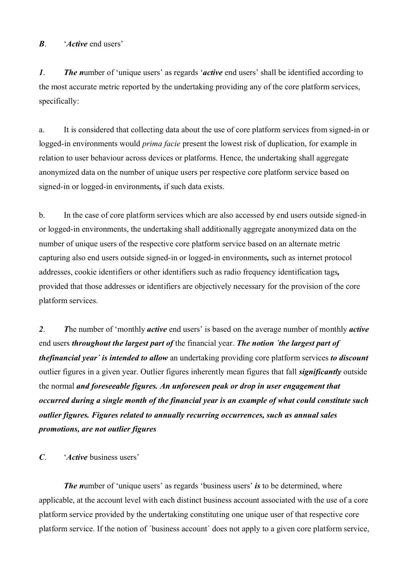*B*. '*Active* end users'

*1*. *The n*umber of 'unique users' as regards '*active* end users' shall be identified according to the most accurate metric reported by the undertaking providing any of the core platform services, specifically:

a. It is considered that collecting data about the use of core platform services from signed-in or logged-in environments would *prima facie* present the lowest risk of duplication, for example in relation to user behaviour across devices or platforms. Hence, the undertaking shall aggregate anonymized data on the number of unique users per respective core platform service based on signed-in or logged-in environments*,* if such data exists.

b. In the case of core platform services which are also accessed by end users outside signed-in or logged-in environments, the undertaking shall additionally aggregate anonymized data on the number of unique users of the respective core platform service based on an alternate metric capturing also end users outside signed-in or logged-in environments*,* such as internet protocol addresses, cookie identifiers or other identifiers such as radio frequency identification tags*,* provided that those addresses or identifiers are objectively necessary for the provision of the core platform services.

*2*. *T*he number of 'monthly *active* end users' is based on the average number of monthly *active* end users *throughout the largest part of* the financial year. *The notion ´the largest part of thefinancial year´ is intended to allow* an undertaking providing core platform services *to discount*  outlier figures in a given year. Outlier figures inherently mean figures that fall *significantly* outside the normal *and foreseeable figures. An unforeseen peak or drop in user engagement that occurred during a single month of the financial year is an example of what could constitute such outlier figures. Figures related to annually recurring occurrences, such as annual sales promotions, are not outlier figures*

*C*. '*Active* business users'

*The number of 'unique users' as regards 'business users' is to be determined, where* applicable, at the account level with each distinct business account associated with the use of a core platform service provided by the undertaking constituting one unique user of that respective core platform service. If the notion of ´business account´ does not apply to a given core platform service,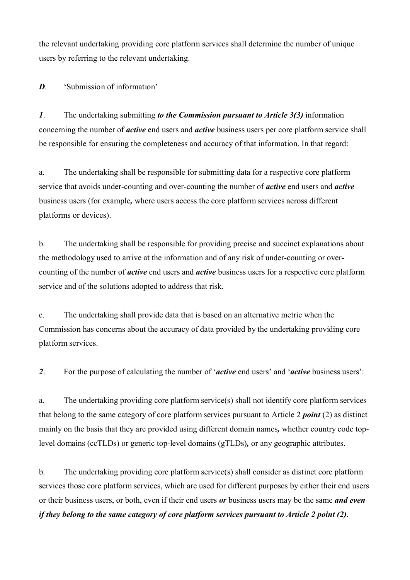the relevant undertaking providing core platform services shall determine the number of unique users by referring to the relevant undertaking.

*D*. 'Submission of information'

*1*. The undertaking submitting *to the Commission pursuant to Article 3(3)* information concerning the number of *active* end users and *active* business users per core platform service shall be responsible for ensuring the completeness and accuracy of that information. In that regard:

a. The undertaking shall be responsible for submitting data for a respective core platform service that avoids under-counting and over-counting the number of *active* end users and *active* business users (for example*,* where users access the core platform services across different platforms or devices).

b. The undertaking shall be responsible for providing precise and succinct explanations about the methodology used to arrive at the information and of any risk of under-counting or overcounting of the number of *active* end users and *active* business users for a respective core platform service and of the solutions adopted to address that risk.

c. The undertaking shall provide data that is based on an alternative metric when the Commission has concerns about the accuracy of data provided by the undertaking providing core platform services.

*2*. For the purpose of calculating the number of '*active* end users' and '*active* business users':

a. The undertaking providing core platform service(s) shall not identify core platform services that belong to the same category of core platform services pursuant to Article 2 *point* (2) as distinct mainly on the basis that they are provided using different domain names*,* whether country code toplevel domains (ccTLDs) or generic top-level domains (gTLDs)*,* or any geographic attributes.

b. The undertaking providing core platform service(s) shall consider as distinct core platform services those core platform services, which are used for different purposes by either their end users or their business users, or both, even if their end users *or* business users may be the same *and even if they belong to the same category of core platform services pursuant to Article 2 point (2)*.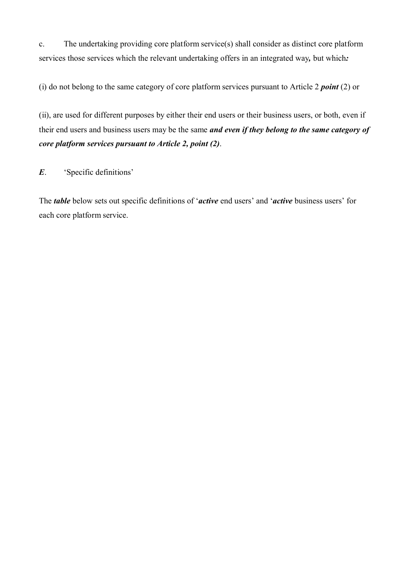c. The undertaking providing core platform service(s) shall consider as distinct core platform services those services which the relevant undertaking offers in an integrated way*,* but which*:*

(i) do not belong to the same category of core platform services pursuant to Article 2 *point* (2) or

(ii), are used for different purposes by either their end users or their business users, or both, even if their end users and business users may be the same *and even if they belong to the same category of core platform services pursuant to Article 2, point (2)*.

*E*. 'Specific definitions'

The *table* below sets out specific definitions of '*active* end users' and '*active* business users' for each core platform service.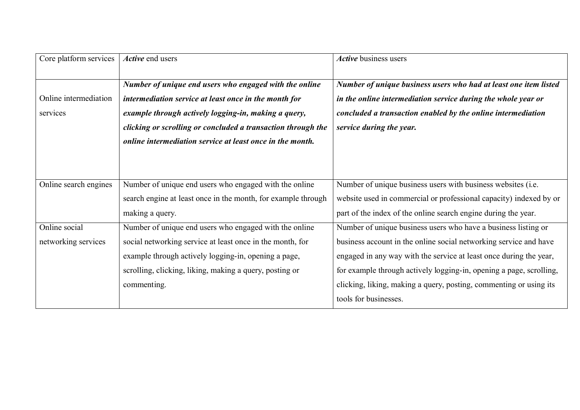| Core platform services               | Active end users                                                                                                                                                                                                                                                                                     | Active business users                                                                                                                                                                                                                    |
|--------------------------------------|------------------------------------------------------------------------------------------------------------------------------------------------------------------------------------------------------------------------------------------------------------------------------------------------------|------------------------------------------------------------------------------------------------------------------------------------------------------------------------------------------------------------------------------------------|
| Online intermediation<br>services    | Number of unique end users who engaged with the online<br>intermediation service at least once in the month for<br>example through actively logging-in, making a query,<br>clicking or scrolling or concluded a transaction through the<br>online intermediation service at least once in the month. | Number of unique business users who had at least one item listed<br>in the online intermediation service during the whole year or<br>concluded a transaction enabled by the online intermediation<br>service during the year.            |
| Online search engines                | Number of unique end users who engaged with the online<br>search engine at least once in the month, for example through<br>making a query.                                                                                                                                                           | Number of unique business users with business websites (i.e.<br>website used in commercial or professional capacity) indexed by or<br>part of the index of the online search engine during the year.                                     |
| Online social<br>networking services | Number of unique end users who engaged with the online<br>social networking service at least once in the month, for                                                                                                                                                                                  | Number of unique business users who have a business listing or<br>business account in the online social networking service and have                                                                                                      |
|                                      | example through actively logging-in, opening a page,<br>scrolling, clicking, liking, making a query, posting or<br>commenting.                                                                                                                                                                       | engaged in any way with the service at least once during the year,<br>for example through actively logging-in, opening a page, scrolling,<br>clicking, liking, making a query, posting, commenting or using its<br>tools for businesses. |
|                                      |                                                                                                                                                                                                                                                                                                      |                                                                                                                                                                                                                                          |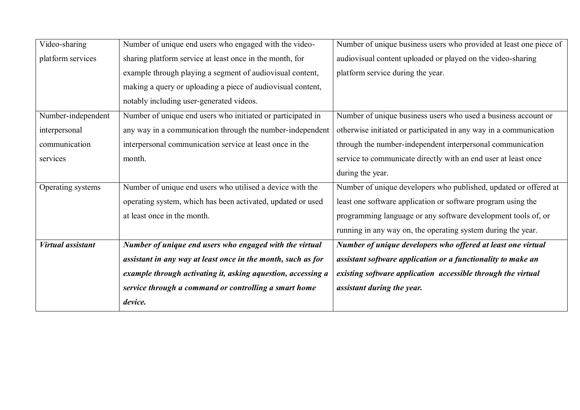| Video-sharing            | Number of unique end users who engaged with the video-       | Number of unique business users who provided at least one piece of |
|--------------------------|--------------------------------------------------------------|--------------------------------------------------------------------|
| platform services        | sharing platform service at least once in the month, for     | audiovisual content uploaded or played on the video-sharing        |
|                          | example through playing a segment of audiovisual content,    | platform service during the year.                                  |
|                          | making a query or uploading a piece of audiovisual content,  |                                                                    |
|                          | notably including user-generated videos.                     |                                                                    |
| Number-independent       | Number of unique end users who initiated or participated in  | Number of unique business users who used a business account or     |
| interpersonal            | any way in a communication through the number-independent    | otherwise initiated or participated in any way in a communication  |
| communication            | interpersonal communication service at least once in the     | through the number-independent interpersonal communication         |
| services                 | month.                                                       | service to communicate directly with an end user at least once     |
|                          |                                                              | during the year.                                                   |
| Operating systems        | Number of unique end users who utilised a device with the    | Number of unique developers who published, updated or offered at   |
|                          | operating system, which has been activated, updated or used  | least one software application or software program using the       |
|                          | at least once in the month.                                  | programming language or any software development tools of, or      |
|                          |                                                              | running in any way on, the operating system during the year.       |
| <b>Virtual assistant</b> | Number of unique end users who engaged with the virtual      | Number of unique developers who offered at least one virtual       |
|                          | assistant in any way at least once in the month, such as for | assistant software application or a functionality to make an       |
|                          | example through activating it, asking aquestion, accessing a | existing software application accessible through the virtual       |
|                          | service through a command or controlling a smart home        | assistant during the year.                                         |
|                          | device.                                                      |                                                                    |